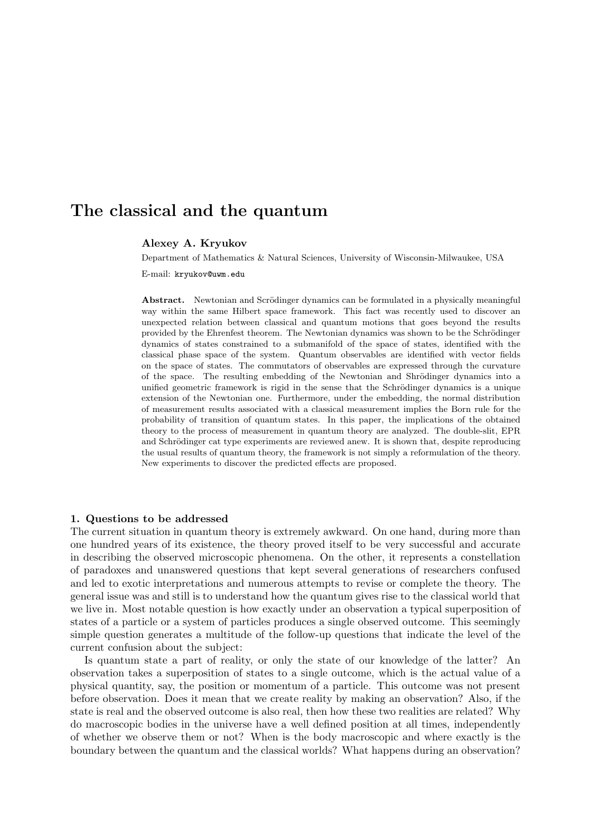# The classical and the quantum

# Alexey A. Kryukov

Department of Mathematics & Natural Sciences, University of Wisconsin-Milwaukee, USA

E-mail: kryukov@uwm.edu

Abstract. Newtonian and Scrödinger dynamics can be formulated in a physically meaningful way within the same Hilbert space framework. This fact was recently used to discover an unexpected relation between classical and quantum motions that goes beyond the results provided by the Ehrenfest theorem. The Newtonian dynamics was shown to be the Schrödinger dynamics of states constrained to a submanifold of the space of states, identified with the classical phase space of the system. Quantum observables are identified with vector fields on the space of states. The commutators of observables are expressed through the curvature of the space. The resulting embedding of the Newtonian and Shrödinger dynamics into a unified geometric framework is rigid in the sense that the Schrödinger dynamics is a unique extension of the Newtonian one. Furthermore, under the embedding, the normal distribution of measurement results associated with a classical measurement implies the Born rule for the probability of transition of quantum states. In this paper, the implications of the obtained theory to the process of measurement in quantum theory are analyzed. The double-slit, EPR and Schrödinger cat type experiments are reviewed anew. It is shown that, despite reproducing the usual results of quantum theory, the framework is not simply a reformulation of the theory. New experiments to discover the predicted effects are proposed.

## 1. Questions to be addressed

The current situation in quantum theory is extremely awkward. On one hand, during more than one hundred years of its existence, the theory proved itself to be very successful and accurate in describing the observed microscopic phenomena. On the other, it represents a constellation of paradoxes and unanswered questions that kept several generations of researchers confused and led to exotic interpretations and numerous attempts to revise or complete the theory. The general issue was and still is to understand how the quantum gives rise to the classical world that we live in. Most notable question is how exactly under an observation a typical superposition of states of a particle or a system of particles produces a single observed outcome. This seemingly simple question generates a multitude of the follow-up questions that indicate the level of the current confusion about the subject:

Is quantum state a part of reality, or only the state of our knowledge of the latter? An observation takes a superposition of states to a single outcome, which is the actual value of a physical quantity, say, the position or momentum of a particle. This outcome was not present before observation. Does it mean that we create reality by making an observation? Also, if the state is real and the observed outcome is also real, then how these two realities are related? Why do macroscopic bodies in the universe have a well defined position at all times, independently of whether we observe them or not? When is the body macroscopic and where exactly is the boundary between the quantum and the classical worlds? What happens during an observation?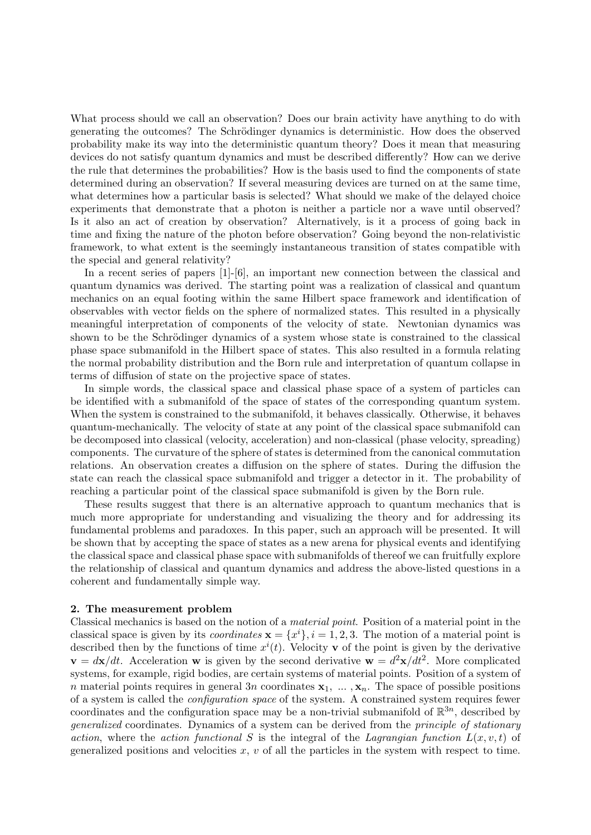What process should we call an observation? Does our brain activity have anything to do with generating the outcomes? The Schrödinger dynamics is deterministic. How does the observed probability make its way into the deterministic quantum theory? Does it mean that measuring devices do not satisfy quantum dynamics and must be described differently? How can we derive the rule that determines the probabilities? How is the basis used to find the components of state determined during an observation? If several measuring devices are turned on at the same time, what determines how a particular basis is selected? What should we make of the delayed choice experiments that demonstrate that a photon is neither a particle nor a wave until observed? Is it also an act of creation by observation? Alternatively, is it a process of going back in time and fixing the nature of the photon before observation? Going beyond the non-relativistic framework, to what extent is the seemingly instantaneous transition of states compatible with the special and general relativity?

In a recent series of papers [1]-[6], an important new connection between the classical and quantum dynamics was derived. The starting point was a realization of classical and quantum mechanics on an equal footing within the same Hilbert space framework and identification of observables with vector fields on the sphere of normalized states. This resulted in a physically meaningful interpretation of components of the velocity of state. Newtonian dynamics was shown to be the Schrödinger dynamics of a system whose state is constrained to the classical phase space submanifold in the Hilbert space of states. This also resulted in a formula relating the normal probability distribution and the Born rule and interpretation of quantum collapse in terms of diffusion of state on the projective space of states.

In simple words, the classical space and classical phase space of a system of particles can be identified with a submanifold of the space of states of the corresponding quantum system. When the system is constrained to the submanifold, it behaves classically. Otherwise, it behaves quantum-mechanically. The velocity of state at any point of the classical space submanifold can be decomposed into classical (velocity, acceleration) and non-classical (phase velocity, spreading) components. The curvature of the sphere of states is determined from the canonical commutation relations. An observation creates a diffusion on the sphere of states. During the diffusion the state can reach the classical space submanifold and trigger a detector in it. The probability of reaching a particular point of the classical space submanifold is given by the Born rule.

These results suggest that there is an alternative approach to quantum mechanics that is much more appropriate for understanding and visualizing the theory and for addressing its fundamental problems and paradoxes. In this paper, such an approach will be presented. It will be shown that by accepting the space of states as a new arena for physical events and identifying the classical space and classical phase space with submanifolds of thereof we can fruitfully explore the relationship of classical and quantum dynamics and address the above-listed questions in a coherent and fundamentally simple way.

#### 2. The measurement problem

Classical mechanics is based on the notion of a material point. Position of a material point in the classical space is given by its *coordinates*  $\mathbf{x} = \{x^i\}, i = 1, 2, 3$ . The motion of a material point is described then by the functions of time  $x^{i}(t)$ . Velocity **v** of the point is given by the derivative  $\mathbf{v} = d\mathbf{x}/dt$ . Acceleration w is given by the second derivative  $\mathbf{w} = d^2\mathbf{x}/dt^2$ . More complicated systems, for example, rigid bodies, are certain systems of material points. Position of a system of n material points requires in general 3n coordinates  $x_1, \ldots, x_n$ . The space of possible positions of a system is called the configuration space of the system. A constrained system requires fewer coordinates and the configuration space may be a non-trivial submanifold of  $\mathbb{R}^{3n}$ , described by generalized coordinates. Dynamics of a system can be derived from the principle of stationary action, where the action functional S is the integral of the Lagrangian function  $L(x, v, t)$  of generalized positions and velocities  $x, v$  of all the particles in the system with respect to time.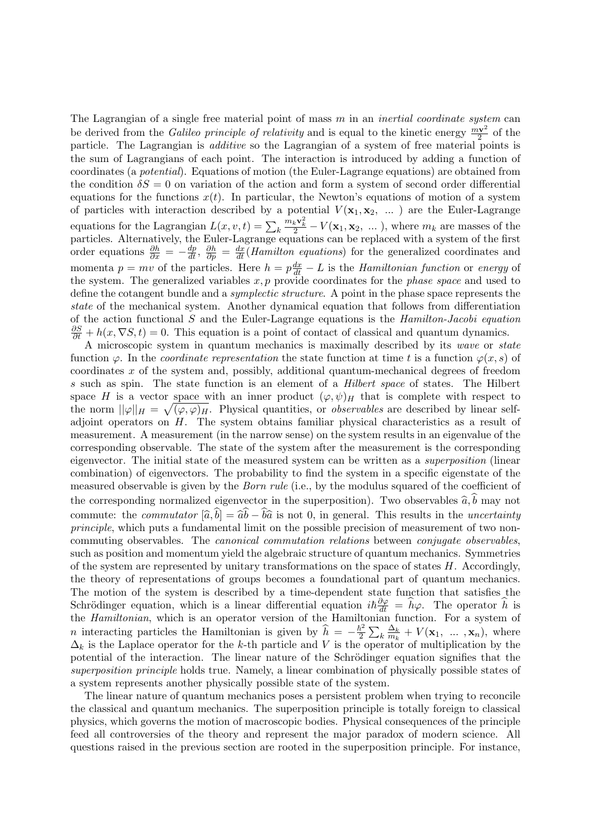The Lagrangian of a single free material point of mass  $m$  in an *inertial coordinate system* can be derived from the *Galileo principle of relativity* and is equal to the kinetic energy  $\frac{mv^2}{2}$  $\frac{2}{2}$  of the particle. The Lagrangian is additive so the Lagrangian of a system of free material points is the sum of Lagrangians of each point. The interaction is introduced by adding a function of coordinates (a potential). Equations of motion (the Euler-Lagrange equations) are obtained from the condition  $\delta S = 0$  on variation of the action and form a system of second order differential equations for the functions  $x(t)$ . In particular, the Newton's equations of motion of a system of particles with interaction described by a potential  $V(\mathbf{x}_1, \mathbf{x}_2, \dots)$  are the Euler-Lagrange equations for the Lagrangian  $L(x, v, t) = \sum_{k=1}^{n}$  $\frac{m_k \mathbf{v}_k^2}{2} - V(\mathbf{x}_1, \mathbf{x}_2, \dots)$ , where  $m_k$  are masses of the particles. Alternatively, the Euler-Lagrange equations can be replaced with a system of the first order equations  $\frac{\partial h}{\partial x} = -\frac{dp}{dt}$ ,  $\frac{\partial h}{\partial p} = \frac{dx}{dt}$  (Hamilton equations) for the generalized coordinates and momenta  $p = mv$  of the particles. Here  $h = p\frac{dx}{dt} - L$  is the *Hamiltonian function* or energy of the system. The generalized variables  $x, p$  provide coordinates for the *phase space* and used to define the cotangent bundle and a *symplectic structure*. A point in the phase space represents the state of the mechanical system. Another dynamical equation that follows from differentiation of the action functional  $S$  and the Euler-Lagrange equations is the Hamilton-Jacobi equation  $\frac{\partial S}{\partial t} + h(x, \nabla S, t) = 0$ . This equation is a point of contact of classical and quantum dynamics.

A microscopic system in quantum mechanics is maximally described by its wave or state function  $\varphi$ . In the *coordinate representation* the state function at time t is a function  $\varphi(x, s)$  of coordinates x of the system and, possibly, additional quantum-mechanical degrees of freedom s such as spin. The state function is an element of a Hilbert space of states. The Hilbert space H is a vector space with an inner product  $(\varphi, \psi)_H$  that is complete with respect to the norm  $\|\varphi\|_H = \sqrt{(\varphi, \varphi)_H}$ . Physical quantities, or *observables* are described by linear selfadjoint operators on H. The system obtains familiar physical characteristics as a result of measurement. A measurement (in the narrow sense) on the system results in an eigenvalue of the corresponding observable. The state of the system after the measurement is the corresponding eigenvector. The initial state of the measured system can be written as a *superposition* (linear combination) of eigenvectors. The probability to find the system in a specific eigenstate of the measured observable is given by the Born rule (i.e., by the modulus squared of the coefficient of the corresponding normalized eigenvector in the superposition). Two observables  $\hat{a}, \hat{b}$  may not commute: the *commutator*  $[\hat{a}, \hat{b}] = \hat{a}\hat{b} - \hat{b}\hat{a}$  is not 0, in general. This results in the *uncertainty* principle, which puts a fundamental limit on the possible precision of measurement of two noncommuting observables. The canonical commutation relations between conjugate observables, such as position and momentum yield the algebraic structure of quantum mechanics. Symmetries of the system are represented by unitary transformations on the space of states H. Accordingly, the theory of representations of groups becomes a foundational part of quantum mechanics. The motion of the system is described by a time-dependent state function that satisfies the Schrödinger equation, which is a linear differential equation  $i\hbar \frac{\partial \varphi}{\partial t} = \hat{h}\varphi$ . The operator  $\hat{h}$  is the Hamiltonian, which is an operator version of the Hamiltonian function. For a system of n interacting particles the Hamiltonian is given by  $\hat{h} = -\frac{\hbar^2}{2}$  $\frac{\hbar^2}{2}\sum_k \frac{\Delta_k}{m_k}$  $\frac{\Delta_k}{m_k} + V(\mathbf{x}_1, \dots, \mathbf{x}_n),$  where  $\Delta_k$  is the Laplace operator for the k-th particle and V is the operator of multiplication by the potential of the interaction. The linear nature of the Schrödinger equation signifies that the superposition principle holds true. Namely, a linear combination of physically possible states of a system represents another physically possible state of the system.

The linear nature of quantum mechanics poses a persistent problem when trying to reconcile the classical and quantum mechanics. The superposition principle is totally foreign to classical physics, which governs the motion of macroscopic bodies. Physical consequences of the principle feed all controversies of the theory and represent the major paradox of modern science. All questions raised in the previous section are rooted in the superposition principle. For instance,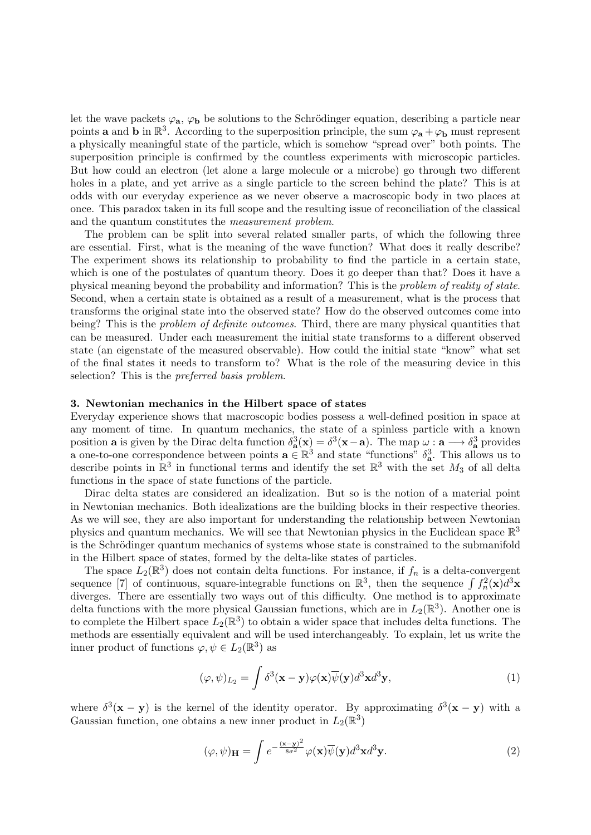let the wave packets  $\varphi_a$ ,  $\varphi_b$  be solutions to the Schrödinger equation, describing a particle near points **a** and **b** in  $\mathbb{R}^3$ . According to the superposition principle, the sum  $\varphi_a + \varphi_b$  must represent a physically meaningful state of the particle, which is somehow "spread over" both points. The superposition principle is confirmed by the countless experiments with microscopic particles. But how could an electron (let alone a large molecule or a microbe) go through two different holes in a plate, and yet arrive as a single particle to the screen behind the plate? This is at odds with our everyday experience as we never observe a macroscopic body in two places at once. This paradox taken in its full scope and the resulting issue of reconciliation of the classical and the quantum constitutes the measurement problem.

The problem can be split into several related smaller parts, of which the following three are essential. First, what is the meaning of the wave function? What does it really describe? The experiment shows its relationship to probability to find the particle in a certain state, which is one of the postulates of quantum theory. Does it go deeper than that? Does it have a physical meaning beyond the probability and information? This is the problem of reality of state. Second, when a certain state is obtained as a result of a measurement, what is the process that transforms the original state into the observed state? How do the observed outcomes come into being? This is the *problem of definite outcomes*. Third, there are many physical quantities that can be measured. Under each measurement the initial state transforms to a different observed state (an eigenstate of the measured observable). How could the initial state "know" what set of the final states it needs to transform to? What is the role of the measuring device in this selection? This is the preferred basis problem.

## 3. Newtonian mechanics in the Hilbert space of states

Everyday experience shows that macroscopic bodies possess a well-defined position in space at any moment of time. In quantum mechanics, the state of a spinless particle with a known position **a** is given by the Dirac delta function  $\delta_{\mathbf{a}}^3(\mathbf{x}) = \delta^3(\mathbf{x}-\mathbf{a})$ . The map  $\omega : \mathbf{a} \longrightarrow \delta_{\mathbf{a}}^3$  provides a one-to-one correspondence between points  $\mathbf{a} \in \mathbb{R}^3$  and state "functions"  $\delta^3_{\mathbf{a}}$ . This allows us to describe points in  $\mathbb{R}^3$  in functional terms and identify the set  $\mathbb{R}^3$  with the set  $M_3$  of all delta functions in the space of state functions of the particle.

Dirac delta states are considered an idealization. But so is the notion of a material point in Newtonian mechanics. Both idealizations are the building blocks in their respective theories. As we will see, they are also important for understanding the relationship between Newtonian physics and quantum mechanics. We will see that Newtonian physics in the Euclidean space  $\mathbb{R}^3$ is the Schrödinger quantum mechanics of systems whose state is constrained to the submanifold in the Hilbert space of states, formed by the delta-like states of particles.

The space  $L_2(\mathbb{R}^3)$  does not contain delta functions. For instance, if  $f_n$  is a delta-convergent sequence [7] of continuous, square-integrable functions on  $\mathbb{R}^3$ , then the sequence  $\int f_n^2(\mathbf{x}) d^3\mathbf{x}$ diverges. There are essentially two ways out of this difficulty. One method is to approximate delta functions with the more physical Gaussian functions, which are in  $L_2(\mathbb{R}^3)$ . Another one is to complete the Hilbert space  $L_2(\mathbb{R}^3)$  to obtain a wider space that includes delta functions. The methods are essentially equivalent and will be used interchangeably. To explain, let us write the inner product of functions  $\varphi, \psi \in L_2(\mathbb{R}^3)$  as

$$
(\varphi, \psi)_{L_2} = \int \delta^3(\mathbf{x} - \mathbf{y}) \varphi(\mathbf{x}) \overline{\psi}(\mathbf{y}) d^3 \mathbf{x} d^3 \mathbf{y},\tag{1}
$$

where  $\delta^3(\mathbf{x} - \mathbf{y})$  is the kernel of the identity operator. By approximating  $\delta^3(\mathbf{x} - \mathbf{y})$  with a Gaussian function, one obtains a new inner product in  $L_2(\mathbb{R}^3)$ 

$$
(\varphi, \psi)_{\mathbf{H}} = \int e^{-\frac{(\mathbf{x} - \mathbf{y})^2}{8\sigma^2}} \varphi(\mathbf{x}) \overline{\psi}(\mathbf{y}) d^3 \mathbf{x} d^3 \mathbf{y}.
$$
 (2)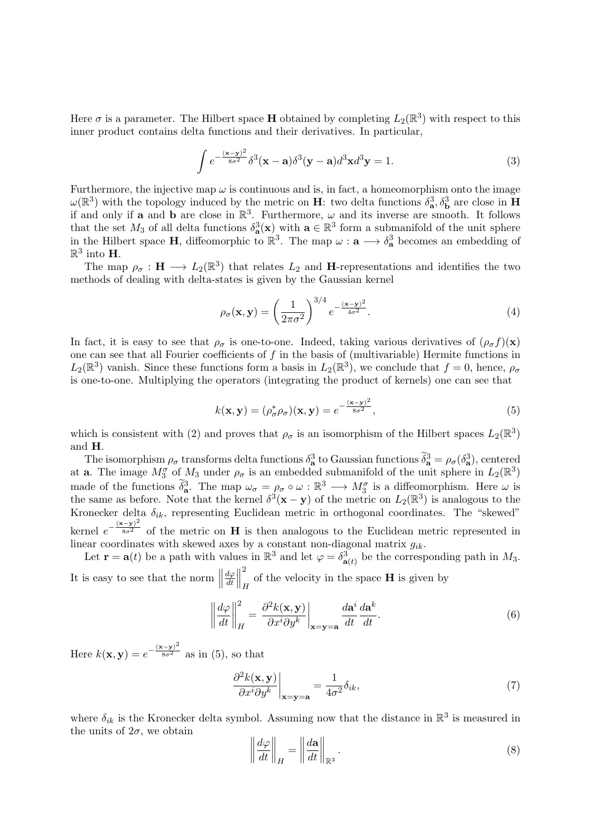Here  $\sigma$  is a parameter. The Hilbert space **H** obtained by completing  $L_2(\mathbb{R}^3)$  with respect to this inner product contains delta functions and their derivatives. In particular,

$$
\int e^{-\frac{(\mathbf{x}-\mathbf{y})^2}{8\sigma^2}} \delta^3(\mathbf{x}-\mathbf{a})\delta^3(\mathbf{y}-\mathbf{a})d^3\mathbf{x}d^3\mathbf{y} = 1.
$$
 (3)

Furthermore, the injective map  $\omega$  is continuous and is, in fact, a homeomorphism onto the image  $\omega(\mathbb{R}^3)$  with the topology induced by the metric on **H**: two delta functions  $\delta^3_{\mathbf{a}}, \delta^3_{\mathbf{b}}$  are close in **H** if and only if a and **b** are close in  $\mathbb{R}^3$ . Furthermore,  $\omega$  and its inverse are smooth. It follows that the set  $M_3$  of all delta functions  $\delta^3_{\mathbf{a}}(\mathbf{x})$  with  $\mathbf{a} \in \mathbb{R}^3$  form a submanifold of the unit sphere in the Hilbert space **H**, diffeomorphic to  $\mathbb{R}^3$ . The map  $\omega$  : **a**  $\longrightarrow \delta^3$  becomes an embedding of  $\mathbb{R}^3$  into **H**.

The map  $\rho_{\sigma} : \mathbf{H} \longrightarrow L_2(\mathbb{R}^3)$  that relates  $L_2$  and H-representations and identifies the two methods of dealing with delta-states is given by the Gaussian kernel

$$
\rho_{\sigma}(\mathbf{x}, \mathbf{y}) = \left(\frac{1}{2\pi\sigma^2}\right)^{3/4} e^{-\frac{(\mathbf{x} - \mathbf{y})^2}{4\sigma^2}}.
$$
\n(4)

In fact, it is easy to see that  $\rho_{\sigma}$  is one-to-one. Indeed, taking various derivatives of  $(\rho_{\sigma} f)(\mathbf{x})$ one can see that all Fourier coefficients of  $f$  in the basis of (multivariable) Hermite functions in  $L_2(\mathbb{R}^3)$  vanish. Since these functions form a basis in  $L_2(\mathbb{R}^3)$ , we conclude that  $f=0$ , hence,  $\rho_\sigma$ is one-to-one. Multiplying the operators (integrating the product of kernels) one can see that

$$
k(\mathbf{x}, \mathbf{y}) = (\rho_{\sigma}^* \rho_{\sigma})(\mathbf{x}, \mathbf{y}) = e^{-\frac{(\mathbf{x} - \mathbf{y})^2}{8\sigma^2}},
$$
(5)

which is consistent with (2) and proves that  $\rho_{\sigma}$  is an isomorphism of the Hilbert spaces  $L_2(\mathbb{R}^3)$ and H.

The isomorphism  $\rho_{\sigma}$  transforms delta functions  $\delta^3_{\mathbf{a}}$  to Gaussian functions  $\tilde{\delta}^3_{\mathbf{a}} = \rho_{\sigma}(\delta^3_{\mathbf{a}})$ , centered at **a**. The image  $M_3^{\sigma}$  of  $M_3$  under  $\rho_{\sigma}$  is an embedded submanifold of the unit sphere in  $L_2(\mathbb{R}^3)$ made of the functions  $\tilde{\delta}_a^3$ . The map  $\omega_\sigma = \rho_\sigma \circ \omega : \mathbb{R}^3 \longrightarrow M_3^{\sigma}$  is a diffeomorphism. Here  $\omega$  is the same as before. Note that the kernel  $\delta^3(\mathbf{x}-\mathbf{y})$  of the metric on  $L_2(\mathbb{R}^3)$  is analogous to the Kronecker delta  $\delta_{ik}$ , representing Euclidean metric in orthogonal coordinates. The "skewed" kernel  $e^{-\frac{(\mathbf{x}-\mathbf{y})^2}{8\sigma^2}}$  of the metric on **H** is then analogous to the Euclidean metric represented in linear coordinates with skewed axes by a constant non-diagonal matrix  $g_{ik}$ .

Let  $\mathbf{r} = \mathbf{a}(t)$  be a path with values in  $\mathbb{R}^3$  and let  $\varphi = \delta_{\mathbf{a}(t)}^3$  be the corresponding path in  $M_3$ . It is easy to see that the norm  $\parallel$  $d\varphi$  $\frac{d\varphi}{dt}$ 2 % of the velocity in the space **H** is given by  $H$ 

$$
\left\| \frac{d\varphi}{dt} \right\|_{H}^{2} = \left. \frac{\partial^{2} k(\mathbf{x}, \mathbf{y})}{\partial x^{i} \partial y^{k}} \right|_{\mathbf{x} = \mathbf{y} = \mathbf{a}} \frac{d\mathbf{a}^{i}}{dt} \frac{d\mathbf{a}^{k}}{dt}.
$$
\n(6)

Here  $k(\mathbf{x}, \mathbf{y}) = e^{-\frac{(\mathbf{x} - \mathbf{y})^2}{8\sigma^2}}$  as in (5), so that

$$
\left. \frac{\partial^2 k(\mathbf{x}, \mathbf{y})}{\partial x^i \partial y^k} \right|_{\mathbf{x} = \mathbf{y} = \mathbf{a}} = \frac{1}{4\sigma^2} \delta_{ik},\tag{7}
$$

where  $\delta_{ik}$  is the Kronecker delta symbol. Assuming now that the distance in  $\mathbb{R}^3$  is measured in the units of  $2\sigma$ , we obtain

$$
\left\| \frac{d\varphi}{dt} \right\|_{H} = \left\| \frac{d\mathbf{a}}{dt} \right\|_{\mathbb{R}^{3}}.
$$
\n(8)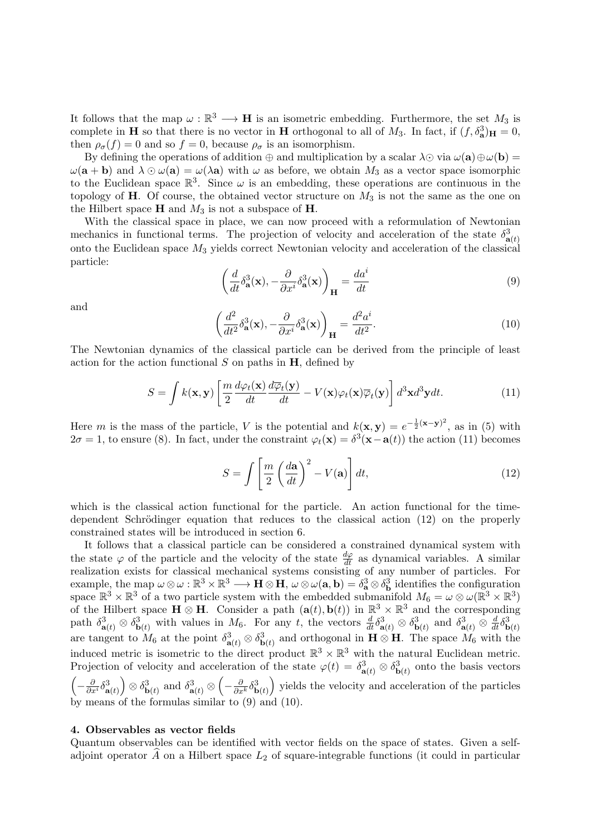It follows that the map  $\omega : \mathbb{R}^3 \longrightarrow \mathbf{H}$  is an isometric embedding. Furthermore, the set  $M_3$  is complete in **H** so that there is no vector in **H** orthogonal to all of  $M_3$ . In fact, if  $(f, \delta^3_{\mathbf{a}})_{\mathbf{H}} = 0$ , then  $\rho_{\sigma}(f) = 0$  and so  $f = 0$ , because  $\rho_{\sigma}$  is an isomorphism.

By defining the operations of addition  $\oplus$  and multiplication by a scalar  $\lambda \odot \text{ via } \omega(\mathbf{a}) \oplus \omega(\mathbf{b}) =$  $\omega(\mathbf{a} + \mathbf{b})$  and  $\lambda \odot \omega(\mathbf{a}) = \omega(\lambda \mathbf{a})$  with  $\omega$  as before, we obtain  $M_3$  as a vector space isomorphic to the Euclidean space  $\mathbb{R}^3$ . Since  $\omega$  is an embedding, these operations are continuous in the topology of H. Of course, the obtained vector structure on  $M_3$  is not the same as the one on the Hilbert space  $H$  and  $M_3$  is not a subspace of  $H$ .

With the classical space in place, we can now proceed with a reformulation of Newtonian mechanics in functional terms. The projection of velocity and acceleration of the state  $\delta^3_{\mathbf{a}(t)}$ onto the Euclidean space  $M_3$  yields correct Newtonian velocity and acceleration of the classical particle:

$$
\left(\frac{d}{dt}\delta^3_{\mathbf{a}}(\mathbf{x}), -\frac{\partial}{\partial x^i}\delta^3_{\mathbf{a}}(\mathbf{x})\right)_{\mathbf{H}} = \frac{da^i}{dt}
$$
\n(9)

and

$$
\left(\frac{d^2}{dt^2}\delta^3_{\mathbf{a}}(\mathbf{x}), -\frac{\partial}{\partial x^i}\delta^3_{\mathbf{a}}(\mathbf{x})\right)_{\mathbf{H}} = \frac{d^2a^i}{dt^2}.
$$
\n(10)

The Newtonian dynamics of the classical particle can be derived from the principle of least action for the action functional  $S$  on paths in  $H$ , defined by

$$
S = \int k(\mathbf{x}, \mathbf{y}) \left[ \frac{m}{2} \frac{d\varphi_t(\mathbf{x})}{dt} \frac{d\overline{\varphi}_t(\mathbf{y})}{dt} - V(\mathbf{x}) \varphi_t(\mathbf{x}) \overline{\varphi}_t(\mathbf{y}) \right] d^3 \mathbf{x} d^3 \mathbf{y} dt.
$$
 (11)

Here m is the mass of the particle, V is the potential and  $k(\mathbf{x}, \mathbf{y}) = e^{-\frac{1}{2}(\mathbf{x}-\mathbf{y})^2}$ , as in (5) with  $2\sigma = 1$ , to ensure (8). In fact, under the constraint  $\varphi_t(\mathbf{x}) = \delta^3(\mathbf{x}-\mathbf{a}(t))$  the action (11) becomes

$$
S = \int \left[ \frac{m}{2} \left( \frac{d\mathbf{a}}{dt} \right)^2 - V(\mathbf{a}) \right] dt,
$$
\n(12)

which is the classical action functional for the particle. An action functional for the timedependent Schrödinger equation that reduces to the classical action  $(12)$  on the properly constrained states will be introduced in section 6.

It follows that a classical particle can be considered a constrained dynamical system with the state  $\varphi$  of the particle and the velocity of the state  $\frac{d\varphi}{dt}$  as dynamical variables. A similar realization exists for classical mechanical systems consisting of any number of particles. For example, the map  $\omega \otimes \omega : \mathbb{R}^3 \times \mathbb{R}^3 \longrightarrow \mathbf{H} \otimes \mathbf{H}, \ \omega \otimes \omega(\mathbf{a}, \mathbf{b}) = \delta^3_{\mathbf{a}} \otimes \delta^3_{\mathbf{b}}$  identifies the configuration space  $\mathbb{R}^3 \times \mathbb{R}^3$  of a two particle system with the embedded submanifold  $M_6 = \omega \otimes \omega(\mathbb{R}^3 \times \mathbb{R}^3)$ of the Hilbert space  $\mathbf{H} \otimes \mathbf{H}$ . Consider a path  $(\mathbf{a}(t), \mathbf{b}(t))$  in  $\mathbb{R}^3 \times \mathbb{R}^3$  and the corresponding path  $\delta^3_{\mathbf{a}(t)} \otimes \delta^3_{\mathbf{b}(t)}$  with values in  $M_6$ . For any t, the vectors  $\frac{d}{dt} \delta^3_{\mathbf{a}(t)} \otimes \delta^3_{\mathbf{b}(t)}$  and  $\delta^3_{\mathbf{a}(t)} \otimes \frac{d}{dt} \delta^3_{\mathbf{b}(t)}$ are tangent to  $M_6$  at the point  $\delta^3_{\mathbf{a}(t)} \otimes \delta^3_{\mathbf{b}(t)}$  and orthogonal in  $\mathbf{H} \otimes \mathbf{H}$ . The space  $M_6$  with the induced metric is isometric to the direct product  $\mathbb{R}^3 \times \mathbb{R}^3$  with the natural Euclidean metric. Projection of velocity and acceleration of the state  $\varphi(t) = \delta^3_{\mathbf{a}(t)} \otimes \delta^3_{\mathbf{b}(t)}$  onto the basis vectors  $\left(-\frac{\partial}{\partial x^i}\delta^3_{\mathbf{a}(t)}\right)\otimes\delta^3_{\mathbf{b}(t)}$  and  $\delta^3_{\mathbf{a}(t)}\otimes\left(-\frac{\partial}{\partial x^k}\delta^3_{\mathbf{b}(t)}\right)$  yields the velocity and acceleration of the particles by means of the formulas similar to (9) and (10).

#### 4. Observables as vector fields

Quantum observables can be identified with vector fields on the space of states. Given a selfadjoint operator  $\tilde{A}$  on a Hilbert space  $L_2$  of square-integrable functions (it could in particular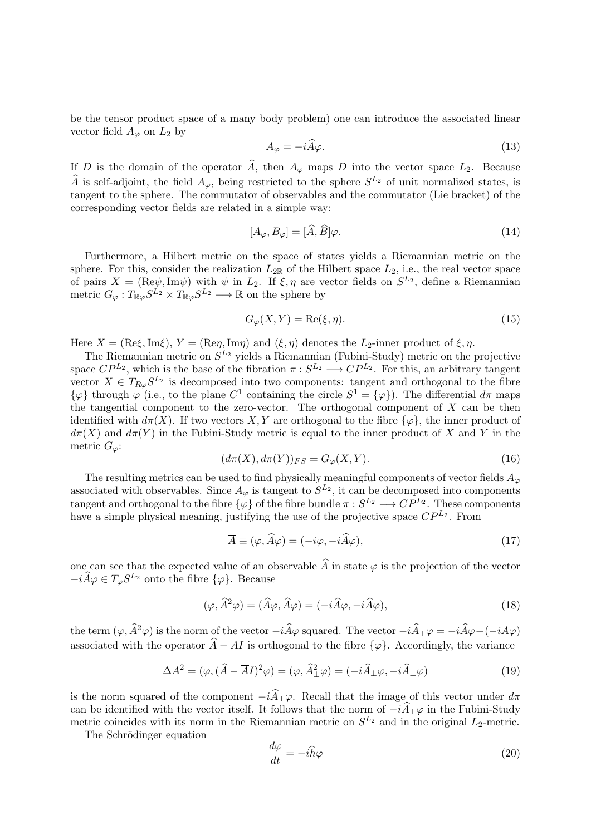be the tensor product space of a many body problem) one can introduce the associated linear vector field  $A_{\varphi}$  on  $L_2$  by

$$
A_{\varphi} = -i\hat{A}\varphi. \tag{13}
$$

If D is the domain of the operator  $\widehat{A}$ , then  $A_{\varphi}$  maps D into the vector space  $L_2$ . Because  $\widehat{A}$  is self-adjoint, the field  $A_{\varphi}$ , being restricted to the sphere  $S^{L_2}$  of unit normalized states, is tangent to the sphere. The commutator of observables and the commutator (Lie bracket) of the corresponding vector fields are related in a simple way:

$$
[A_{\varphi}, B_{\varphi}] = [\hat{A}, \hat{B}]\varphi. \tag{14}
$$

Furthermore, a Hilbert metric on the space of states yields a Riemannian metric on the sphere. For this, consider the realization  $L_{2\mathbb{R}}$  of the Hilbert space  $L_2$ , i.e., the real vector space of pairs  $X = (Re\psi, Im\psi)$  with  $\psi$  in  $L_2$ . If  $\xi, \eta$  are vector fields on  $S^{L_2}$ , define a Riemannian metric  $G_{\varphi}: T_{\mathbb{R}\varphi}S^{L_2} \times T_{\mathbb{R}\varphi}S^{L_2} \longrightarrow \mathbb{R}$  on the sphere by

$$
G_{\varphi}(X, Y) = \text{Re}(\xi, \eta). \tag{15}
$$

Here  $X = (Re\xi, Im\xi), Y = (Re\eta, Im\eta)$  and  $(\xi, \eta)$  denotes the  $L_2$ -inner product of  $\xi, \eta$ .

The Riemannian metric on  $S^{L_2}$  yields a Riemannian (Fubini-Study) metric on the projective space  $CP^{L_2}$ , which is the base of the fibration  $\pi : S^{L_2} \longrightarrow CP^{L_2}$ . For this, an arbitrary tangent vector  $X \in T_{R\varphi}S^{L_2}$  is decomposed into two components: tangent and orthogonal to the fibre  $\{\varphi\}$  through  $\varphi$  (i.e., to the plane C<sup>1</sup> containing the circle  $S^1 = {\varphi\}$ ). The differential  $d\pi$  maps the tangential component to the zero-vector. The orthogonal component of  $X$  can be then identified with  $d\pi(X)$ . If two vectors X, Y are orthogonal to the fibre  $\{\varphi\}$ , the inner product of  $d\pi(X)$  and  $d\pi(Y)$  in the Fubini-Study metric is equal to the inner product of X and Y in the metric  $G_{\varphi}$ :

$$
(d\pi(X), d\pi(Y))_{FS} = G_{\varphi}(X, Y). \tag{16}
$$

The resulting metrics can be used to find physically meaningful components of vector fields  $A_{\varphi}$ associated with observables. Since  $A_{\varphi}$  is tangent to  $S^{L_2}$ , it can be decomposed into components tangent and orthogonal to the fibre  $\{\varphi\}$  of the fibre bundle  $\pi : S^{L_2} \longrightarrow CP^{L_2}$ . These components have a simple physical meaning, justifying the use of the projective space  $\mathbb{CP}^{L_2}$ . From

$$
\overline{A} \equiv (\varphi, \widehat{A}\varphi) = (-i\varphi, -i\widehat{A}\varphi),\tag{17}
$$

one can see that the expected value of an observable  $\hat{A}$  in state  $\varphi$  is the projection of the vector  $-i\hat{A}\varphi \in T_{\varphi}S^{L_2}$  onto the fibre  $\{\varphi\}$ . Because

$$
(\varphi, \widehat{A}^2 \varphi) = (\widehat{A}\varphi, \widehat{A}\varphi) = (-i\widehat{A}\varphi, -i\widehat{A}\varphi), \tag{18}
$$

the term  $(\varphi, \widehat{A}^2\varphi)$  is the norm of the vector  $-i\widehat{A}\varphi$  squared. The vector  $-i\widehat{A}_\perp\varphi = -i\widehat{A}\varphi - (-i\overline{A}\varphi)$ associated with the operator  $\widehat{A} - \overline{A}I$  is orthogonal to the fibre  $\{\varphi\}$ . Accordingly, the variance

$$
\Delta A^2 = (\varphi, (\hat{A} - \overline{A}I)^2 \varphi) = (\varphi, \hat{A}^2_{\perp} \varphi) = (-i\hat{A}_{\perp} \varphi, -i\hat{A}_{\perp} \varphi)
$$
(19)

is the norm squared of the component  $-i\hat{A}_{\perp}\varphi$ . Recall that the image of this vector under  $d\pi$ can be identified with the vector itself. It follows that the norm of  $-i\hat{A}_\perp\varphi$  in the Fubini-Study metric coincides with its norm in the Riemannian metric on  $S^{L_2}$  and in the original  $L_2$ -metric.

The Schrödinger equation

$$
\frac{d\varphi}{dt} = -i\widehat{h}\varphi\tag{20}
$$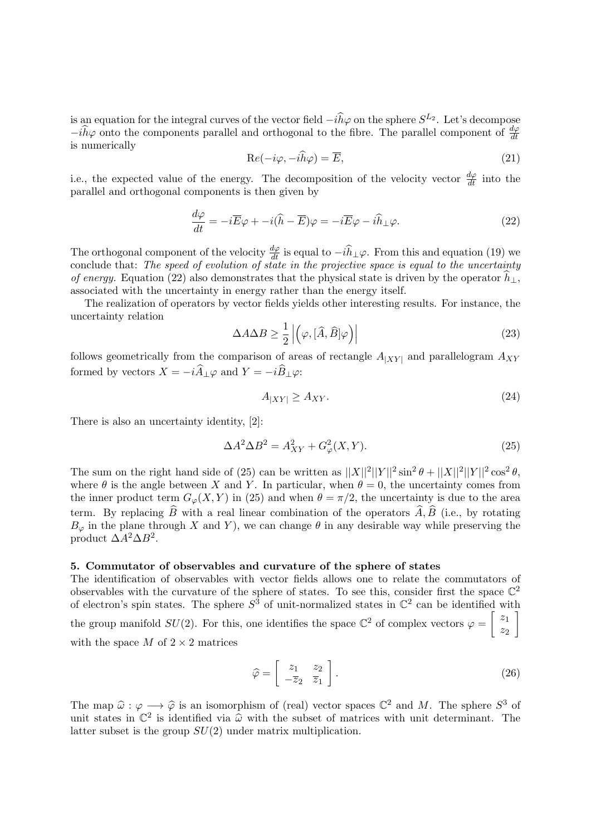is an equation for the integral curves of the vector field  $-i\hat{h}\varphi$  on the sphere  $S^{L_2}$ . Let's decompose  $-i\hat{h}\varphi$  onto the components parallel and orthogonal to the fibre. The parallel component of  $\frac{d\varphi}{dt}$ is numerically

$$
Re(-i\varphi, -i\widehat{h}\varphi) = \overline{E},\tag{21}
$$

i.e., the expected value of the energy. The decomposition of the velocity vector  $\frac{d\varphi}{dt}$  into the parallel and orthogonal components is then given by

$$
\frac{d\varphi}{dt} = -i\overline{E}\varphi + -i(\widehat{h} - \overline{E})\varphi = -i\overline{E}\varphi - i\widehat{h}_{\perp}\varphi.
$$
\n(22)

The orthogonal component of the velocity  $\frac{d\varphi}{dt}$  is equal to  $-i\hat{h}_{\perp}\varphi$ . From this and equation (19) we conclude that: The speed of evolution of state in the projective space is equal to the uncertainty of energy. Equation (22) also demonstrates that the physical state is driven by the operator  $\hat{h}_{\perp}$ , associated with the uncertainty in energy rather than the energy itself.

The realization of operators by vector fields yields other interesting results. For instance, the uncertainty relation

$$
\Delta A \Delta B \ge \frac{1}{2} \left| \left( \varphi, [\hat{A}, \hat{B}] \varphi \right) \right| \tag{23}
$$

follows geometrically from the comparison of areas of rectangle  $A_{|XY|}$  and parallelogram  $A_{XY}$ formed by vectors  $X = -i\widehat{A}_\perp\varphi$  and  $Y = -i\widehat{B}_\perp\varphi$ :

$$
A_{|XY|} \ge A_{XY}.\tag{24}
$$

There is also an uncertainty identity, [2]:

$$
\Delta A^2 \Delta B^2 = A_{XY}^2 + G_{\varphi}^2(X, Y). \tag{25}
$$

The sum on the right hand side of (25) can be written as  $||X||^2||Y||^2\sin^2\theta + ||X||^2||Y||^2\cos^2\theta$ , where  $\theta$  is the angle between X and Y. In particular, when  $\theta = 0$ , the uncertainty comes from the inner product term  $G_{\varphi}(X, Y)$  in (25) and when  $\theta = \pi/2$ , the uncertainty is due to the area term. By replacing  $\widehat{B}$  with a real linear combination of the operators  $\widehat{A}$ ,  $\widehat{B}$  (i.e., by rotating  $B_{\varphi}$  in the plane through X and Y), we can change  $\theta$  in any desirable way while preserving the product  $\Delta A^2 \Delta B^2$ .

#### 5. Commutator of observables and curvature of the sphere of states

The identification of observables with vector fields allows one to relate the commutators of observables with the curvature of the sphere of states. To see this, consider first the space  $\mathbb{C}^2$ of electron's spin states. The sphere  $S^3$  of unit-normalized states in  $\mathbb{C}^2$  can be identified with the group manifold  $SU(2)$ . For this, one identifies the space  $\mathbb{C}^2$  of complex vectors  $\varphi = \begin{bmatrix} z_1 \\ z_2 \end{bmatrix}$  $\overline{z_2}$ 1 with the space M of  $2 \times 2$  matrices

$$
\widehat{\varphi} = \begin{bmatrix} z_1 & z_2 \\ -\overline{z}_2 & \overline{z}_1 \end{bmatrix} . \tag{26}
$$

The map  $\hat{\omega} : \varphi \longrightarrow \hat{\varphi}$  is an isomorphism of (real) vector spaces  $\mathbb{C}^2$  and M. The sphere  $S^3$  of unit states in  $\mathbb{C}^2$  is identified via  $\hat{\omega}$  with the subset of matrices with unit determinant. The unit states in  $\mathbb{C}^2$  is identified via  $\hat{\omega}$  with the subset of matrices with unit determinant. The latter subset is the group  $SU(2)$  under matrix multiplication latter subset is the group  $SU(2)$  under matrix multiplication.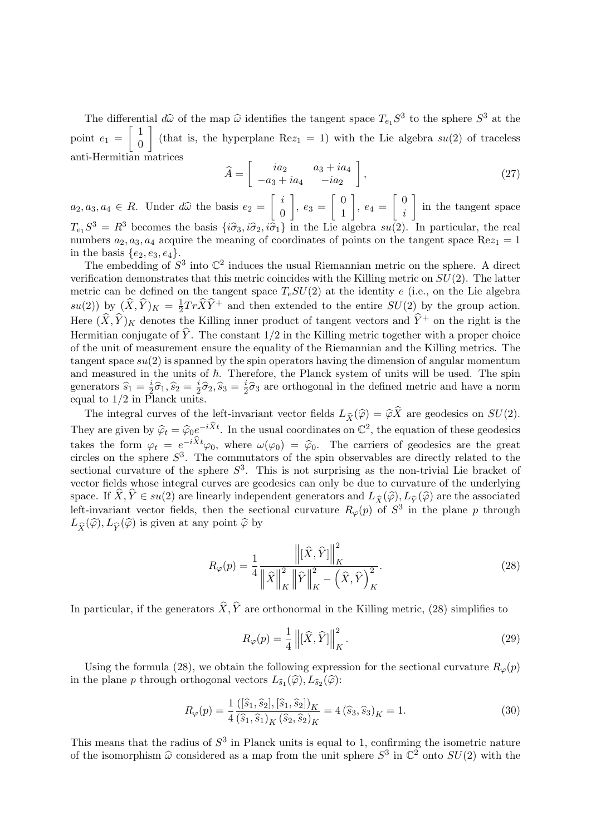The differential  $d\hat{\omega}$  of the map  $\hat{\omega}$  identifies the tangent space  $T_{e_1}S^3$  to the sphere  $S^3$  at the point  $e_1 = \begin{bmatrix} 1 \\ 0 \end{bmatrix}$ 0 (that is, the hyperplane Re $z_1 = 1$ ) with the Lie algebra  $su(2)$  of traceless anti-Hermitian matrices

$$
\widehat{A} = \begin{bmatrix} ia_2 & a_3 + ia_4 \\ -a_3 + ia_4 & -ia_2 \end{bmatrix},
$$
\n(27)

 $a_2, a_3, a_4 \in R$ . Under  $d\hat{\omega}$  the basis  $e_2 = \begin{bmatrix} i \\ 0 \end{bmatrix}$ 0  $\Big\}, e_3 = \Big\{ \begin{array}{c} 0 \\ 1 \end{array} \Big\}$ 1  $\Big\}, e_4 = \Big\{ \begin{array}{c} 0 \\ i \end{array} \Big\}$ i in the tangent space  $T_{e_1}S^3 = R^3$  becomes the basis  $\{i\hat{\sigma}_3, i\hat{\sigma}_2, i\hat{\sigma}_1\}$  in the Lie algebra  $su(2)$ . In particular, the real numbers  $a_2, a_3, a_4$  acquire the meaning of coordinates of points on the tangent space  $\text{Re}z_1 = 1$ in the basis  $\{e_2, e_3, e_4\}.$ 

The embedding of  $S^3$  into  $\mathbb{C}^2$  induces the usual Riemannian metric on the sphere. A direct verification demonstrates that this metric coincides with the Killing metric on  $SU(2)$ . The latter metric can be defined on the tangent space  $T_eSU(2)$  at the identity e (i.e., on the Lie algebra  $su(2)$ ) by  $(\widehat{X}, \widehat{Y})_K = \frac{1}{2}$  $\frac{1}{2} Tr \widehat{X} \widehat{Y}^+$  and then extended to the entire  $SU(2)$  by the group action. Here  $(\widehat{X}, \widehat{Y})_K$  denotes the Killing inner product of tangent vectors and  $\widehat{Y}^+$  on the right is the Hermitian conjugate of  $\hat{Y}$ . The constant 1/2 in the Killing metric together with a proper choice of the unit of measurement ensure the equality of the Riemannian and the Killing metrics. The tangent space  $su(2)$  is spanned by the spin operators having the dimension of angular momentum and measured in the units of  $\hbar$ . Therefore, the Planck system of units will be used. The spin generators  $\widehat{s}_1 = \frac{i}{2}$ <br>equal to  $1/2$  in P  $\frac{i}{2}\widehat{\sigma}_{1}, \widehat{s}_{2} = \frac{i}{2}$  $\frac{i}{2}\widehat{\sigma}_{2},\widehat{s}_{3}=\frac{i}{2}% \sum_{j=1}^{3}(\widehat{\sigma}_{j}^{2}-\widehat{\sigma}_{j}^{2})+\widehat{s}_{3}=\frac{i}{2}% \sum_{j=1}^{3}(\widehat{\sigma}_{j}^{2}-\widehat{\sigma}_{j}^{2})+\widehat{s}_{3}=\frac{i}{2}% \sum_{j=1}^{3}(\widehat{\sigma}_{j}^{2}-\widehat{\sigma}_{j}^{2})+\widehat{s}_{3}=\frac{i}{2}% \sum_{j=1}^{3}(\widehat{\sigma}_{j}^{2}-\widehat{\sigma}_{j}^{2})+\widehat{s}_{3}=\frac{i}{2}% \sum_{j=1}^{3}(\widehat{\$  $\frac{i}{2}\hat{\sigma}_3$  are orthogonal in the defined metric and have a norm equal to 1/2 in Planck units.

The integral curves of the left-invariant vector fields  $L_{\hat{X}}(\hat{\varphi}) = \hat{\varphi}\hat{X}$  are geodesics on  $SU(2)$ . They are given by  $\hat{\varphi}_t = \hat{\varphi}_0 e^{-i\hat{X}t}$ . In the usual coordinates on  $\mathbb{C}^2$ , the equation of these geodesics takes the form  $\varphi_t = e^{-iXt}\varphi_0$ , where  $\omega(\varphi_0) = \hat{\varphi}_0$ . The carriers of geodesics are the great<br>circles on the sphere  $S^3$ . The commutators of the spin observables are directly related to the circles on the sphere  $S^3$ . The commutators of the spin observables are directly related to the sectional curvature of the sphere  $S^3$ . This is not surprising as the non-trivial Lie bracket of vector fields whose integral curves are geodesics can only be due to curvature of the underlying space. If  $\hat{X}, \hat{Y} \in su(2)$  are linearly independent generators and  $L_{\hat{X}}(\hat{\varphi}), L_{\hat{Y}}(\hat{\varphi})$  are the associated left-invariant vector fields, then the sectional curvature  $R_{\varphi}(p)$  of  $S^3$  in the plane p through  $L_{\widehat{X}}(\widehat{\varphi}), L_{\widehat{Y}}(\widehat{\varphi})$  is given at any point  $\widehat{\varphi}$  by

$$
R_{\varphi}(p) = \frac{1}{4} \frac{\left\| \left[ \widehat{X}, \widehat{Y} \right] \right\|_{K}^{2}}{\left\| \widehat{X} \right\|_{K}^{2} \left\| \widehat{Y} \right\|_{K}^{2} - \left( \widehat{X}, \widehat{Y} \right)_{K}^{2}}.
$$
\n(28)

In particular, if the generators  $\hat{X}, \hat{Y}$  are orthonormal in the Killing metric, (28) simplifies to

$$
R_{\varphi}(p) = \frac{1}{4} \left\| [\hat{X}, \hat{Y}] \right\|_{K}^{2}.
$$
 (29)

Using the formula (28), we obtain the following expression for the sectional curvature  $R_{\varphi}(p)$ in the plane p through orthogonal vectors  $L_{\widehat{s}_1}(\widehat{\varphi}), L_{\widehat{s}_2}(\widehat{\varphi})$ :

$$
R_{\varphi}(p) = \frac{1}{4} \frac{([\hat{s}_1, \hat{s}_2], [\hat{s}_1, \hat{s}_2])_K}{(\hat{s}_1, \hat{s}_1)_K (\hat{s}_2, \hat{s}_2)_K} = 4 (\hat{s}_3, \hat{s}_3)_K = 1.
$$
 (30)

This means that the radius of  $S<sup>3</sup>$  in Planck units is equal to 1, confirming the isometric nature of the isomorphism  $\hat{\omega}$  considered as a map from the unit sphere  $S^3$  in  $\mathbb{C}^2$  onto  $SU(2)$  with the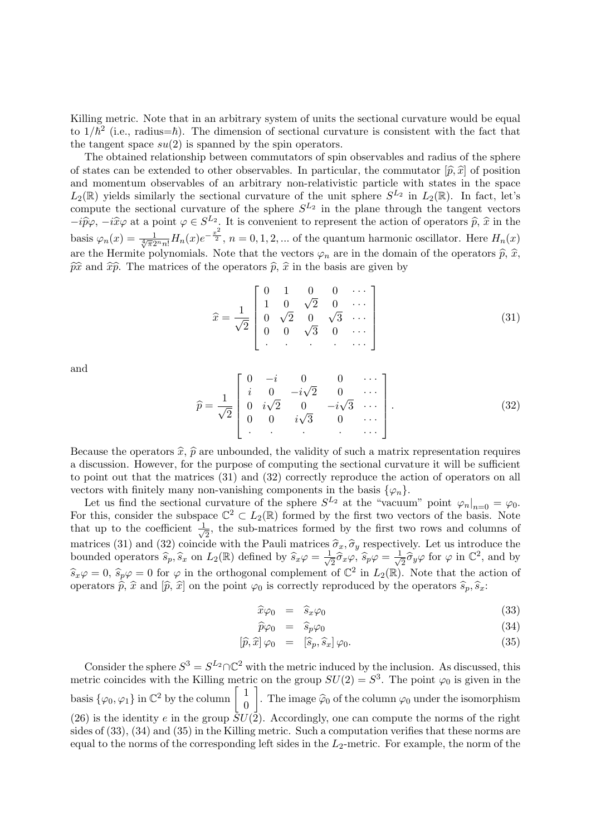Killing metric. Note that in an arbitrary system of units the sectional curvature would be equal to  $1/\hbar^2$  (i.e., radius= $\hbar$ ). The dimension of sectional curvature is consistent with the fact that the tangent space  $su(2)$  is spanned by the spin operators.

The obtained relationship between commutators of spin observables and radius of the sphere of states can be extended to other observables. In particular, the commutator  $[\hat{p}, \hat{x}]$  of position and momentum observables of an arbitrary non-relativistic particle with states in the space  $L_2(\mathbb{R})$  yields similarly the sectional curvature of the unit sphere  $S^{L_2}$  in  $L_2(\mathbb{R})$ . In fact, let's compute the sectional curvature of the sphere  $S^{L_2}$  in the plane through the tangent vectors  $-i\hat{p}\varphi$ ,  $-i\hat{x}\varphi$  at a point  $\varphi \in S^{L_2}$ . It is convenient to represent the action of operators  $\hat{p}, \hat{x}$  in the basis  $\varphi_n(x) = \frac{1}{\sqrt[4]{\pi}2^n n!} H_n(x) e^{-\frac{x^2}{2}}, n = 0, 1, 2, ...$  of the quantum harmonic oscillator. Here  $H_n(x)$ are the Hermite polynomials. Note that the vectors  $\varphi_n$  are in the domain of the operators  $\widehat{p}, \widehat{x},$  $\hat{p}\hat{x}$  and  $\hat{x}\hat{p}$ . The matrices of the operators  $\hat{p}$ ,  $\hat{x}$  in the basis are given by

$$
\hat{x} = \frac{1}{\sqrt{2}} \begin{bmatrix} 0 & 1 & 0 & 0 & \cdots \\ 1 & 0 & \sqrt{2} & 0 & \cdots \\ 0 & \sqrt{2} & 0 & \sqrt{3} & \cdots \\ 0 & 0 & \sqrt{3} & 0 & \cdots \\ \vdots & \vdots & \vdots & \ddots & \vdots \end{bmatrix}
$$
(31)

and

$$
\widehat{p} = \frac{1}{\sqrt{2}} \begin{bmatrix} 0 & -i & 0 & 0 & \cdots \\ i & 0 & -i\sqrt{2} & 0 & \cdots \\ 0 & i\sqrt{2} & 0 & -i\sqrt{3} & \cdots \\ 0 & 0 & i\sqrt{3} & 0 & \cdots \\ \vdots & \vdots & \vdots & \ddots & \vdots \end{bmatrix} .
$$
\n(32)

Because the operators  $\hat{x}, \hat{p}$  are unbounded, the validity of such a matrix representation requires a discussion. However, for the purpose of computing the sectional curvature it will be sufficient to point out that the matrices (31) and (32) correctly reproduce the action of operators on all vectors with finitely many non-vanishing components in the basis  $\{\varphi_n\}.$ 

Let us find the sectional curvature of the sphere  $S^{L_2}$  at the "vacuum" point  $\varphi_n|_{n=0} = \varphi_0$ . For this, consider the subspace  $\mathbb{C}^2 \subset L_2(\mathbb{R})$  formed by the first two vectors of the basis. Note that up to the coefficient  $\frac{1}{\sqrt{2}}$  $\frac{1}{2}$ , the sub-matrices formed by the first two rows and columns of matrices (31) and (32) coincide with the Pauli matrices  $\hat{\sigma}_x$ ,  $\hat{\sigma}_y$  respectively. Let us introduce the bounded operators  $\hat{\sigma}_x$ ,  $\hat{\sigma}_y$  on  $L_c(\mathbb{R})$  defined by  $\hat{\sigma}_y$   $(0, -1, \hat{\sigma}_y)$   $(0, \hat{\sigma}_y)$  for  $(0, \text{$ bounded operators  $\widehat{s}_p$ ,  $\widehat{s}_x$  on  $L_2(\mathbb{R})$  defined by  $\widehat{s}_x\varphi = \frac{1}{\sqrt{2\pi}}$  $\frac{1}{2}\widehat{\sigma}_x\varphi,\ \widehat{s}_p\varphi=\frac{1}{\sqrt{2}}$  $\overline{2}\widehat{\sigma}_y \varphi$  for  $\varphi$  in  $\mathbb{C}^2$ , and by  $\hat{s}_x\varphi = 0$ ,  $\hat{s}_p\varphi = 0$  for  $\varphi$  in the orthogonal complement of  $\mathbb{C}^2$  in  $L_2(\mathbb{R})$ . Note that the action of operators  $\hat{p}, \hat{x}$  and  $[\hat{p}, \hat{x}]$  on the point  $\varphi_0$  is correctly reproduced by the operators  $\hat{s}_p, \hat{s}_x$ :

$$
\widehat{x}\varphi_0 = \widehat{s}_x \varphi_0 \tag{33}
$$

$$
\widehat{p}\varphi_0 = \widehat{s}_p\varphi_0 \tag{34}
$$

$$
\left[\widehat{p},\widehat{x}\right]\varphi_0 = \left[\widehat{s}_p,\widehat{s}_x\right]\varphi_0. \tag{35}
$$

Consider the sphere  $S^3 = S^{L_2} \cap \mathbb{C}^2$  with the metric induced by the inclusion. As discussed, this metric coincides with the Killing metric on the group  $SU(2) = S^3$ . The point  $\varphi_0$  is given in the basis  $\{\varphi_0, \varphi_1\}$  in  $\mathbb{C}^2$  by the column  $\left[\right]$ 1  $\boldsymbol{0}$ . The image  $\hat{\varphi}_0$  of the column  $\varphi_0$  under the isomorphism (26) is the identity e in the group  $SU(2)$ . Accordingly, one can compute the norms of the right sides of (33), (34) and (35) in the Killing metric. Such a computation verifies that these norms are equal to the norms of the corresponding left sides in the  $L_2$ -metric. For example, the norm of the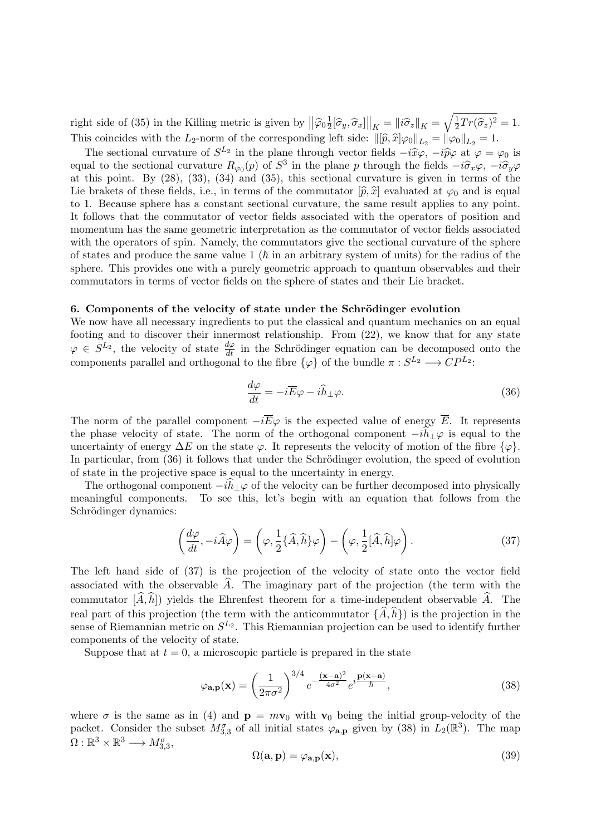right side of (35) in the Killing metric is given by  $\|\hat{\varphi}_0\|_2^2$  $\frac{1}{2}[\widehat{\sigma}_y, \widehat{\sigma}_x] \big\|_K = \|i\widehat{\sigma}_z\|_K = \sqrt{\frac{1}{2}}$  $\frac{1}{2}Tr(\widehat{\sigma}_z)^2=1.$ This coincides with the L<sub>2</sub>-norm of the corresponding left side:  $\|\widehat{p}, \widehat{x}|\varphi_0\|_{L_2} = \|\varphi_0\|_{L_2} = 1$ .<br>The positional numerical of  $GL_2$  in the plane through postage folds  $\widehat{x}$  is  $\widehat{x}$  of the

The sectional curvature of  $S^{L_2}$  in the plane through vector fields  $-i\hat{x}\varphi$ ,  $-i\hat{p}\varphi$  at  $\varphi = \varphi_0$  is equal to the sectional curvature  $R_{\varphi_0}(p)$  of  $S^3$  in the plane p through the fields  $-i\hat{\sigma}_x\varphi$ ,  $-i\hat{\sigma}_y\varphi$ <br>at this point. By (28) (33) (34) and (35) this sectional curvature is given in terms of the at this point. By (28), (33), (34) and (35), this sectional curvature is given in terms of the Lie brakets of these fields, i.e., in terms of the commutator  $[\hat{p}, \hat{x}]$  evaluated at  $\varphi_0$  and is equal to 1. Because sphere has a constant sectional curvature, the same result applies to any point. It follows that the commutator of vector fields associated with the operators of position and momentum has the same geometric interpretation as the commutator of vector fields associated with the operators of spin. Namely, the commutators give the sectional curvature of the sphere of states and produce the same value 1 ( $\hbar$  in an arbitrary system of units) for the radius of the sphere. This provides one with a purely geometric approach to quantum observables and their commutators in terms of vector fields on the sphere of states and their Lie bracket.

# 6. Components of the velocity of state under the Schrödinger evolution

We now have all necessary ingredients to put the classical and quantum mechanics on an equal footing and to discover their innermost relationship. From (22), we know that for any state  $\varphi \in S^{L_2}$ , the velocity of state  $\frac{d\varphi}{dt}$  in the Schrödinger equation can be decomposed onto the components parallel and orthogonal to the fibre  $\{\varphi\}$  of the bundle  $\pi : S^{L_2} \longrightarrow CP^{L_2}$ :

$$
\frac{d\varphi}{dt} = -i\overline{E}\varphi - i\widehat{h}_{\perp}\varphi.
$$
\n(36)

The norm of the parallel component  $-i\overline{E}\varphi$  is the expected value of energy  $\overline{E}$ . It represents the phase velocity of state. The norm of the orthogonal component  $-i\hat{h}_{\perp}\varphi$  is equal to the uncertainty of energy  $\Delta E$  on the state  $\varphi$ . It represents the velocity of motion of the fibre  $\{\varphi\}$ . In particular, from (36) it follows that under the Schrödinger evolution, the speed of evolution of state in the projective space is equal to the uncertainty in energy.

The orthogonal component  $-i\dot{h}_{\perp}\varphi$  of the velocity can be further decomposed into physically meaningful components. To see this, let's begin with an equation that follows from the Schrödinger dynamics:

$$
\left(\frac{d\varphi}{dt}, -i\widehat{A}\varphi\right) = \left(\varphi, \frac{1}{2}\{\widehat{A}, \widehat{h}\}\varphi\right) - \left(\varphi, \frac{1}{2}[\widehat{A}, \widehat{h}]\varphi\right). \tag{37}
$$

The left hand side of (37) is the projection of the velocity of state onto the vector field associated with the observable  $\widehat{A}$ . The imaginary part of the projection (the term with the commutator  $[\hat{A}, \hat{h}]$ ) yields the Ehrenfest theorem for a time-independent observable  $\hat{A}$ . The real part of this projection (the term with the anticommutator  $\{\widehat{A}, \widehat{h}\}\)$ ) is the projection in the sense of Riemannian metric on  $S^{L_2}$ . This Riemannian projection can be used to identify further components of the velocity of state.

Suppose that at  $t = 0$ , a microscopic particle is prepared in the state

$$
\varphi_{\mathbf{a},\mathbf{p}}(\mathbf{x}) = \left(\frac{1}{2\pi\sigma^2}\right)^{3/4} e^{-\frac{(\mathbf{x}-\mathbf{a})^2}{4\sigma^2}} e^{i\frac{\mathbf{p}(\mathbf{x}-\mathbf{a})}{\hbar}},\tag{38}
$$

where  $\sigma$  is the same as in (4) and  $\mathbf{p} = m\mathbf{v}_0$  with  $\mathbf{v}_0$  being the initial group-velocity of the packet. Consider the subset  $M_{3,3}^{\sigma}$  of all initial states  $\varphi_{\mathbf{a},\mathbf{p}}$  given by (38) in  $L_2(\mathbb{R}^3)$ . The map  $\Omega : \mathbb{R}^3 \times \mathbb{R}^3 \longrightarrow M_{3,3}^{\sigma}$ 

$$
\Omega(\mathbf{a}, \mathbf{p}) = \varphi_{\mathbf{a}, \mathbf{p}}(\mathbf{x}),\tag{39}
$$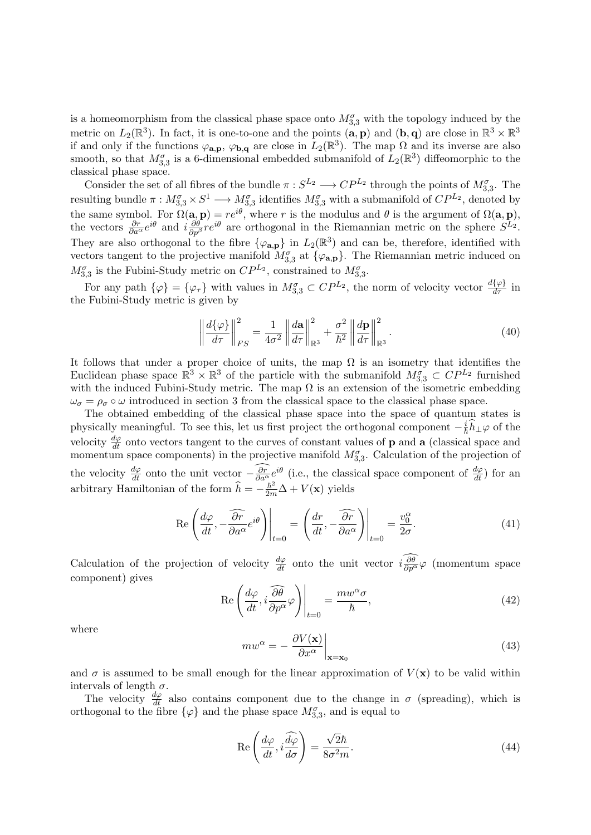is a homeomorphism from the classical phase space onto  $M_{3,3}^{\sigma}$  with the topology induced by the metric on  $L_2(\mathbb{R}^3)$ . In fact, it is one-to-one and the points  $(a, p)$  and  $(b, q)$  are close in  $\mathbb{R}^3 \times \mathbb{R}^3$ if and only if the functions  $\varphi_{\mathbf{a},\mathbf{p}}, \varphi_{\mathbf{b},\mathbf{q}}$  are close in  $L_2(\mathbb{R}^3)$ . The map  $\Omega$  and its inverse are also smooth, so that  $M_{3,3}^{\sigma}$  is a 6-dimensional embedded submanifold of  $L_2(\mathbb{R}^3)$  diffeomorphic to the classical phase space.

Consider the set of all fibres of the bundle  $\pi : S^{L_2} \longrightarrow CP^{L_2}$  through the points of  $M^{\sigma}_{3,3}$ . The resulting bundle  $\pi : M_{3,3}^{\sigma} \times S^1 \longrightarrow M_{3,3}^{\sigma}$  identifies  $M_{3,3}^{\sigma}$  with a submanifold of  $CP^{L_2}$ , denoted by the same symbol. For  $\Omega(a, p) = re^{i\theta}$ , where r is the modulus and  $\theta$  is the argument of  $\Omega(a, p)$ , the vectors  $\frac{\partial r}{\partial a^{\alpha}}e^{i\theta}$  and  $i\frac{\partial \theta}{\partial p^{\beta}}re^{i\theta}$  are orthogonal in the Riemannian metric on the sphere  $S^{L_2}$ . They are also orthogonal to the fibre  $\{\varphi_{\mathbf{a},\mathbf{p}}\}$  in  $L_2(\mathbb{R}^3)$  and can be, therefore, identified with vectors tangent to the projective manifold  $M_{3,3}^{\sigma}$  at  $\{\varphi_{\mathbf{a},\mathbf{p}}\}$ . The Riemannian metric induced on  $M_{3,3}^{\sigma}$  is the Fubini-Study metric on  $CP^{L_2}$ , constrained to  $M_{3,3}^{\sigma}$ .

For any path  $\{\varphi\} = \{\varphi_{\tau}\}\$  with values in  $M_{3,3}^{\sigma} \subset CP^{L_2}$ , the norm of velocity vector  $\frac{d\{\varphi\}}{d\tau}$  in the Fubini-Study metric is given by

$$
\left\| \frac{d\{\varphi\}}{d\tau} \right\|_{FS}^2 = \frac{1}{4\sigma^2} \left\| \frac{d\mathbf{a}}{d\tau} \right\|_{\mathbb{R}^3}^2 + \frac{\sigma^2}{\hbar^2} \left\| \frac{d\mathbf{p}}{d\tau} \right\|_{\mathbb{R}^3}^2.
$$
 (40)

It follows that under a proper choice of units, the map  $\Omega$  is an isometry that identifies the Euclidean phase space  $\mathbb{R}^3 \times \mathbb{R}^3$  of the particle with the submanifold  $M_{3,3}^{\sigma} \subset CP^{L_2}$  furnished with the induced Fubini-Study metric. The map  $\Omega$  is an extension of the isometric embedding  $\omega_{\sigma} = \rho_{\sigma} \circ \omega$  introduced in section 3 from the classical space to the classical phase space.

The obtained embedding of the classical phase space into the space of quantum states is physically meaningful. To see this, let us first project the orthogonal component  $-\frac{i}{\hbar}\hat{h}_{\perp}\varphi$  of the velocity  $\frac{d\varphi}{dt}$  onto vectors tangent to the curves of constant values of **p** and **a** (classical space and momentum space components) in the projective manifold  $M_{3,3}^{\sigma}$ . Calculation of the projection of the velocity  $\frac{d\varphi}{dt}$  onto the unit vector  $-\frac{\partial r}{\partial a^{\alpha}}e^{i\theta}$  (i.e., the classical space component of  $\frac{d\varphi}{dt}$ ) for an arbitrary Hamiltonian of the form  $\hat{h} = -\frac{\hbar^2}{2m}\Delta + V(\mathbf{x})$  yields

$$
\operatorname{Re}\left(\frac{d\varphi}{dt}, -\frac{\widehat{\partial r}}{\partial a^{\alpha}}e^{i\theta}\right)\bigg|_{t=0} = \left(\frac{dr}{dt}, -\frac{\widehat{\partial r}}{\partial a^{\alpha}}\right)\bigg|_{t=0} = \frac{v_0^{\alpha}}{2\sigma}.
$$
 (41)

Calculation of the projection of velocity  $\frac{d\varphi}{dt}$  onto the unit vector  $i\frac{\partial\theta}{\partial p^{\alpha}}\varphi$  (momentum space component) gives

$$
\operatorname{Re}\left(\frac{d\varphi}{dt}, i\frac{\widehat{\partial\theta}}{\partial p^{\alpha}}\varphi\right)\bigg|_{t=0} = \frac{mw^{\alpha}\sigma}{\hbar},\tag{42}
$$

where

$$
mw^{\alpha} = -\left. \frac{\partial V(\mathbf{x})}{\partial x^{\alpha}} \right|_{\mathbf{x} = \mathbf{x}_0}
$$
(43)

and  $\sigma$  is assumed to be small enough for the linear approximation of  $V(\mathbf{x})$  to be valid within intervals of length  $\sigma$ .

The velocity  $\frac{d\varphi}{dt}$  also contains component due to the change in  $\sigma$  (spreading), which is orthogonal to the fibre  $\{\varphi\}$  and the phase space  $M_{3,3}^{\sigma}$ , and is equal to

$$
\operatorname{Re}\left(\frac{d\varphi}{dt}, i\frac{\widehat{d\varphi}}{d\sigma}\right) = \frac{\sqrt{2}\hbar}{8\sigma^2 m}.
$$
\n(44)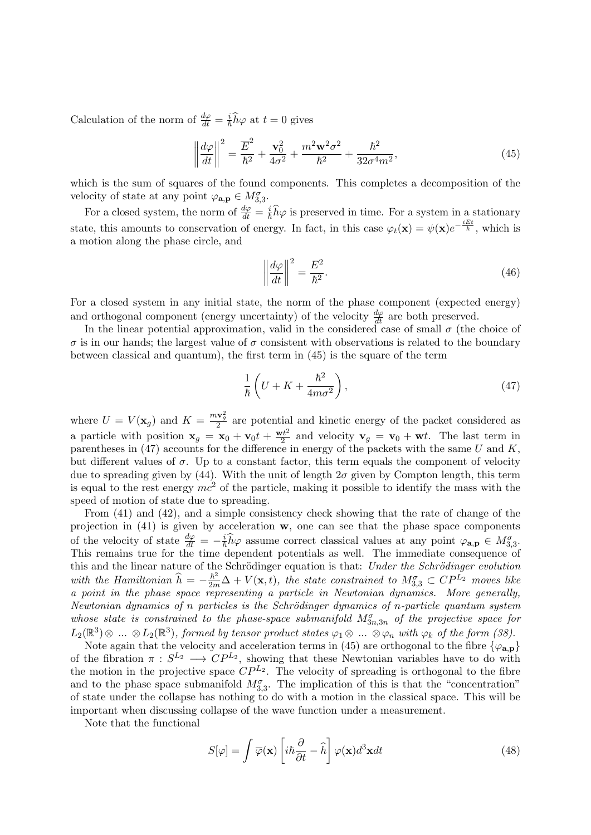Calculation of the norm of  $\frac{d\varphi}{dt} = \frac{i}{\hbar}\hat{h}\varphi$  at  $t = 0$  gives

$$
\left\| \frac{d\varphi}{dt} \right\|^2 = \frac{\overline{E}^2}{\hbar^2} + \frac{\mathbf{v}_0^2}{4\sigma^2} + \frac{m^2 \mathbf{w}^2 \sigma^2}{\hbar^2} + \frac{\hbar^2}{32\sigma^4 m^2},\tag{45}
$$

which is the sum of squares of the found components. This completes a decomposition of the velocity of state at any point  $\varphi_{\mathbf{a},\mathbf{p}} \in M^{\sigma}_{3,3}$ .

For a closed system, the norm of  $\frac{d\varphi}{dt} = \frac{i}{\hbar} \hat{h} \varphi$  is preserved in time. For a system in a stationary state, this amounts to conservation of energy. In fact, in this case  $\varphi_t(\mathbf{x}) = \psi(\mathbf{x})e^{-\frac{iEt}{\hbar}}$ , which is a motion along the phase circle, and

$$
\left\|\frac{d\varphi}{dt}\right\|^2 = \frac{E^2}{\hbar^2}.\tag{46}
$$

For a closed system in any initial state, the norm of the phase component (expected energy) and orthogonal component (energy uncertainty) of the velocity  $\frac{d\varphi}{dt}$  are both preserved.

In the linear potential approximation, valid in the considered case of small  $\sigma$  (the choice of σ is in our hands; the largest value of σ consistent with observations is related to the boundary between classical and quantum), the first term in (45) is the square of the term

$$
\frac{1}{\hbar} \left( U + K + \frac{\hbar^2}{4m\sigma^2} \right),\tag{47}
$$

where  $U = V(\mathbf{x}_g)$  and  $K = \frac{m\mathbf{v}_g^2}{2}$  are potential and kinetic energy of the packet considered as a particle with position  $x_g = x_0 + v_0 t + \frac{wt^2}{2}$  $\frac{\partial t^2}{\partial t^2}$  and velocity  $\mathbf{v}_g = \mathbf{v}_0 + \mathbf{w}t$ . The last term in parentheses in (47) accounts for the difference in energy of the packets with the same U and  $K$ , but different values of  $\sigma$ . Up to a constant factor, this term equals the component of velocity due to spreading given by (44). With the unit of length  $2\sigma$  given by Compton length, this term is equal to the rest energy  $mc^2$  of the particle, making it possible to identify the mass with the speed of motion of state due to spreading.

From (41) and (42), and a simple consistency check showing that the rate of change of the projection in (41) is given by acceleration w, one can see that the phase space components of the velocity of state  $\frac{d\varphi}{dt} = -\frac{i}{\hbar} \hat{h}\varphi$  assume correct classical values at any point  $\varphi_{\mathbf{a},\mathbf{p}} \in M_{3,3}^{\sigma}$ . This remains true for the time dependent potentials as well. The immediate consequence of this and the linear nature of the Schrödinger equation is that: Under the Schrödinger evolution with the Hamiltonian  $\hat{h} = -\frac{\hbar^2}{2m}\Delta + V(\mathbf{x}, t)$ , the state constrained to  $M_{3,3}^{\sigma} \subset CP^{\tilde{L}_2}$  moves like a point in the phase space representing a particle in Newtonian dynamics. More generally, Newtonian dynamics of n particles is the Schrödinger dynamics of n-particle quantum system whose state is constrained to the phase-space submanifold  $M_{3n,3n}^{\sigma}$  of the projective space for  $L_2(\mathbb{R}^3)\otimes\,\ldots\,\otimes L_2(\mathbb{R}^3)$ , formed by tensor product states  $\varphi_1\otimes\,\ldots\,\otimes\varphi_n$  with  $\varphi_k$  of the form (38).

Note again that the velocity and acceleration terms in (45) are orthogonal to the fibre  $\{\varphi_{\mathbf{a},\mathbf{p}}\}$ of the fibration  $\pi : S^{L_2} \longrightarrow CP^{L_2}$ , showing that these Newtonian variables have to do with the motion in the projective space  $\mathbb{CP}^{L_2}$ . The velocity of spreading is orthogonal to the fibre and to the phase space submanifold  $M_{3,3}^{\sigma}$ . The implication of this is that the "concentration" of state under the collapse has nothing to do with a motion in the classical space. This will be important when discussing collapse of the wave function under a measurement.

Note that the functional

$$
S[\varphi] = \int \overline{\varphi}(\mathbf{x}) \left[ i\hbar \frac{\partial}{\partial t} - \widehat{h} \right] \varphi(\mathbf{x}) d^3 \mathbf{x} dt \tag{48}
$$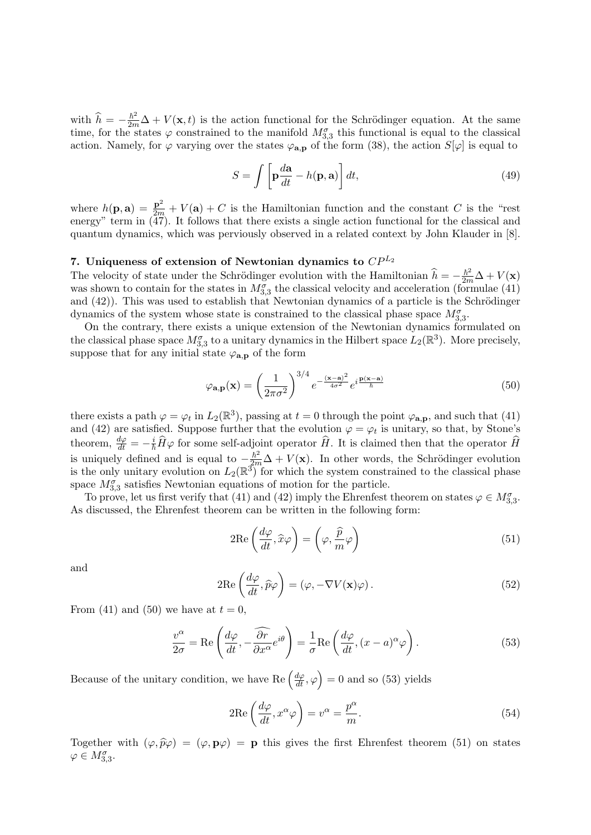with  $\hat{h} = -\frac{\hbar^2}{2m}\Delta + V(\mathbf{x}, t)$  is the action functional for the Schrödinger equation. At the same time, for the states  $\varphi$  constrained to the manifold  $M_{3,3}^{\sigma}$  this functional is equal to the classical action. Namely, for  $\varphi$  varying over the states  $\varphi_{\mathbf{a},\mathbf{p}}$  of the form (38), the action  $S[\varphi]$  is equal to

$$
S = \int \left[ \mathbf{p} \frac{d\mathbf{a}}{dt} - h(\mathbf{p}, \mathbf{a}) \right] dt,\tag{49}
$$

where  $h(\mathbf{p}, \mathbf{a}) = \frac{\mathbf{p}^2}{2m} + V(\mathbf{a}) + C$  is the Hamiltonian function and the constant C is the "rest" energy" term in (47). It follows that there exists a single action functional for the classical and quantum dynamics, which was perviously observed in a related context by John Klauder in [8].

# 7. Uniqueness of extension of Newtonian dynamics to  $\mathbb{CP}^{L_2}$

The velocity of state under the Schrödinger evolution with the Hamiltonian  $\hat{h} = -\frac{\hbar^2}{2m}\Delta + V(\mathbf{x})$ was shown to contain for the states in  $M_{3,3}^{\sigma}$  the classical velocity and acceleration (formulae (41) and  $(42)$ ). This was used to establish that Newtonian dynamics of a particle is the Schrödinger dynamics of the system whose state is constrained to the classical phase space  $M_{3,3}^{\sigma}$ .

On the contrary, there exists a unique extension of the Newtonian dynamics formulated on the classical phase space  $M_{3,3}^{\sigma}$  to a unitary dynamics in the Hilbert space  $L_2(\mathbb{R}^3)$ . More precisely, suppose that for any initial state  $\varphi_{\mathbf{a},\mathbf{b}}$  of the form

$$
\varphi_{\mathbf{a},\mathbf{p}}(\mathbf{x}) = \left(\frac{1}{2\pi\sigma^2}\right)^{3/4} e^{-\frac{(\mathbf{x}-\mathbf{a})^2}{4\sigma^2}} e^{i\frac{\mathbf{p}(\mathbf{x}-\mathbf{a})}{\hbar}}
$$
(50)

there exists a path  $\varphi = \varphi_t$  in  $L_2(\mathbb{R}^3)$ , passing at  $t = 0$  through the point  $\varphi_{a,p}$ , and such that (41) and (42) are satisfied. Suppose further that the evolution  $\varphi = \varphi_t$  is unitary, so that, by Stone's theorem,  $\frac{d\varphi}{dt} = -\frac{i}{\hbar} \widehat{H} \varphi$  for some self-adjoint operator  $\widehat{H}$ . It is claimed then that the operator  $\widehat{H}$ is uniquely defined and is equal to  $-\frac{\hbar^2}{2m}\Delta + V(\mathbf{x})$ . In other words, the Schrödinger evolution is the only unitary evolution on  $L_2(\mathbb{R}^3)$  for which the system constrained to the classical phase space  $M_{3,3}^{\sigma}$  satisfies Newtonian equations of motion for the particle.

To prove, let us first verify that (41) and (42) imply the Ehrenfest theorem on states  $\varphi \in M^{\sigma}_{3,3}$ . As discussed, the Ehrenfest theorem can be written in the following form:

$$
2\text{Re}\left(\frac{d\varphi}{dt},\hat{x}\varphi\right) = \left(\varphi,\frac{\hat{p}}{m}\varphi\right)
$$
\n(51)

and

$$
2\text{Re}\left(\frac{d\varphi}{dt},\widehat{p}\varphi\right) = (\varphi, -\nabla V(\mathbf{x})\varphi).
$$
\n(52)

From (41) and (50) we have at  $t = 0$ ,

$$
\frac{v^{\alpha}}{2\sigma} = \text{Re}\left(\frac{d\varphi}{dt}, -\frac{\widehat{\partial r}}{\partial x^{\alpha}}e^{i\theta}\right) = \frac{1}{\sigma}\text{Re}\left(\frac{d\varphi}{dt}, (x-a)^{\alpha}\varphi\right). \tag{53}
$$

Because of the unitary condition, we have Re  $\left(\frac{d\varphi}{dt}, \varphi\right) = 0$  and so (53) yields

$$
2\text{Re}\left(\frac{d\varphi}{dt}, x^{\alpha}\varphi\right) = v^{\alpha} = \frac{p^{\alpha}}{m}.
$$
\n(54)

Together with  $(\varphi, \hat{p}\varphi) = (\varphi, \mathbf{p}\varphi) = \mathbf{p}$  this gives the first Ehrenfest theorem (51) on states  $\varphi \in M_{3,3}^{\sigma}$ .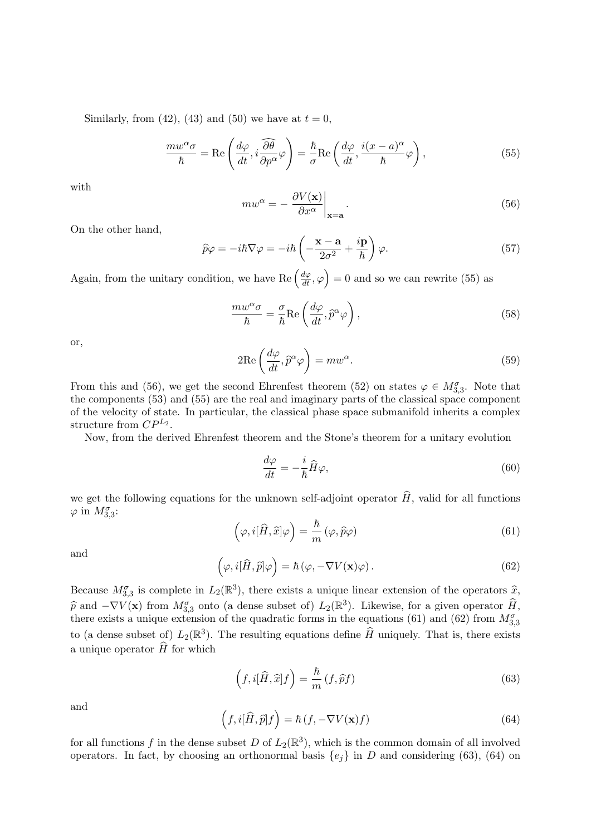Similarly, from (42), (43) and (50) we have at  $t = 0$ ,

$$
\frac{m w^{\alpha} \sigma}{\hbar} = \text{Re}\left(\frac{d\varphi}{dt}, i \frac{\partial \widehat{\theta}}{\partial p^{\alpha}} \varphi\right) = \frac{\hbar}{\sigma} \text{Re}\left(\frac{d\varphi}{dt}, \frac{i(x-a)^{\alpha}}{\hbar} \varphi\right),\tag{55}
$$

with

$$
mw^{\alpha} = -\left. \frac{\partial V(\mathbf{x})}{\partial x^{\alpha}} \right|_{\mathbf{x} = \mathbf{a}}.\tag{56}
$$

On the other hand,

$$
\widehat{p}\varphi = -i\hbar\nabla\varphi = -i\hbar\left(-\frac{\mathbf{x} - \mathbf{a}}{2\sigma^2} + \frac{i\mathbf{p}}{\hbar}\right)\varphi.
$$
\n(57)

Again, from the unitary condition, we have Re  $\left(\frac{d\varphi}{dt}, \varphi\right) = 0$  and so we can rewrite (55) as

$$
\frac{m w^{\alpha} \sigma}{\hbar} = \frac{\sigma}{\hbar} \text{Re} \left( \frac{d \varphi}{dt}, \hat{p}^{\alpha} \varphi \right),\tag{58}
$$

or,

$$
2\text{Re}\left(\frac{d\varphi}{dt},\hat{p}^{\alpha}\varphi\right) = mw^{\alpha}.
$$
\n(59)

From this and (56), we get the second Ehrenfest theorem (52) on states  $\varphi \in M_{3,3}^{\sigma}$ . Note that the components (53) and (55) are the real and imaginary parts of the classical space component of the velocity of state. In particular, the classical phase space submanifold inherits a complex structure from  $\mathbb{CP}^{L_2}$ .

Now, from the derived Ehrenfest theorem and the Stone's theorem for a unitary evolution

$$
\frac{d\varphi}{dt} = -\frac{i}{\hbar}\widehat{H}\varphi,\tag{60}
$$

we get the following equations for the unknown self-adjoint operator  $\widehat{H}$ , valid for all functions  $\varphi$  in  $M^{\sigma}_{3,3}$ :

$$
\left(\varphi, i[\hat{H}, \hat{x}]\varphi\right) = \frac{\hbar}{m} \left(\varphi, \hat{p}\varphi\right)
$$
\n(61)

and

$$
\left(\varphi, i[\hat{H}, \hat{p}]\varphi\right) = \hbar \left(\varphi, -\nabla V(\mathbf{x})\varphi\right). \tag{62}
$$

Because  $M_{3,3}^{\sigma}$  is complete in  $L_2(\mathbb{R}^3)$ , there exists a unique linear extension of the operators  $\hat{x}$ ,  $\hat{p}$  and  $-\nabla V(\mathbf{x})$  from  $M_{3,3}^{\sigma}$  onto (a dense subset of)  $L_2(\mathbb{R}^3)$ . Likewise, for a given operator  $\hat{H}$ , there exists a unique extension of the quadratic forms in the equations (61) and (62) from  $M_{3,3$ to (a dense subset of)  $L_2(\mathbb{R}^3)$ . The resulting equations define  $\widehat{H}$  uniquely. That is, there exists a unique operator  $\widehat{H}$  for which

$$
\left(f, i[\hat{H}, \hat{x}]f\right) = \frac{\hbar}{m} \left(f, \hat{p}f\right)
$$
\n(63)

and

$$
(f, i[\hat{H}, \hat{p}]f) = \hbar (f, -\nabla V(\mathbf{x})f)
$$
\n(64)

for all functions f in the dense subset D of  $L_2(\mathbb{R}^3)$ , which is the common domain of all involved operators. In fact, by choosing an orthonormal basis  $\{e_i\}$  in D and considering (63), (64) on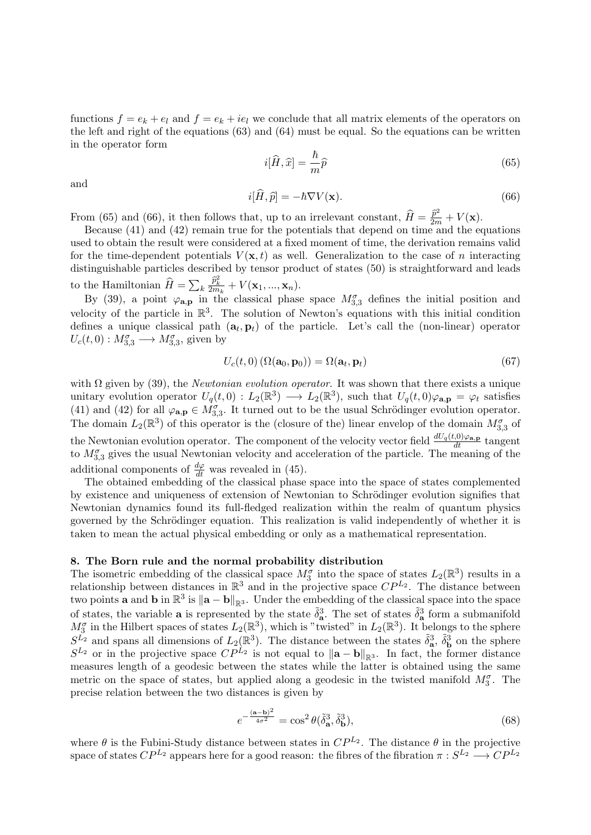functions  $f = e_k + e_l$  and  $f = e_k + ie_l$  we conclude that all matrix elements of the operators on the left and right of the equations (63) and (64) must be equal. So the equations can be written in the operator form

$$
i[\hat{H}, \hat{x}] = \frac{\hbar}{m}\hat{p}
$$
\n(65)

and

$$
i[\hat{H}, \hat{p}] = -\hbar \nabla V(\mathbf{x}).\tag{66}
$$

From (65) and (66), it then follows that, up to an irrelevant constant,  $\hat{H} = \frac{\hat{p}^2}{2m} + V(\mathbf{x})$ .

Because  $(41)$  and  $(42)$  remain true for the potentials that depend on time and the equations used to obtain the result were considered at a fixed moment of time, the derivation remains valid for the time-dependent potentials  $V(\mathbf{x}, t)$  as well. Generalization to the case of n interacting distinguishable particles described by tensor product of states (50) is straightforward and leads to the Hamiltonian  $\widehat{H} = \sum_{k} \frac{\widehat{p}_k^2}{2m_k} + V(\mathbf{x}_1, ..., \mathbf{x}_n).$ 

By (39), a point  $\varphi_{\mathbf{a},\mathbf{p}}$  in the classical phase space  $M_{3,3}^{\sigma}$  defines the initial position and velocity of the particle in  $\mathbb{R}^3$ . The solution of Newton's equations with this initial condition defines a unique classical path  $(a_t, p_t)$  of the particle. Let's call the (non-linear) operator  $U_c(t,0): M_{3,3}^{\sigma} \longrightarrow M_{3,3}^{\sigma}$ , given by

$$
U_c(t,0) \left( \Omega(\mathbf{a}_0, \mathbf{p}_0) \right) = \Omega(\mathbf{a}_t, \mathbf{p}_t) \tag{67}
$$

with  $\Omega$  given by (39), the Newtonian evolution operator. It was shown that there exists a unique unitary evolution operator  $U_q(t,0): L_2(\mathbb{R}^3) \longrightarrow L_2(\mathbb{R}^3)$ , such that  $U_q(t,0)\varphi_{\mathbf{a},\mathbf{p}} = \varphi_t$  satisfies (41) and (42) for all  $\varphi_{\mathbf{a},\mathbf{p}} \in M_{3,3}^{\sigma}$ . It turned out to be the usual Schrödinger evolution operator. The domain  $L_2(\mathbb{R}^3)$  of this operator is the (closure of the) linear envelop of the domain  $M_{3,3}^{\sigma}$  of the Newtonian evolution operator. The component of the velocity vector field  $\frac{dU_q(t,0)\varphi_{\mathbf{a},\mathbf{p}}}{dt}$  tangent to  $M_{3,3}^{\sigma}$  gives the usual Newtonian velocity and acceleration of the particle. The meaning of the additional components of  $\frac{d\varphi}{dt}$  was revealed in (45).

The obtained embedding of the classical phase space into the space of states complemented by existence and uniqueness of extension of Newtonian to Schrödinger evolution signifies that Newtonian dynamics found its full-fledged realization within the realm of quantum physics governed by the Schrödinger equation. This realization is valid independently of whether it is taken to mean the actual physical embedding or only as a mathematical representation.

# 8. The Born rule and the normal probability distribution

The isometric embedding of the classical space  $M_3^{\sigma}$  into the space of states  $L_2(\mathbb{R}^3)$  results in a relationship between distances in  $\mathbb{R}^3$  and in the projective space  $\mathbb{CP}^{L_2}$ . The distance between two points **a** and **b** in  $\mathbb{R}^3$  is  $\|\mathbf{a} - \mathbf{b}\|_{\mathbb{R}^3}$ . Under the embedding of the classical space into the space of states, the variable **a** is represented by the state  $\tilde{\delta}^3_{\mathbf{a}}$ . The set of states  $\tilde{\delta}^3_{\mathbf{a}}$  form a submanifold  $M_3^{\sigma}$  in the Hilbert spaces of states  $L_2(\mathbb{R}^3)$ , which is "twisted" in  $L_2(\mathbb{R}^3)$ . It belongs to the sphere  $S_{\perp}^{\tilde{L_2}}$  and spans all dimensions of  $L_2(\mathbb{R}^3)$ . The distance between the states  $\tilde{\delta}_a^3$ ,  $\tilde{\delta}_b^3$  on the sphere  $S^{L_2}$  or in the projective space  $CP^{L_2}$  is not equal to  $\|\mathbf{a} - \mathbf{b}\|_{\mathbb{R}^3}$ . In fact, the former distance measures length of a geodesic between the states while the latter is obtained using the same metric on the space of states, but applied along a geodesic in the twisted manifold  $M_3^{\sigma}$ . The precise relation between the two distances is given by

$$
e^{-\frac{(\mathbf{a} - \mathbf{b})^2}{4\sigma^2}} = \cos^2 \theta (\tilde{\delta}_{\mathbf{a}}^3, \tilde{\delta}_{\mathbf{b}}^3),\tag{68}
$$

where  $\theta$  is the Fubini-Study distance between states in  $\mathbb{CP}^{L_2}$ . The distance  $\theta$  in the projective space of states  $CP^{L_2}$  appears here for a good reason: the fibres of the fibration  $\pi : S^{L_2} \longrightarrow CP^{L_2}$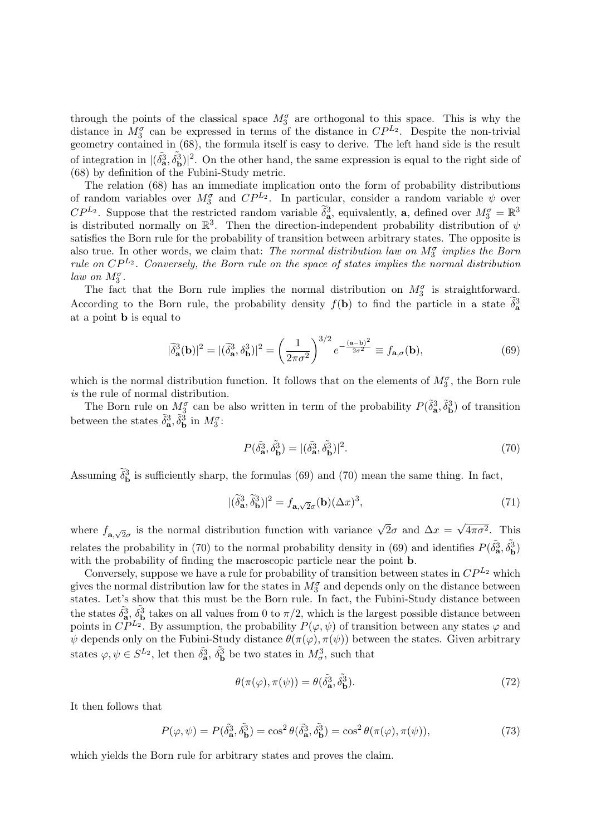through the points of the classical space  $M_3^{\sigma}$  are orthogonal to this space. This is why the distance in  $M_3^{\sigma}$  can be expressed in terms of the distance in  $\mathbb{CP}^{L_2}$ . Despite the non-trivial geometry contained in (68), the formula itself is easy to derive. The left hand side is the result of integration in  $|(\tilde{\delta}_a^3, \tilde{\delta}_b^3)|^2$ . On the other hand, the same expression is equal to the right side of (68) by definition of the Fubini-Study metric.

The relation (68) has an immediate implication onto the form of probability distributions of random variables over  $M_3^{\sigma}$  and  $CP^{L_2}$ . In particular, consider a random variable  $\psi$  over  $CP^{L_2}$ . Suppose that the restricted random variable  $\tilde{\delta}_a^3$ , equivalently, **a**, defined over  $M_3^{\sigma} = \mathbb{R}^3$ is distributed normally on  $\mathbb{R}^3$ . Then the direction-independent probability distribution of  $\psi$ satisfies the Born rule for the probability of transition between arbitrary states. The opposite is also true. In other words, we claim that: The normal distribution law on  $M_3^{\sigma}$  implies the Born rule on  $\mathbb{CP}^{L_2}$ . Conversely, the Born rule on the space of states implies the normal distribution law on  $M_3^{\sigma}$ .

The fact that the Born rule implies the normal distribution on  $M_3^{\sigma}$  is straightforward. According to the Born rule, the probability density  $f(\mathbf{b})$  to find the particle in a state  $\delta_{\mathbf{a}}^3$ at a point b is equal to

$$
|\tilde{\delta}_{\mathbf{a}}^3(\mathbf{b})|^2 = |(\tilde{\delta}_{\mathbf{a}}^3, \delta_{\mathbf{b}}^3)|^2 = \left(\frac{1}{2\pi\sigma^2}\right)^{3/2} e^{-\frac{(\mathbf{a}-\mathbf{b})^2}{2\sigma^2}} \equiv f_{\mathbf{a},\sigma}(\mathbf{b}),\tag{69}
$$

which is the normal distribution function. It follows that on the elements of  $M_3^{\sigma}$ , the Born rule is the rule of normal distribution.

The Born rule on  $M_3^{\sigma}$  can be also written in term of the probability  $P(\tilde{\delta}_a^3, \tilde{\delta}_b^3)$  of transition between the states  $\tilde{\delta}_{\mathbf{a}}^3$ ,  $\tilde{\delta}_{\mathbf{b}}^3$  in  $M_3^{\sigma}$ :

$$
P(\tilde{\delta}_{\mathbf{a}}^{3}, \tilde{\delta}_{\mathbf{b}}^{3}) = |(\tilde{\delta}_{\mathbf{a}}^{3}, \tilde{\delta}_{\mathbf{b}}^{3})|^{2}.
$$
 (70)

Assuming  $\tilde{\delta}_{\mathbf{b}}^3$  is sufficiently sharp, the formulas (69) and (70) mean the same thing. In fact,

$$
|(\tilde{\delta}^3_{\mathbf{a}}, \tilde{\delta}^3_{\mathbf{b}})|^2 = f_{\mathbf{a}, \sqrt{2}\sigma}(\mathbf{b})(\Delta x)^3,\tag{71}
$$

where  $f_{\mathbf{a},\sqrt{2}\sigma}$  is the normal distribution function with variance  $\sqrt{2}\sigma$  and  $\Delta x =$ √  $4\pi\sigma^2$ . This relates the probability in (70) to the normal probability density in (69) and identifies  $P(\tilde{\delta}_a^3, \tilde{\delta}_b^3)$ with the probability of finding the macroscopic particle near the point **b**.

Conversely, suppose we have a rule for probability of transition between states in  $\mathbb{CP}^{L_2}$  which gives the normal distribution law for the states in  $M_3^{\sigma}$  and depends only on the distance between states. Let's show that this must be the Born rule. In fact, the Fubini-Study distance between the states  $\tilde{\delta}^3_a$ ,  $\tilde{\delta}^3_b$  takes on all values from 0 to  $\pi/2$ , which is the largest possible distance between points in  $CP^{L_2}$ . By assumption, the probability  $P(\varphi, \psi)$  of transition between any states  $\varphi$  and  $\psi$  depends only on the Fubini-Study distance  $\theta(\pi(\varphi), \pi(\psi))$  between the states. Given arbitrary states  $\varphi, \psi \in S^{L_2}$ , let then  $\tilde{\delta}^3_{\mathbf{a}}, \tilde{\delta}^3_{\mathbf{b}}$  be two states in  $M^3_{\sigma}$ , such that

$$
\theta(\pi(\varphi), \pi(\psi)) = \theta(\tilde{\delta}_{\mathbf{a}}^{3}, \tilde{\delta}_{\mathbf{b}}^{3}).\tag{72}
$$

It then follows that

$$
P(\varphi, \psi) = P(\tilde{\delta}_a^3, \tilde{\delta}_b^3) = \cos^2 \theta(\tilde{\delta}_a^3, \tilde{\delta}_b^3) = \cos^2 \theta(\pi(\varphi), \pi(\psi)),\tag{73}
$$

which yields the Born rule for arbitrary states and proves the claim.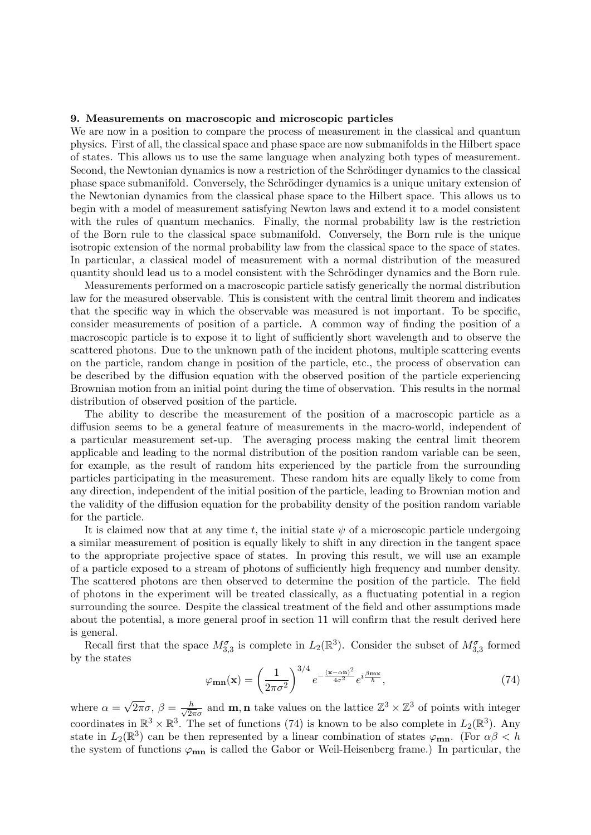#### 9. Measurements on macroscopic and microscopic particles

We are now in a position to compare the process of measurement in the classical and quantum physics. First of all, the classical space and phase space are now submanifolds in the Hilbert space of states. This allows us to use the same language when analyzing both types of measurement. Second, the Newtonian dynamics is now a restriction of the Schrödinger dynamics to the classical phase space submanifold. Conversely, the Schrödinger dynamics is a unique unitary extension of the Newtonian dynamics from the classical phase space to the Hilbert space. This allows us to begin with a model of measurement satisfying Newton laws and extend it to a model consistent with the rules of quantum mechanics. Finally, the normal probability law is the restriction of the Born rule to the classical space submanifold. Conversely, the Born rule is the unique isotropic extension of the normal probability law from the classical space to the space of states. In particular, a classical model of measurement with a normal distribution of the measured quantity should lead us to a model consistent with the Schrödinger dynamics and the Born rule.

Measurements performed on a macroscopic particle satisfy generically the normal distribution law for the measured observable. This is consistent with the central limit theorem and indicates that the specific way in which the observable was measured is not important. To be specific, consider measurements of position of a particle. A common way of finding the position of a macroscopic particle is to expose it to light of sufficiently short wavelength and to observe the scattered photons. Due to the unknown path of the incident photons, multiple scattering events on the particle, random change in position of the particle, etc., the process of observation can be described by the diffusion equation with the observed position of the particle experiencing Brownian motion from an initial point during the time of observation. This results in the normal distribution of observed position of the particle.

The ability to describe the measurement of the position of a macroscopic particle as a diffusion seems to be a general feature of measurements in the macro-world, independent of a particular measurement set-up. The averaging process making the central limit theorem applicable and leading to the normal distribution of the position random variable can be seen, for example, as the result of random hits experienced by the particle from the surrounding particles participating in the measurement. These random hits are equally likely to come from any direction, independent of the initial position of the particle, leading to Brownian motion and the validity of the diffusion equation for the probability density of the position random variable for the particle.

It is claimed now that at any time t, the initial state  $\psi$  of a microscopic particle undergoing a similar measurement of position is equally likely to shift in any direction in the tangent space to the appropriate projective space of states. In proving this result, we will use an example of a particle exposed to a stream of photons of sufficiently high frequency and number density. The scattered photons are then observed to determine the position of the particle. The field of photons in the experiment will be treated classically, as a fluctuating potential in a region surrounding the source. Despite the classical treatment of the field and other assumptions made about the potential, a more general proof in section 11 will confirm that the result derived here is general.

Recall first that the space  $M_{3,3}^{\sigma}$  is complete in  $L_2(\mathbb{R}^3)$ . Consider the subset of  $M_{3,3}^{\sigma}$  formed by the states

$$
\varphi_{\mathbf{mn}}(\mathbf{x}) = \left(\frac{1}{2\pi\sigma^2}\right)^{3/4} e^{-\frac{(\mathbf{x}-\alpha\mathbf{n})^2}{4\sigma^2}} e^{i\frac{\beta\mathbf{mx}}{\hbar}},\tag{74}
$$

where  $\alpha =$ √  $\overline{2\pi}\sigma, \beta = \frac{h}{\sqrt{2}}$  $\frac{h}{2\pi\sigma}$  and **m**, **n** take values on the lattice  $\mathbb{Z}^3 \times \mathbb{Z}^3$  of points with integer coordinates in  $\mathbb{R}^3 \times \mathbb{R}^3$ . The set of functions (74) is known to be also complete in  $L_2(\mathbb{R}^3)$ . Any state in  $L_2(\mathbb{R}^3)$  can be then represented by a linear combination of states  $\varphi_{mn}$ . (For  $\alpha\beta < h$ the system of functions  $\varphi_{mn}$  is called the Gabor or Weil-Heisenberg frame.) In particular, the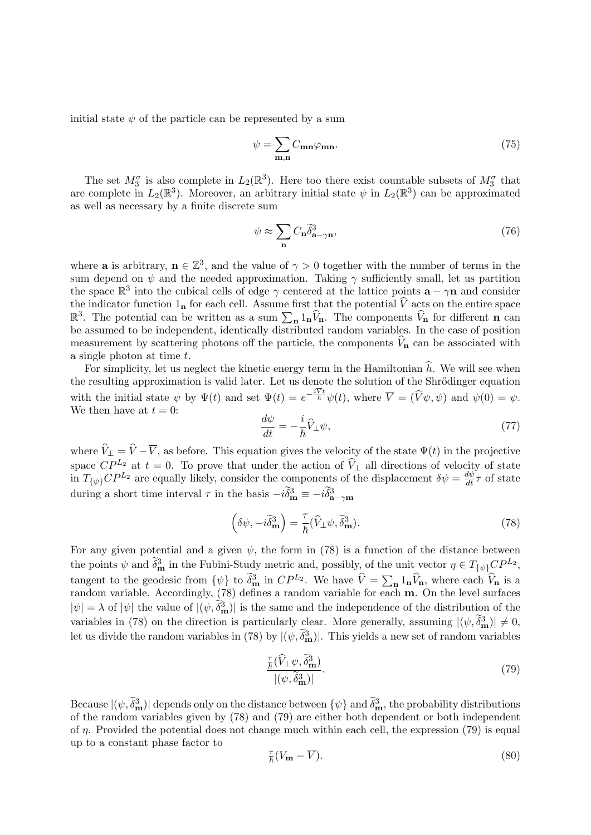initial state  $\psi$  of the particle can be represented by a sum

$$
\psi = \sum_{\mathbf{m}, \mathbf{n}} C_{\mathbf{m}\mathbf{n}} \varphi_{\mathbf{m}\mathbf{n}}.\tag{75}
$$

The set  $M_3^{\sigma}$  is also complete in  $L_2(\mathbb{R}^3)$ . Here too there exist countable subsets of  $M_3^{\sigma}$  that are complete in  $L_2(\mathbb{R}^3)$ . Moreover, an arbitrary initial state  $\psi$  in  $L_2(\mathbb{R}^3)$  can be approximated as well as necessary by a finite discrete sum

$$
\psi \approx \sum_{\mathbf{n}} C_{\mathbf{n}} \tilde{\delta}_{\mathbf{a}-\gamma \mathbf{n}}^3,\tag{76}
$$

where **a** is arbitrary,  $\mathbf{n} \in \mathbb{Z}^3$ , and the value of  $\gamma > 0$  together with the number of terms in the sum depend on  $\psi$  and the needed approximation. Taking  $\gamma$  sufficiently small, let us partition the space  $\mathbb{R}^3$  into the cubical cells of edge  $\gamma$  centered at the lattice points  $\mathbf{a} - \gamma \mathbf{n}$  and consider the indicator function  $1_{n}$  for each cell. Assume first that the potential  $\hat{V}$  acts on the entire space  $\mathbb{R}^3$ . The potential can be written as a sum  $\sum_{n} \mathbf{1}_n \hat{V}_n$ . The components  $\hat{V}_n$  for different **n** can be assumed to be independent, identically distributed random variables. In the case of position measurement by scattering photons off the particle, the components  $\hat{V}_{n}$  can be associated with a single photon at time t.

For simplicity, let us neglect the kinetic energy term in the Hamiltonian  $\hat{h}$ . We will see when the resulting approximation is valid later. Let us denote the solution of the Shrödinger equation with the initial state  $\psi$  by  $\Psi(t)$  and set  $\Psi(t) = e^{-\frac{iVt}{\hbar}}\psi(t)$ , where  $\overline{V} = (\widehat{V}\psi, \psi)$  and  $\psi(0) = \psi$ . We then have at  $t = 0$ :

$$
\frac{d\psi}{dt} = -\frac{i}{\hbar}\widehat{V}_{\perp}\psi,\tag{77}
$$

where  $\hat{V}_\perp = \hat{V} - \overline{V}$ , as before. This equation gives the velocity of the state  $\Psi(t)$  in the projective space  $\overline{CP^{L_2}}$  at  $t = 0$ . To prove that under the action of  $\hat{V}_\perp$  all directions of velocity of state in  $T_{\{\psi\}}CP^{L_2}$  are equally likely, consider the components of the displacement  $\delta\psi = \frac{d\psi}{dt}\tau$  of state during a short time interval  $\tau$  in the basis  $-i\tilde{\delta}_{\mathbf{m}}^3 \equiv -i\tilde{\delta}_{\mathbf{a}-\gamma\mathbf{m}}^3$ 

$$
\left(\delta\psi, -i\tilde{\delta}_{\mathbf{m}}^{3}\right) = \frac{\tau}{\hbar}(\hat{V}_{\perp}\psi, \tilde{\delta}_{\mathbf{m}}^{3}).\tag{78}
$$

For any given potential and a given  $\psi$ , the form in (78) is a function of the distance between the points  $\psi$  and  $\widetilde{\delta}_{\mathbf{m}}^3$  in the Fubini-Study metric and, possibly, of the unit vector  $\eta \in T_{\{\psi\}}C^{PL_2}$ , tangent to the geodesic from  $\{\psi\}$  to  $\tilde{\delta}_{\mathbf{m}}^3$  in  $CP^{L_2}$ . We have  $\hat{V} = \sum_{\mathbf{n}} 1_{\mathbf{n}} \hat{V}_{\mathbf{n}}$ , where each  $\hat{V}_{\mathbf{n}}$  is a random variable. Accordingly, (78) defines a random variable for each **m**. On  $|\psi| = \lambda$  of  $|\psi|$  the value of  $|(\psi, \tilde{\delta}_{\mathbf{m}}^3)|$  is the same and the independence of the distribution of the variables in (78) on the direction is particularly clear. More generally, assuming  $|(\psi, \tilde{\delta}_{\mathbf{m}}^3)| \neq 0$ , let us divide the random variables in (78) by  $|(\psi, \tilde{\delta}_{\mathbf{m}}^3)|$ . This yields a new set of random variables

$$
\frac{\frac{7}{\hbar}(\hat{V}_{\perp}\psi,\tilde{\delta}_{\mathbf{m}}^3)}{|(\psi,\tilde{\delta}_{\mathbf{m}}^3)|}.
$$
\n(79)

Because  $|(\psi, \tilde{\delta}_{\mathbf{m}}^3)|$  depends only on the distance between  $\{\psi\}$  and  $\tilde{\delta}_{\mathbf{m}}^3$ , the probability distributions of the random variables given by (78) and (79) are either both dependent or both independent of  $\eta$ . Provided the potential does not change much within each cell, the expression (79) is equal up to a constant phase factor to

$$
\frac{\tau}{\hbar}(V_{\mathbf{m}} - \overline{V}).\tag{80}
$$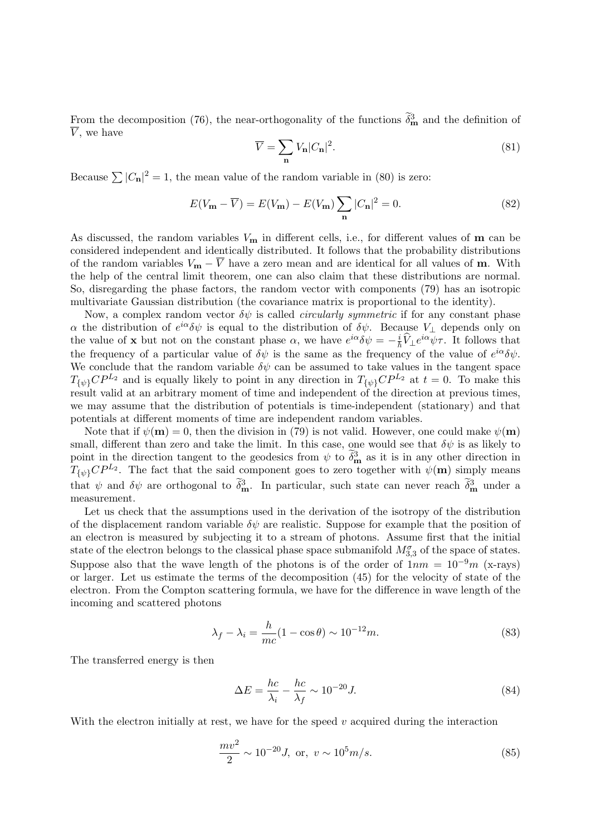From the decomposition (76), the near-orthogonality of the functions  $\tilde{\delta}_{\mathbf{m}}^3$  and the definition of  $\overline{V}$ , we have

$$
\overline{V} = \sum_{\mathbf{n}} V_{\mathbf{n}} |C_{\mathbf{n}}|^2. \tag{81}
$$

Because  $\sum |C_{\bf n}|^2 = 1$ , the mean value of the random variable in (80) is zero:

$$
E(V_{\mathbf{m}} - \overline{V}) = E(V_{\mathbf{m}}) - E(V_{\mathbf{m}}) \sum_{\mathbf{n}} |C_{\mathbf{n}}|^2 = 0.
$$
 (82)

As discussed, the random variables  $V_{\mathbf{m}}$  in different cells, i.e., for different values of  $\mathbf{m}$  can be considered independent and identically distributed. It follows that the probability distributions of the random variables  $V_{\mathbf{m}} - \overline{V}$  have a zero mean and are identical for all values of **m**. With the help of the central limit theorem, one can also claim that these distributions are normal. So, disregarding the phase factors, the random vector with components (79) has an isotropic multivariate Gaussian distribution (the covariance matrix is proportional to the identity).

Now, a complex random vector  $\delta\psi$  is called *circularly symmetric* if for any constant phase α the distribution of  $e^{i\alpha} \delta \psi$  is equal to the distribution of  $\delta \psi$ . Because  $V_{\perp}$  depends only on the value of **x** but not on the constant phase  $\alpha$ , we have  $e^{i\alpha} \delta \psi = -\frac{i}{\hbar} \hat{V}_\perp e^{i\alpha} \psi \tau$ . It follows that the frequency of a particular value of  $\delta\psi$  is the same as the frequency of the value of  $e^{i\alpha}\delta\psi$ . We conclude that the random variable  $\delta\psi$  can be assumed to take values in the tangent space  $T_{\{\psi\}}CP^{L_2}$  and is equally likely to point in any direction in  $T_{\{\psi\}}CP^{L_2}$  at  $t=0$ . To make this result valid at an arbitrary moment of time and independent of the direction at previous times, we may assume that the distribution of potentials is time-independent (stationary) and that potentials at different moments of time are independent random variables.

Note that if  $\psi(\mathbf{m}) = 0$ , then the division in (79) is not valid. However, one could make  $\psi(\mathbf{m})$ small, different than zero and take the limit. In this case, one would see that  $\delta\psi$  is as likely to point in the direction tangent to the geodesics from  $\psi$  to  $\tilde{\delta}_{\mathbf{m}}^3$  as it is in any other direction in  $T_{\{\psi\}}CP^{L_2}$ . The fact that the said component goes to zero together with  $\psi(\mathbf{m})$  simply means that  $\psi$  and  $\delta\psi$  are orthogonal to  $\tilde{\delta}_{\bf m}^3$ . In particular, such state can never reach  $\tilde{\delta}_{\bf m}^3$  under a measurement.

Let us check that the assumptions used in the derivation of the isotropy of the distribution of the displacement random variable  $\delta\psi$  are realistic. Suppose for example that the position of an electron is measured by subjecting it to a stream of photons. Assume first that the initial state of the electron belongs to the classical phase space submanifold  $M_{3,3}^{\sigma}$  of the space of states. Suppose also that the wave length of the photons is of the order of  $1nm = 10^{-9}m$  (x-rays) or larger. Let us estimate the terms of the decomposition (45) for the velocity of state of the electron. From the Compton scattering formula, we have for the difference in wave length of the incoming and scattered photons

$$
\lambda_f - \lambda_i = \frac{h}{mc}(1 - \cos\theta) \sim 10^{-12}m.
$$
\n(83)

The transferred energy is then

$$
\Delta E = \frac{hc}{\lambda_i} - \frac{hc}{\lambda_f} \sim 10^{-20} J. \tag{84}
$$

With the electron initially at rest, we have for the speed  $v$  acquired during the interaction

$$
\frac{mv^2}{2} \sim 10^{-20} J, \text{ or, } v \sim 10^5 m/s. \tag{85}
$$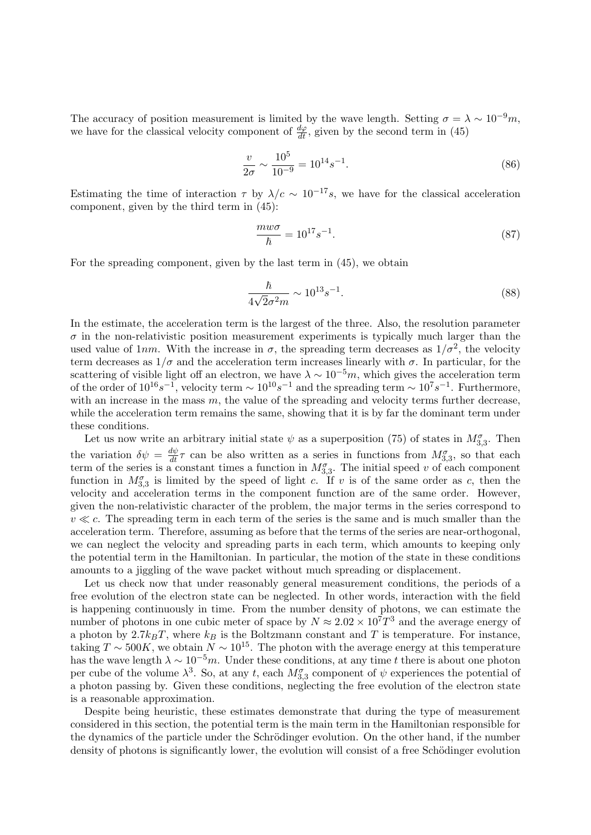The accuracy of position measurement is limited by the wave length. Setting  $\sigma = \lambda \sim 10^{-9}m$ , we have for the classical velocity component of  $\frac{d\varphi}{dt}$ , given by the second term in (45)

$$
\frac{v}{2\sigma} \sim \frac{10^5}{10^{-9}} = 10^{14} s^{-1}.
$$
\n(86)

Estimating the time of interaction  $\tau$  by  $\lambda/c \sim 10^{-17} s$ , we have for the classical acceleration component, given by the third term in (45):

$$
\frac{mw\sigma}{\hbar} = 10^{17}s^{-1}.
$$
\n(87)

For the spreading component, given by the last term in (45), we obtain

$$
\frac{\hbar}{4\sqrt{2}\sigma^2 m} \sim 10^{13} s^{-1}.
$$
\n(88)

In the estimate, the acceleration term is the largest of the three. Also, the resolution parameter  $\sigma$  in the non-relativistic position measurement experiments is typically much larger than the used value of 1nm. With the increase in  $\sigma$ , the spreading term decreases as  $1/\sigma^2$ , the velocity term decreases as  $1/\sigma$  and the acceleration term increases linearly with  $\sigma$ . In particular, for the scattering of visible light off an electron, we have  $\lambda \sim 10^{-5}m$ , which gives the acceleration term of the order of  $10^{16}s^{-1}$ , velocity term  $\sim 10^{10}s^{-1}$  and the spreading term  $\sim 10^7s^{-1}$ . Furthermore, with an increase in the mass  $m$ , the value of the spreading and velocity terms further decrease. while the acceleration term remains the same, showing that it is by far the dominant term under these conditions.

Let us now write an arbitrary initial state  $\psi$  as a superposition (75) of states in  $M_{3,3}^{\sigma}$ . Then the variation  $\delta \psi = \frac{d\psi}{dt} \tau$  can be also written as a series in functions from  $M_{3,3}^{\sigma}$ , so that each term of the series is a constant times a function in  $M_{3,3}^{\sigma}$ . The initial speed v of each component function in  $M_{3,3}^{\sigma}$  is limited by the speed of light c. If v is of the same order as c, then the velocity and acceleration terms in the component function are of the same order. However, given the non-relativistic character of the problem, the major terms in the series correspond to  $v \ll c$ . The spreading term in each term of the series is the same and is much smaller than the acceleration term. Therefore, assuming as before that the terms of the series are near-orthogonal, we can neglect the velocity and spreading parts in each term, which amounts to keeping only the potential term in the Hamiltonian. In particular, the motion of the state in these conditions amounts to a jiggling of the wave packet without much spreading or displacement.

Let us check now that under reasonably general measurement conditions, the periods of a free evolution of the electron state can be neglected. In other words, interaction with the field is happening continuously in time. From the number density of photons, we can estimate the number of photons in one cubic meter of space by  $N \approx 2.02 \times 10^7 T^3$  and the average energy of a photon by  $2.7k_BT$ , where  $k_B$  is the Boltzmann constant and T is temperature. For instance, taking  $T \sim 500K$ , we obtain  $\overline{N} \sim 10^{15}$ . The photon with the average energy at this temperature has the wave length  $\lambda \sim 10^{-5}m$ . Under these conditions, at any time t there is about one photon per cube of the volume  $\lambda^3$ . So, at any t, each  $M_{3,3}^{\sigma}$  component of  $\psi$  experiences the potential of a photon passing by. Given these conditions, neglecting the free evolution of the electron state is a reasonable approximation.

Despite being heuristic, these estimates demonstrate that during the type of measurement considered in this section, the potential term is the main term in the Hamiltonian responsible for the dynamics of the particle under the Schrödinger evolution. On the other hand, if the number density of photons is significantly lower, the evolution will consist of a free Schödinger evolution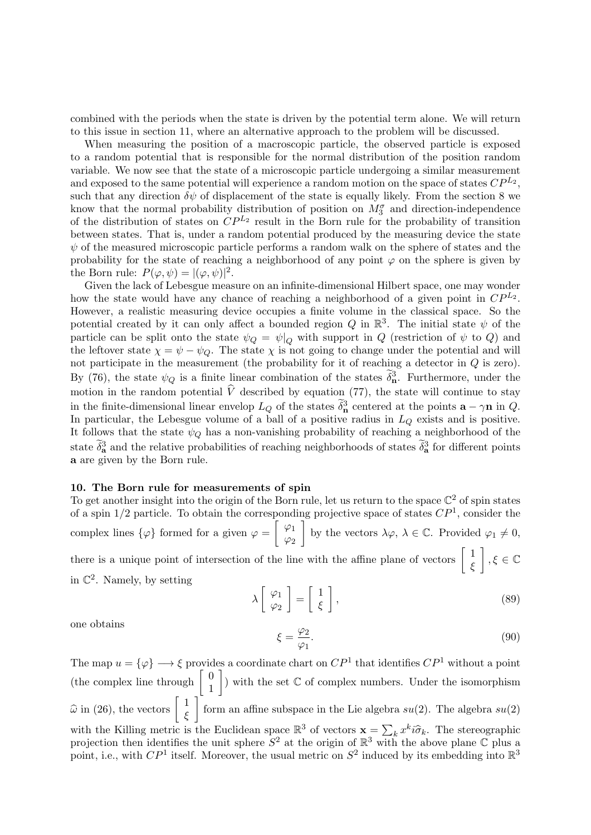combined with the periods when the state is driven by the potential term alone. We will return to this issue in section 11, where an alternative approach to the problem will be discussed.

When measuring the position of a macroscopic particle, the observed particle is exposed to a random potential that is responsible for the normal distribution of the position random variable. We now see that the state of a microscopic particle undergoing a similar measurement and exposed to the same potential will experience a random motion on the space of states  $CP^{L_2}$ , such that any direction  $\delta\psi$  of displacement of the state is equally likely. From the section 8 we know that the normal probability distribution of position on  $M_3^{\sigma}$  and direction-independence of the distribution of states on  $\mathbb{CP}^{L_2}$  result in the Born rule for the probability of transition between states. That is, under a random potential produced by the measuring device the state  $\psi$  of the measured microscopic particle performs a random walk on the sphere of states and the probability for the state of reaching a neighborhood of any point  $\varphi$  on the sphere is given by the Born rule:  $P(\varphi, \psi) = |(\varphi, \psi)|^2$ .

Given the lack of Lebesgue measure on an infinite-dimensional Hilbert space, one may wonder how the state would have any chance of reaching a neighborhood of a given point in  $\mathbb{CP}^{L_2}$ . However, a realistic measuring device occupies a finite volume in the classical space. So the potential created by it can only affect a bounded region Q in  $\mathbb{R}^3$ . The initial state  $\psi$  of the particle can be split onto the state  $\psi_Q = \psi|_Q$  with support in Q (restriction of  $\psi$  to Q) and the leftover state  $\chi = \psi - \psi_Q$ . The state  $\chi$  is not going to change under the potential and will not participate in the measurement (the probability for it of reaching a detector in Q is zero). By (76), the state  $\psi_Q$  is a finite linear combination of the states  $\tilde{\delta}_n^3$ . Furthermore, under the motion in the random potential  $\hat{V}$  described by equation (77), the state will continue to stay in the finite-dimensional linear envelop  $L_Q$  of the states  $\delta^3$  centered at the points  $\mathbf{a} - \gamma \mathbf{n}$  in  $Q$ . In particular, the Lebesgue volume of a ball of a positive radius in  $L_Q$  exists and is positive. It follows that the state  $\psi_Q$  has a non-vanishing probability of reaching a neighborhood of the state  $\tilde{\delta}_{\mathbf{a}}^3$  and the relative probabilities of reaching neighborhoods of states  $\tilde{\delta}_{\mathbf{a}}^3$  for different points a are given by the Born rule.

## 10. The Born rule for measurements of spin

To get another insight into the origin of the Born rule, let us return to the space  $\mathbb{C}^2$  of spin states of a spin  $1/2$  particle. To obtain the corresponding projective space of states  $\mathbb{CP}^1$ , consider the complex lines  $\{\varphi\}$  formed for a given  $\varphi = \begin{bmatrix} \varphi_1 \\ \varphi_2 \end{bmatrix}$  $\varphi_2$ by the vectors  $\lambda \varphi, \lambda \in \mathbb{C}$ . Provided  $\varphi_1 \neq 0$ , there is a unique point of intersection of the line with the affine plane of vectors  $\begin{bmatrix} 1 \\ 1 \end{bmatrix}$ ξ  $\big]$ ,  $\xi \in \mathbb{C}$ in  $\mathbb{C}^2$ . Namely, by setting

$$
\lambda \begin{bmatrix} \varphi_1 \\ \varphi_2 \end{bmatrix} = \begin{bmatrix} 1 \\ \xi \end{bmatrix},\tag{89}
$$

one obtains

$$
\xi = \frac{\varphi_2}{\varphi_1}.\tag{90}
$$

The map  $u = {\varphi} \rightarrow \xi$  provides a coordinate chart on  $\mathbb{CP}^1$  that identifies  $\mathbb{CP}^1$  without a point (the complex line through  $\begin{bmatrix} 0 \\ 1 \end{bmatrix}$ 1 ) with the set  $\mathbb C$  of complex numbers. Under the isomorphism  $\widehat{\omega}$  in (26), the vectors  $\begin{bmatrix} 1 \\ \xi \end{bmatrix}$ ξ form an affine subspace in the Lie algebra  $su(2)$ . The algebra  $su(2)$ with the Killing metric is the Euclidean space  $\mathbb{R}^3$  of vectors  $\mathbf{x} = \sum_k x^k i \hat{\sigma}_k$ . The stereographic projection then identifies the unit sphere  $S^2$  at the origin of  $\mathbb{R}^3$  with the above plane  $\mathbb C$  plus a point, i.e., with  $\mathbb{CP}^1$  itself. Moreover, the usual metric on  $S^2$  induced by its embedding into  $\mathbb{R}^3$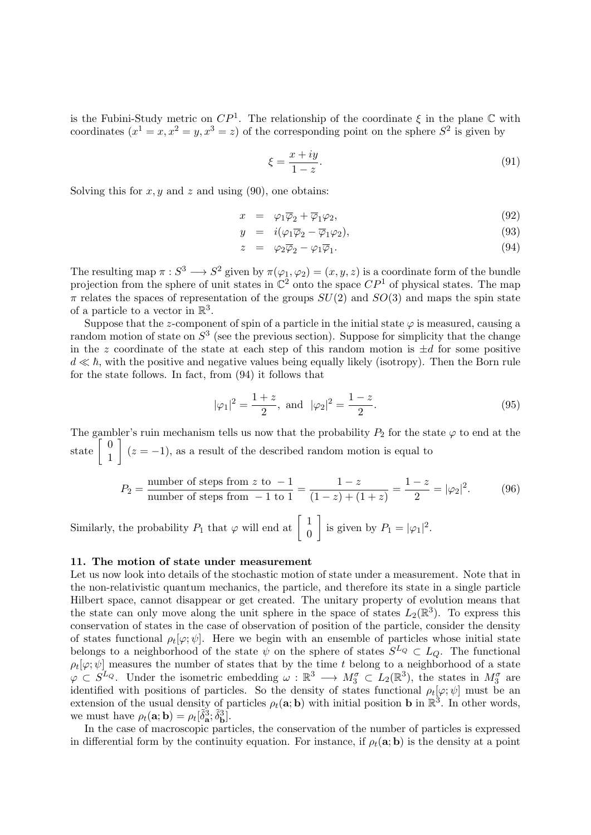is the Fubini-Study metric on  $\mathbb{CP}^1$ . The relationship of the coordinate  $\xi$  in the plane  $\mathbb C$  with coordinates  $(x^1 = x, x^2 = y, x^3 = z)$  of the corresponding point on the sphere  $S^2$  is given by

$$
\xi = \frac{x + iy}{1 - z}.\tag{91}
$$

Solving this for  $x, y$  and  $z$  and using (90), one obtains:

$$
x = \varphi_1 \overline{\varphi}_2 + \overline{\varphi}_1 \varphi_2, \tag{92}
$$

$$
y = i(\varphi_1 \overline{\varphi}_2 - \overline{\varphi}_1 \varphi_2), \tag{93}
$$

$$
z = \varphi_2 \overline{\varphi}_2 - \varphi_1 \overline{\varphi}_1. \tag{94}
$$

The resulting map  $\pi : S^3 \longrightarrow S^2$  given by  $\pi(\varphi_1, \varphi_2) = (x, y, z)$  is a coordinate form of the bundle projection from the sphere of unit states in  $\mathbb{C}^2$  onto the space  $\mathbb{CP}^1$  of physical states. The map  $\pi$  relates the spaces of representation of the groups  $SU(2)$  and  $SO(3)$  and maps the spin state of a particle to a vector in  $\mathbb{R}^3$ .

Suppose that the z-component of spin of a particle in the initial state  $\varphi$  is measured, causing a random motion of state on  $S<sup>3</sup>$  (see the previous section). Suppose for simplicity that the change in the z coordinate of the state at each step of this random motion is  $\pm d$  for some positive  $d \ll \hbar$ , with the positive and negative values being equally likely (isotropy). Then the Born rule for the state follows. In fact, from (94) it follows that

$$
|\varphi_1|^2 = \frac{1+z}{2}
$$
, and  $|\varphi_2|^2 = \frac{1-z}{2}$ . (95)

The gambler's ruin mechanism tells us now that the probability  $P_2$  for the state  $\varphi$  to end at the state  $\begin{bmatrix} 0 \\ 1 \end{bmatrix}$ 1  $\begin{bmatrix} (z = -1), \text{ as a result of the described random motion is equal to } \end{bmatrix}$ 

$$
P_2 = \frac{\text{number of steps from } z \text{ to } -1}{\text{number of steps from } -1 \text{ to } 1} = \frac{1-z}{(1-z)+(1+z)} = \frac{1-z}{2} = |\varphi_2|^2. \tag{96}
$$

Similarly, the probability  $P_1$  that  $\varphi$  will end at  $\begin{bmatrix} 1 \\ 0 \end{bmatrix}$  $\theta$ is given by  $P_1 = |\varphi_1|^2$ .

## 11. The motion of state under measurement

Let us now look into details of the stochastic motion of state under a measurement. Note that in the non-relativistic quantum mechanics, the particle, and therefore its state in a single particle Hilbert space, cannot disappear or get created. The unitary property of evolution means that the state can only move along the unit sphere in the space of states  $L_2(\mathbb{R}^3)$ . To express this conservation of states in the case of observation of position of the particle, consider the density of states functional  $\rho_t[\varphi;\psi]$ . Here we begin with an ensemble of particles whose initial state belongs to a neighborhood of the state  $\psi$  on the sphere of states  $S^{L_Q} \subset L_Q$ . The functional  $\rho_t[\varphi;\psi]$  measures the number of states that by the time t belong to a neighborhood of a state  $\varphi \subset S^{L_Q}$ . Under the isometric embedding  $\omega : \mathbb{R}^3 \longrightarrow M_3^{\sigma} \subset L_2(\mathbb{R}^3)$ , the states in  $M_3^{\sigma}$  are identified with positions of particles. So the density of states functional  $\rho_t[\varphi;\psi]$  must be an extension of the usual density of particles  $\rho_t(\mathbf{a}; \mathbf{b})$  with initial position **b** in  $\mathbb{R}^3$ . In other words, we must have  $\rho_t(\mathbf{a}; \mathbf{b}) = \rho_t[\tilde{\delta}_{\mathbf{a}}^3; \tilde{\delta}_{\mathbf{b}}^3].$ 

In the case of macroscopic particles, the conservation of the number of particles is expressed in differential form by the continuity equation. For instance, if  $\rho_t(\mathbf{a}; \mathbf{b})$  is the density at a point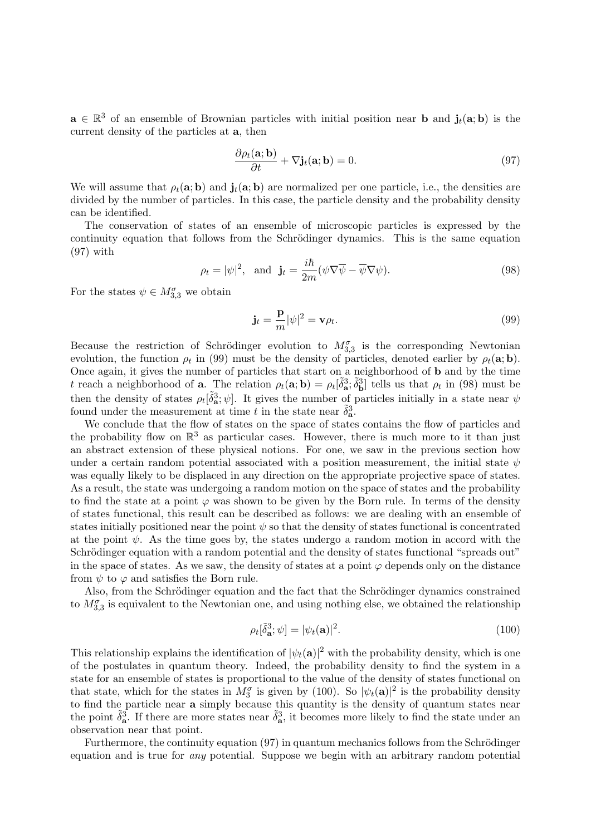$a \in \mathbb{R}^3$  of an ensemble of Brownian particles with initial position near **b** and  $\mathbf{j}_t(a; \mathbf{b})$  is the current density of the particles at a, then

$$
\frac{\partial \rho_t(\mathbf{a}; \mathbf{b})}{\partial t} + \nabla \mathbf{j}_t(\mathbf{a}; \mathbf{b}) = 0.
$$
 (97)

We will assume that  $\rho_t(\mathbf{a}; \mathbf{b})$  and  $\mathbf{j}_t(\mathbf{a}; \mathbf{b})$  are normalized per one particle, i.e., the densities are divided by the number of particles. In this case, the particle density and the probability density can be identified.

The conservation of states of an ensemble of microscopic particles is expressed by the continuity equation that follows from the Schrödinger dynamics. This is the same equation (97) with

$$
\rho_t = |\psi|^2
$$
, and  $\mathbf{j}_t = \frac{i\hbar}{2m} (\psi \nabla \overline{\psi} - \overline{\psi} \nabla \psi).$  (98)

For the states  $\psi \in M^{\sigma}_{3,3}$  we obtain

$$
\mathbf{j}_t = \frac{\mathbf{p}}{m} |\psi|^2 = \mathbf{v}\rho_t.
$$
 (99)

Because the restriction of Schrödinger evolution to  $M_{3,3}^{\sigma}$  is the corresponding Newtonian evolution, the function  $\rho_t$  in (99) must be the density of particles, denoted earlier by  $\rho_t(\mathbf{a}; \mathbf{b})$ . Once again, it gives the number of particles that start on a neighborhood of b and by the time t reach a neighborhood of **a**. The relation  $\rho_t(\mathbf{a}; \mathbf{b}) = \rho_t[\tilde{\delta}_{\mathbf{a}}^3, \tilde{\delta}_{\mathbf{b}}^3]$  tells us that  $\rho_t$  in (98) must be then the density of states  $\rho_t[\tilde{\delta}_{\mathbf{a}}^3; \psi]$ . It gives the number of particles initially in a state near  $\psi$ found under the measurement at time t in the state near  $\tilde{\delta}_{\mathbf{a}}^3$ .

We conclude that the flow of states on the space of states contains the flow of particles and the probability flow on  $\mathbb{R}^3$  as particular cases. However, there is much more to it than just an abstract extension of these physical notions. For one, we saw in the previous section how under a certain random potential associated with a position measurement, the initial state  $\psi$ was equally likely to be displaced in any direction on the appropriate projective space of states. As a result, the state was undergoing a random motion on the space of states and the probability to find the state at a point  $\varphi$  was shown to be given by the Born rule. In terms of the density of states functional, this result can be described as follows: we are dealing with an ensemble of states initially positioned near the point  $\psi$  so that the density of states functional is concentrated at the point  $\psi$ . As the time goes by, the states undergo a random motion in accord with the Schrödinger equation with a random potential and the density of states functional "spreads out" in the space of states. As we saw, the density of states at a point  $\varphi$  depends only on the distance from  $\psi$  to  $\varphi$  and satisfies the Born rule.

Also, from the Schrödinger equation and the fact that the Schrödinger dynamics constrained to  $M_{3,3}^{\sigma}$  is equivalent to the Newtonian one, and using nothing else, we obtained the relationship

$$
\rho_t[\tilde{\delta}_\mathbf{a}^3; \psi] = |\psi_t(\mathbf{a})|^2. \tag{100}
$$

This relationship explains the identification of  $|\psi_t(\mathbf{a})|^2$  with the probability density, which is one of the postulates in quantum theory. Indeed, the probability density to find the system in a state for an ensemble of states is proportional to the value of the density of states functional on that state, which for the states in  $M_3^{\sigma}$  is given by (100). So  $|\psi_t(\mathbf{a})|^2$  is the probability density to find the particle near a simply because this quantity is the density of quantum states near the point  $\tilde{\delta}^3_{\mathbf{a}}$ . If there are more states near  $\tilde{\delta}^3_{\mathbf{a}}$ , it becomes more likely to find the state under an observation near that point.

Furthermore, the continuity equation  $(97)$  in quantum mechanics follows from the Schrödinger equation and is true for any potential. Suppose we begin with an arbitrary random potential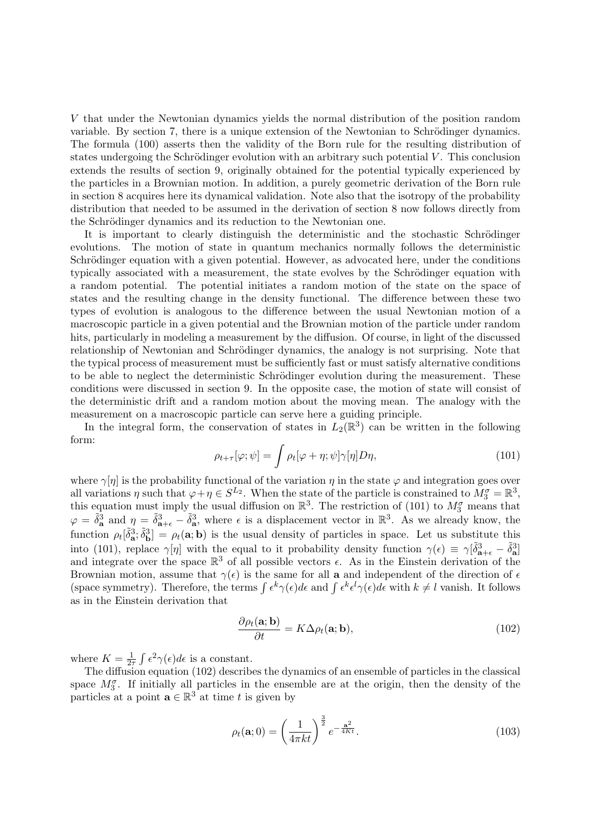V that under the Newtonian dynamics yields the normal distribution of the position random variable. By section 7, there is a unique extension of the Newtonian to Schrödinger dynamics. The formula (100) asserts then the validity of the Born rule for the resulting distribution of states undergoing the Schrödinger evolution with an arbitrary such potential  $V$ . This conclusion extends the results of section 9, originally obtained for the potential typically experienced by the particles in a Brownian motion. In addition, a purely geometric derivation of the Born rule in section 8 acquires here its dynamical validation. Note also that the isotropy of the probability distribution that needed to be assumed in the derivation of section 8 now follows directly from the Schrödinger dynamics and its reduction to the Newtonian one.

It is important to clearly distinguish the deterministic and the stochastic Schrödinger evolutions. The motion of state in quantum mechanics normally follows the deterministic Schrödinger equation with a given potential. However, as advocated here, under the conditions typically associated with a measurement, the state evolves by the Schrödinger equation with a random potential. The potential initiates a random motion of the state on the space of states and the resulting change in the density functional. The difference between these two types of evolution is analogous to the difference between the usual Newtonian motion of a macroscopic particle in a given potential and the Brownian motion of the particle under random hits, particularly in modeling a measurement by the diffusion. Of course, in light of the discussed relationship of Newtonian and Schrödinger dynamics, the analogy is not surprising. Note that the typical process of measurement must be sufficiently fast or must satisfy alternative conditions to be able to neglect the deterministic Schrödinger evolution during the measurement. These conditions were discussed in section 9. In the opposite case, the motion of state will consist of the deterministic drift and a random motion about the moving mean. The analogy with the measurement on a macroscopic particle can serve here a guiding principle.

In the integral form, the conservation of states in  $L_2(\mathbb{R}^3)$  can be written in the following form:

$$
\rho_{t+\tau}[\varphi;\psi] = \int \rho_t[\varphi+\eta;\psi]\gamma[\eta]D\eta,\tag{101}
$$

where  $\gamma[\eta]$  is the probability functional of the variation  $\eta$  in the state  $\varphi$  and integration goes over all variations  $\eta$  such that  $\varphi + \eta \in S^{L_2}$ . When the state of the particle is constrained to  $\overline{M_3^{\sigma}} = \mathbb{R}^3$ , this equation must imply the usual diffusion on  $\mathbb{R}^3$ . The restriction of (101) to  $M_3^{\sigma}$  means that  $\varphi = \tilde{\delta}^3_{\mathbf{a}}$  and  $\eta = \tilde{\delta}^3_{\mathbf{a}+\epsilon} - \tilde{\delta}^3_{\mathbf{a}}$ , where  $\epsilon$  is a displacement vector in  $\mathbb{R}^3$ . As we already know, the function  $\rho_t[\tilde{\delta}_a^3; \tilde{\delta}_b^3] = \rho_t(\mathbf{a}; \mathbf{b})$  is the usual density of particles in space. Let us substitute this into (101), replace  $\gamma[\eta]$  with the equal to it probability density function  $\gamma(\epsilon) \equiv \gamma[\tilde{\delta}_{\mathbf{a}+\epsilon}^3 - \tilde{\delta}_{\mathbf{a}}^3]$ and integrate over the space  $\mathbb{R}^3$  of all possible vectors  $\epsilon$ . As in the Einstein derivation of the Brownian motion, assume that  $\gamma(\epsilon)$  is the same for all **a** and independent of the direction of  $\epsilon$ (space symmetry). Therefore, the terms  $\int \epsilon^k \gamma(\epsilon) d\epsilon$  and  $\int \epsilon^k \epsilon^l \gamma(\epsilon) d\epsilon$  with  $k \neq l$  vanish. It follows as in the Einstein derivation that

$$
\frac{\partial \rho_t(\mathbf{a}; \mathbf{b})}{\partial t} = K \Delta \rho_t(\mathbf{a}; \mathbf{b}),\tag{102}
$$

where  $K=\frac{1}{2}$  $\frac{1}{2\tau}\int \epsilon^2 \gamma(\epsilon) d\epsilon$  is a constant.

The diffusion equation (102) describes the dynamics of an ensemble of particles in the classical space  $M_3^{\sigma}$ . If initially all particles in the ensemble are at the origin, then the density of the particles at a point  $\mathbf{a} \in \mathbb{R}^3$  at time t is given by

$$
\rho_t(\mathbf{a};0) = \left(\frac{1}{4\pi kt}\right)^{\frac{3}{2}} e^{-\frac{\mathbf{a}^2}{4Kt}}.
$$
\n(103)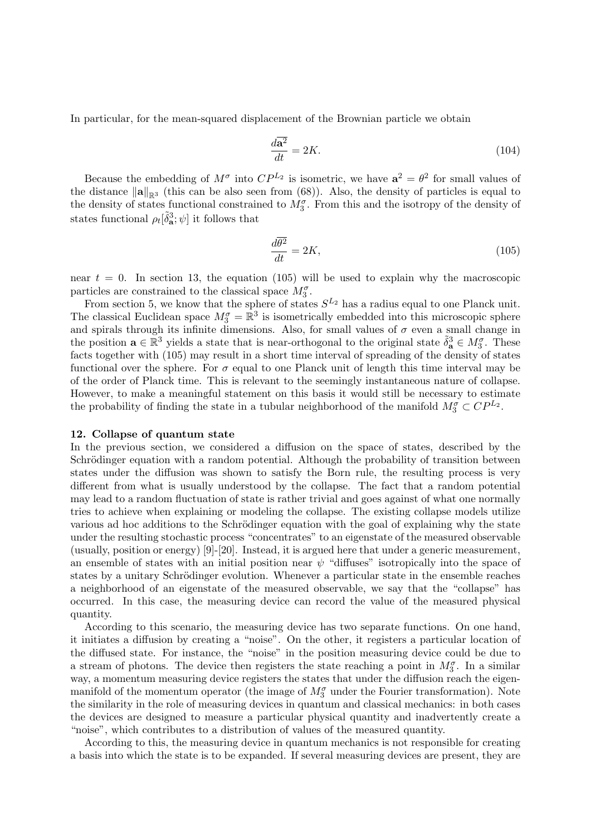In particular, for the mean-squared displacement of the Brownian particle we obtain

$$
\frac{d\overline{\mathbf{a}^2}}{dt} = 2K.\tag{104}
$$

Because the embedding of  $M^{\sigma}$  into  $CP^{L_2}$  is isometric, we have  $a^2 = \theta^2$  for small values of the distance  $\|\mathbf{a}\|_{\mathbb{R}^3}$  (this can be also seen from (68)). Also, the density of particles is equal to the density of states functional constrained to  $M_3^{\sigma}$ . From this and the isotropy of the density of states functional  $\rho_t[\tilde{\delta}_{\mathbf{a}}^3; \psi]$  it follows that

$$
\frac{d\overline{\theta^2}}{dt} = 2K,\tag{105}
$$

near  $t = 0$ . In section 13, the equation (105) will be used to explain why the macroscopic particles are constrained to the classical space  $M_3^{\sigma}$ .

From section 5, we know that the sphere of states  $S^{L_2}$  has a radius equal to one Planck unit. The classical Euclidean space  $M_3^{\sigma} = \mathbb{R}^3$  is isometrically embedded into this microscopic sphere and spirals through its infinite dimensions. Also, for small values of  $\sigma$  even a small change in the position  $\mathbf{a} \in \mathbb{R}^3$  yields a state that is near-orthogonal to the original state  $\tilde{\delta}^3_{\mathbf{a}} \in M_3^{\sigma}$ . These facts together with (105) may result in a short time interval of spreading of the density of states functional over the sphere. For  $\sigma$  equal to one Planck unit of length this time interval may be of the order of Planck time. This is relevant to the seemingly instantaneous nature of collapse. However, to make a meaningful statement on this basis it would still be necessary to estimate the probability of finding the state in a tubular neighborhood of the manifold  $M_3^{\sigma} \subset CP^{L_2}$ .

### 12. Collapse of quantum state

In the previous section, we considered a diffusion on the space of states, described by the Schrödinger equation with a random potential. Although the probability of transition between states under the diffusion was shown to satisfy the Born rule, the resulting process is very different from what is usually understood by the collapse. The fact that a random potential may lead to a random fluctuation of state is rather trivial and goes against of what one normally tries to achieve when explaining or modeling the collapse. The existing collapse models utilize various ad hoc additions to the Schrödinger equation with the goal of explaining why the state under the resulting stochastic process "concentrates" to an eigenstate of the measured observable (usually, position or energy) [9]-[20]. Instead, it is argued here that under a generic measurement, an ensemble of states with an initial position near  $\psi$  "diffuses" isotropically into the space of states by a unitary Schrödinger evolution. Whenever a particular state in the ensemble reaches a neighborhood of an eigenstate of the measured observable, we say that the "collapse" has occurred. In this case, the measuring device can record the value of the measured physical quantity.

According to this scenario, the measuring device has two separate functions. On one hand, it initiates a diffusion by creating a "noise". On the other, it registers a particular location of the diffused state. For instance, the "noise" in the position measuring device could be due to a stream of photons. The device then registers the state reaching a point in  $M_3^{\sigma}$ . In a similar way, a momentum measuring device registers the states that under the diffusion reach the eigenmanifold of the momentum operator (the image of  $M_3^{\sigma}$  under the Fourier transformation). Note the similarity in the role of measuring devices in quantum and classical mechanics: in both cases the devices are designed to measure a particular physical quantity and inadvertently create a "noise", which contributes to a distribution of values of the measured quantity.

According to this, the measuring device in quantum mechanics is not responsible for creating a basis into which the state is to be expanded. If several measuring devices are present, they are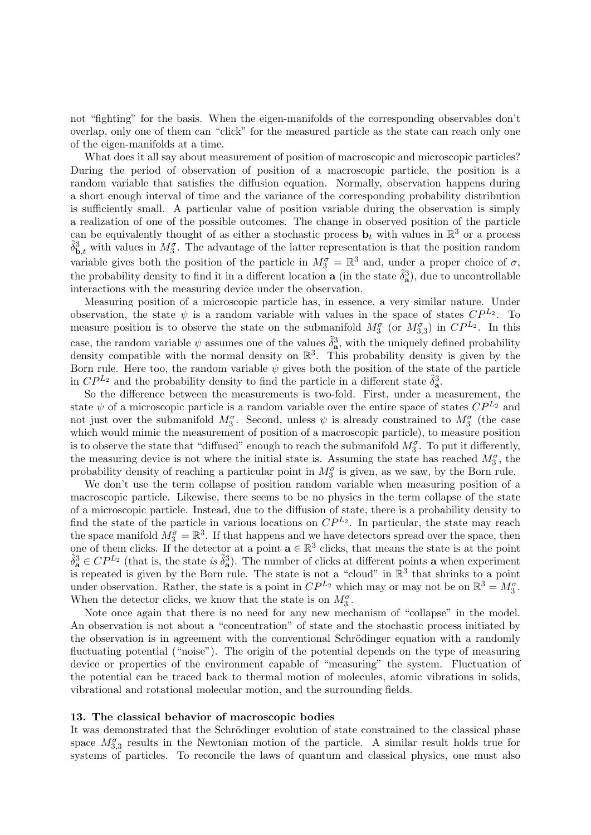not "fighting" for the basis. When the eigen-manifolds of the corresponding observables don't overlap, only one of them can "click" for the measured particle as the state can reach only one of the eigen-manifolds at a time.

What does it all say about measurement of position of macroscopic and microscopic particles? During the period of observation of position of a macroscopic particle, the position is a random variable that satisfies the diffusion equation. Normally, observation happens during a short enough interval of time and the variance of the corresponding probability distribution is sufficiently small. A particular value of position variable during the observation is simply a realization of one of the possible outcomes. The change in observed position of the particle can be equivalently thought of as either a stochastic process  $\mathbf{b}_t$  with values in  $\mathbb{R}^3$  or a process  $\tilde{\delta}_{\mathbf{b},t}^3$  with values in  $M_3^{\sigma}$ . The advantage of the latter representation is that the position random variable gives both the position of the particle in  $M_3^{\sigma} = \mathbb{R}^3$  and, under a proper choice of  $\sigma$ , the probability density to find it in a different location **a** (in the state  $\tilde{\delta}^3_{\mathbf{a}}$ ), due to uncontrollable interactions with the measuring device under the observation.

Measuring position of a microscopic particle has, in essence, a very similar nature. Under observation, the state  $\psi$  is a random variable with values in the space of states  $\mathbb{CP}^{L_2}$ . To measure position is to observe the state on the submanifold  $M_3^{\sigma}$  (or  $M_{3,3}^{\sigma}$ ) in  $CP^{L_2}$ . In this case, the random variable  $\psi$  assumes one of the values  $\tilde{\delta}^3_{\mathbf{a}}$ , with the uniquely defined probability density compatible with the normal density on  $\mathbb{R}^3$ . This probability density is given by the Born rule. Here too, the random variable  $\psi$  gives both the position of the state of the particle in  $CP^{L_2}$  and the probability density to find the particle in a different state  $\tilde{\delta}_a^3$ .

So the difference between the measurements is two-fold. First, under a measurement, the state  $\psi$  of a microscopic particle is a random variable over the entire space of states  $CP^{L_2}$  and not just over the submanifold  $M_3^{\sigma}$ . Second, unless  $\psi$  is already constrained to  $M_3^{\sigma}$  (the case which would mimic the measurement of position of a macroscopic particle), to measure position is to observe the state that "diffused" enough to reach the submanifold  $M_3^{\sigma}$ . To put it differently, the measuring device is not where the initial state is. Assuming the state has reached  $M_3^{\sigma}$ , the probability density of reaching a particular point in  $M_3^{\sigma}$  is given, as we saw, by the Born rule.

We don't use the term collapse of position random variable when measuring position of a macroscopic particle. Likewise, there seems to be no physics in the term collapse of the state of a microscopic particle. Instead, due to the diffusion of state, there is a probability density to find the state of the particle in various locations on  $\mathbb{CP}^{L_2}$ . In particular, the state may reach the space manifold  $M_3^{\sigma} = \mathbb{R}^3$ . If that happens and we have detectors spread over the space, then one of them clicks. If the detector at a point  $\mathbf{a} \in \mathbb{R}^3$  clicks, that means the state is at the point  $\tilde{\delta}^3_{\mathbf{a}} \in CP^{L_2}$  (that is, the state is  $\tilde{\delta}^3_{\mathbf{a}}$ ). The number of clicks at different points **a** when experiment is repeated is given by the Born rule. The state is not a "cloud" in  $\mathbb{R}^3$  that shrinks to a point under observation. Rather, the state is a point in  $\mathbb{CP}^{L_2}$  which may or may not be on  $\mathbb{R}^3 = M_3^{\sigma}$ . When the detector clicks, we know that the state is on  $M_3^{\sigma}$ .

Note once again that there is no need for any new mechanism of "collapse" in the model. An observation is not about a "concentration" of state and the stochastic process initiated by the observation is in agreement with the conventional Schrödinger equation with a randomly fluctuating potential ("noise"). The origin of the potential depends on the type of measuring device or properties of the environment capable of "measuring" the system. Fluctuation of the potential can be traced back to thermal motion of molecules, atomic vibrations in solids, vibrational and rotational molecular motion, and the surrounding fields.

### 13. The classical behavior of macroscopic bodies

It was demonstrated that the Schrödinger evolution of state constrained to the classical phase space  $M_{3,3}^{\sigma}$  results in the Newtonian motion of the particle. A similar result holds true for systems of particles. To reconcile the laws of quantum and classical physics, one must also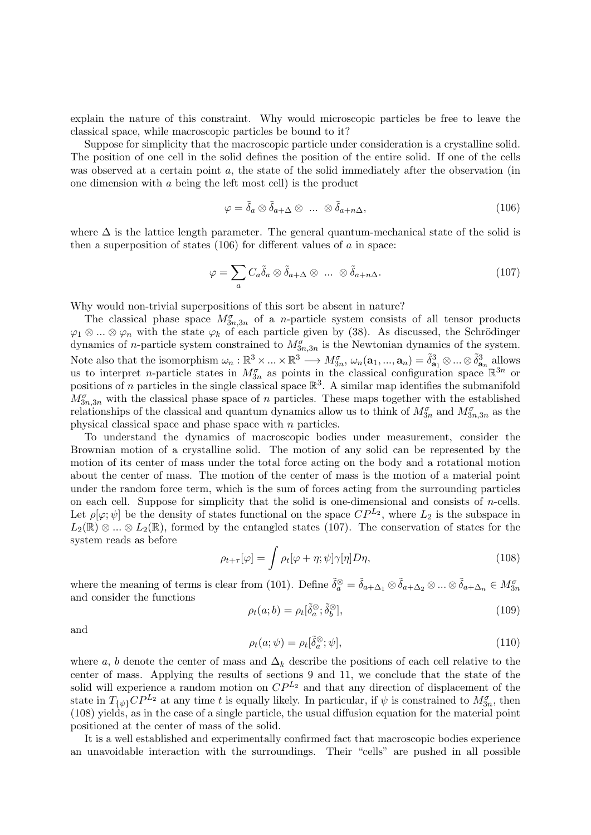explain the nature of this constraint. Why would microscopic particles be free to leave the classical space, while macroscopic particles be bound to it?

Suppose for simplicity that the macroscopic particle under consideration is a crystalline solid. The position of one cell in the solid defines the position of the entire solid. If one of the cells was observed at a certain point a, the state of the solid immediately after the observation (in one dimension with a being the left most cell) is the product

$$
\varphi = \tilde{\delta}_a \otimes \tilde{\delta}_{a+\Delta} \otimes \dots \otimes \tilde{\delta}_{a+n\Delta}, \qquad (106)
$$

where  $\Delta$  is the lattice length parameter. The general quantum-mechanical state of the solid is then a superposition of states  $(106)$  for different values of a in space:

$$
\varphi = \sum_{a} C_{a} \tilde{\delta}_{a} \otimes \tilde{\delta}_{a+\Delta} \otimes \dots \otimes \tilde{\delta}_{a+n\Delta}.
$$
 (107)

Why would non-trivial superpositions of this sort be absent in nature?

The classical phase space  $M_{3n,3n}^{\sigma}$  of a *n*-particle system consists of all tensor products  $\varphi_1 \otimes ... \otimes \varphi_n$  with the state  $\varphi_k$  of each particle given by (38). As discussed, the Schrödinger dynamics of *n*-particle system constrained to  $M_{3n,3n}^{\sigma}$  is the Newtonian dynamics of the system. Note also that the isomorphism  $\omega_n : \mathbb{R}^3 \times \ldots \times \mathbb{R}^3 \longrightarrow M_{3n}^{\sigma}, \omega_n(\mathbf{a}_1, ..., \mathbf{a}_n) = \tilde{\delta}_{\mathbf{a}_1}^3 \otimes \ldots \otimes \tilde{\delta}_{\mathbf{a}_n}^3$  allows us to interpret *n*-particle states in  $M_{3n}^{\sigma}$  as points in the classical configuration space  $\mathbb{R}^{3n}$  or positions of n particles in the single classical space  $\mathbb{R}^3$ . A similar map identifies the submanifold  $M_{3n,3n}^{\sigma}$  with the classical phase space of n particles. These maps together with the established relationships of the classical and quantum dynamics allow us to think of  $M_{3n}^{\sigma}$  and  $M_{3n,3n}^{\sigma}$  as the physical classical space and phase space with  $n$  particles.

To understand the dynamics of macroscopic bodies under measurement, consider the Brownian motion of a crystalline solid. The motion of any solid can be represented by the motion of its center of mass under the total force acting on the body and a rotational motion about the center of mass. The motion of the center of mass is the motion of a material point under the random force term, which is the sum of forces acting from the surrounding particles on each cell. Suppose for simplicity that the solid is one-dimensional and consists of  $n$ -cells. Let  $\rho[\varphi;\psi]$  be the density of states functional on the space  $CP^{L_2}$ , where  $L_2$  is the subspace in  $L_2(\mathbb{R}) \otimes ... \otimes L_2(\mathbb{R})$ , formed by the entangled states (107). The conservation of states for the system reads as before

$$
\rho_{t+\tau}[\varphi] = \int \rho_t[\varphi + \eta; \psi] \gamma[\eta] D\eta, \qquad (108)
$$

where the meaning of terms is clear from (101). Define  $\tilde{\delta}_a^{\otimes} = \tilde{\delta}_{a+\Delta_1} \otimes \tilde{\delta}_{a+\Delta_2} \otimes ... \otimes \tilde{\delta}_{a+\Delta_n} \in M_{3n}^{\sigma}$ and consider the functions

$$
\rho_t(a;b) = \rho_t[\tilde{\delta}_a^{\otimes}; \tilde{\delta}_b^{\otimes}], \qquad (109)
$$

and

$$
\rho_t(a; \psi) = \rho_t[\tilde{\delta}_a^{\otimes}; \psi], \qquad (110)
$$

where a, b denote the center of mass and  $\Delta_k$  describe the positions of each cell relative to the center of mass. Applying the results of sections 9 and 11, we conclude that the state of the solid will experience a random motion on  $\mathbb{CP}^{L_2}$  and that any direction of displacement of the state in  $T_{\{\psi\}}CP^{L_2}$  at any time t is equally likely. In particular, if  $\psi$  is constrained to  $M_{3n}^{\sigma}$ , then (108) yields, as in the case of a single particle, the usual diffusion equation for the material point positioned at the center of mass of the solid.

It is a well established and experimentally confirmed fact that macroscopic bodies experience an unavoidable interaction with the surroundings. Their "cells" are pushed in all possible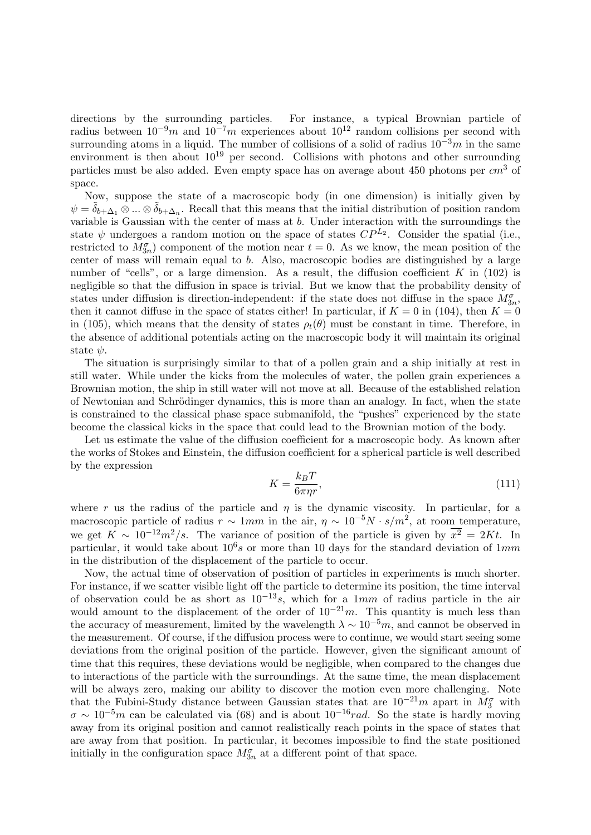directions by the surrounding particles. For instance, a typical Brownian particle of radius between  $10^{-9}m$  and  $10^{-7}m$  experiences about  $10^{12}$  random collisions per second with surrounding atoms in a liquid. The number of collisions of a solid of radius  $10^{-3}m$  in the same environment is then about  $10^{19}$  per second. Collisions with photons and other surrounding particles must be also added. Even empty space has on average about 450 photons per  $cm<sup>3</sup>$  of space.

Now, suppose the state of a macroscopic body (in one dimension) is initially given by  $\psi = \tilde{\delta}_{b+\Delta_1} \otimes ... \otimes \tilde{\delta}_{b+\Delta_n}$ . Recall that this means that the initial distribution of position random variable is Gaussian with the center of mass at b. Under interaction with the surroundings the state  $\psi$  undergoes a random motion on the space of states  $\mathbb{CP}^{L_2}$ . Consider the spatial (i.e., restricted to  $M_{3n}^{\sigma}$  component of the motion near  $t = 0$ . As we know, the mean position of the center of mass will remain equal to b. Also, macroscopic bodies are distinguished by a large number of "cells", or a large dimension. As a result, the diffusion coefficient  $K$  in (102) is negligible so that the diffusion in space is trivial. But we know that the probability density of states under diffusion is direction-independent: if the state does not diffuse in the space  $M_{3n}^{\sigma}$ , then it cannot diffuse in the space of states either! In particular, if  $K = 0$  in (104), then  $K = 0$ in (105), which means that the density of states  $\rho_t(\theta)$  must be constant in time. Therefore, in the absence of additional potentials acting on the macroscopic body it will maintain its original state  $\psi$ .

The situation is surprisingly similar to that of a pollen grain and a ship initially at rest in still water. While under the kicks from the molecules of water, the pollen grain experiences a Brownian motion, the ship in still water will not move at all. Because of the established relation of Newtonian and Schrödinger dynamics, this is more than an analogy. In fact, when the state is constrained to the classical phase space submanifold, the "pushes" experienced by the state become the classical kicks in the space that could lead to the Brownian motion of the body.

Let us estimate the value of the diffusion coefficient for a macroscopic body. As known after the works of Stokes and Einstein, the diffusion coefficient for a spherical particle is well described by the expression

$$
K = \frac{k_B T}{6\pi \eta r},\tag{111}
$$

where r us the radius of the particle and  $\eta$  is the dynamic viscosity. In particular, for a macroscopic particle of radius  $r \sim 1mm$  in the air,  $\eta \sim 10^{-5}N \cdot s/m^2$ , at room temperature, we get  $K \sim 10^{-12} m^2/s$ . The variance of position of the particle is given by  $\overline{x^2} = 2Kt$ . In particular, it would take about  $10<sup>6</sup>s$  or more than 10 days for the standard deviation of  $1mm$ in the distribution of the displacement of the particle to occur.

Now, the actual time of observation of position of particles in experiments is much shorter. For instance, if we scatter visible light off the particle to determine its position, the time interval of observation could be as short as  $10^{-13}s$ , which for a 1mm of radius particle in the air would amount to the displacement of the order of  $10^{-21}m$ . This quantity is much less than the accuracy of measurement, limited by the wavelength  $\lambda \sim 10^{-5}m$ , and cannot be observed in the measurement. Of course, if the diffusion process were to continue, we would start seeing some deviations from the original position of the particle. However, given the significant amount of time that this requires, these deviations would be negligible, when compared to the changes due to interactions of the particle with the surroundings. At the same time, the mean displacement will be always zero, making our ability to discover the motion even more challenging. Note that the Fubini-Study distance between Gaussian states that are  $10^{-21}m$  apart in  $M_3^{\sigma}$  with  $\sigma \sim 10^{-5}$ m can be calculated via (68) and is about  $10^{-16}$ rad. So the state is hardly moving away from its original position and cannot realistically reach points in the space of states that are away from that position. In particular, it becomes impossible to find the state positioned initially in the configuration space  $M_{3n}^{\sigma}$  at a different point of that space.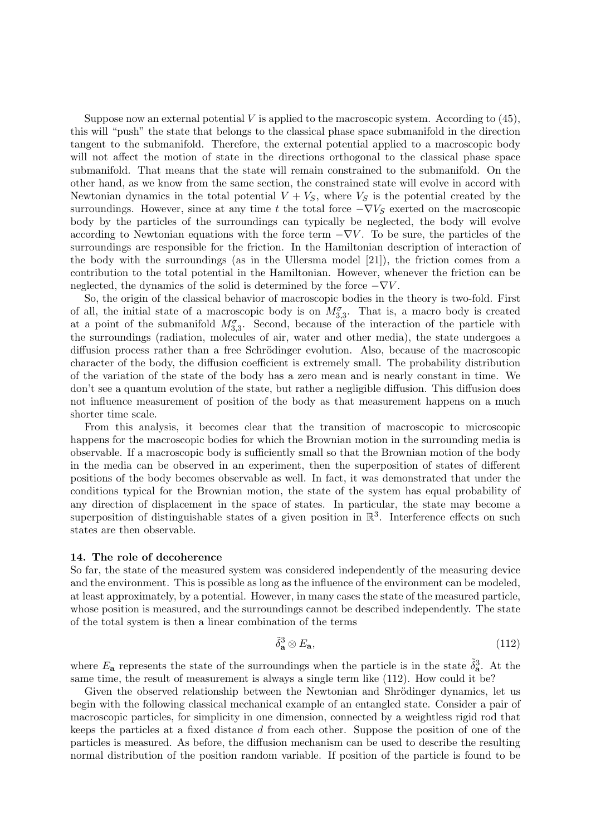Suppose now an external potential V is applied to the macroscopic system. According to  $(45)$ , this will "push" the state that belongs to the classical phase space submanifold in the direction tangent to the submanifold. Therefore, the external potential applied to a macroscopic body will not affect the motion of state in the directions orthogonal to the classical phase space submanifold. That means that the state will remain constrained to the submanifold. On the other hand, as we know from the same section, the constrained state will evolve in accord with Newtonian dynamics in the total potential  $V + V<sub>S</sub>$ , where  $V<sub>S</sub>$  is the potential created by the surroundings. However, since at any time t the total force  $-\nabla V_S$  exerted on the macroscopic body by the particles of the surroundings can typically be neglected, the body will evolve according to Newtonian equations with the force term  $-\nabla V$ . To be sure, the particles of the surroundings are responsible for the friction. In the Hamiltonian description of interaction of the body with the surroundings (as in the Ullersma model [21]), the friction comes from a contribution to the total potential in the Hamiltonian. However, whenever the friction can be neglected, the dynamics of the solid is determined by the force  $-\nabla V$ .

So, the origin of the classical behavior of macroscopic bodies in the theory is two-fold. First of all, the initial state of a macroscopic body is on  $M_{3,3}^{\sigma}$ . That is, a macro body is created at a point of the submanifold  $M_{3,3}^{\sigma}$ . Second, because of the interaction of the particle with the surroundings (radiation, molecules of air, water and other media), the state undergoes a diffusion process rather than a free Schrödinger evolution. Also, because of the macroscopic character of the body, the diffusion coefficient is extremely small. The probability distribution of the variation of the state of the body has a zero mean and is nearly constant in time. We don't see a quantum evolution of the state, but rather a negligible diffusion. This diffusion does not influence measurement of position of the body as that measurement happens on a much shorter time scale.

From this analysis, it becomes clear that the transition of macroscopic to microscopic happens for the macroscopic bodies for which the Brownian motion in the surrounding media is observable. If a macroscopic body is sufficiently small so that the Brownian motion of the body in the media can be observed in an experiment, then the superposition of states of different positions of the body becomes observable as well. In fact, it was demonstrated that under the conditions typical for the Brownian motion, the state of the system has equal probability of any direction of displacement in the space of states. In particular, the state may become a superposition of distinguishable states of a given position in  $\mathbb{R}^3$ . Interference effects on such states are then observable.

## 14. The role of decoherence

So far, the state of the measured system was considered independently of the measuring device and the environment. This is possible as long as the influence of the environment can be modeled, at least approximately, by a potential. However, in many cases the state of the measured particle, whose position is measured, and the surroundings cannot be described independently. The state of the total system is then a linear combination of the terms

$$
\tilde{\delta}_{\mathbf{a}}^3 \otimes E_{\mathbf{a}},\tag{112}
$$

where  $E_a$  represents the state of the surroundings when the particle is in the state  $\tilde{\delta}_a^3$ . At the same time, the result of measurement is always a single term like (112). How could it be?

Given the observed relationship between the Newtonian and Shrödinger dynamics, let us begin with the following classical mechanical example of an entangled state. Consider a pair of macroscopic particles, for simplicity in one dimension, connected by a weightless rigid rod that keeps the particles at a fixed distance d from each other. Suppose the position of one of the particles is measured. As before, the diffusion mechanism can be used to describe the resulting normal distribution of the position random variable. If position of the particle is found to be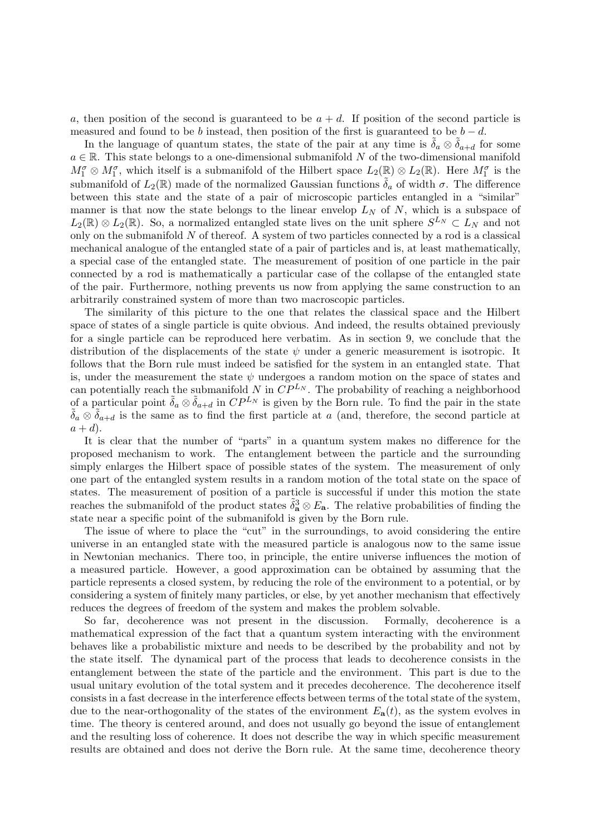a, then position of the second is guaranteed to be  $a + d$ . If position of the second particle is measured and found to be b instead, then position of the first is guaranteed to be  $b - d$ .

In the language of quantum states, the state of the pair at any time is  $\delta_a \otimes \delta_{a+d}$  for some  $a \in \mathbb{R}$ . This state belongs to a one-dimensional submanifold N of the two-dimensional manifold  $M_1^{\sigma} \otimes M_1^{\sigma}$ , which itself is a submanifold of the Hilbert space  $L_2(\mathbb{R}) \otimes L_2(\mathbb{R})$ . Here  $M_1^{\sigma}$  is the submanifold of  $L_2(\mathbb{R})$  made of the normalized Gaussian functions  $\tilde{\delta}_a$  of width  $\sigma$ . The difference between this state and the state of a pair of microscopic particles entangled in a "similar" manner is that now the state belongs to the linear envelop  $L<sub>N</sub>$  of N, which is a subspace of  $L_2(\mathbb{R}) \otimes L_2(\mathbb{R})$ . So, a normalized entangled state lives on the unit sphere  $S^{L_N} \subset L_N$  and not only on the submanifold  $N$  of thereof. A system of two particles connected by a rod is a classical mechanical analogue of the entangled state of a pair of particles and is, at least mathematically, a special case of the entangled state. The measurement of position of one particle in the pair connected by a rod is mathematically a particular case of the collapse of the entangled state of the pair. Furthermore, nothing prevents us now from applying the same construction to an arbitrarily constrained system of more than two macroscopic particles.

The similarity of this picture to the one that relates the classical space and the Hilbert space of states of a single particle is quite obvious. And indeed, the results obtained previously for a single particle can be reproduced here verbatim. As in section 9, we conclude that the distribution of the displacements of the state  $\psi$  under a generic measurement is isotropic. It follows that the Born rule must indeed be satisfied for the system in an entangled state. That is, under the measurement the state  $\psi$  undergoes a random motion on the space of states and can potentially reach the submanifold N in  $\tilde{CP}^{L_N}$ . The probability of reaching a neighborhood of a particular point  $\tilde{\delta}_a \otimes \tilde{\delta}_{a+d}$  in  $CP^{L_N}$  is given by the Born rule. To find the pair in the state  $\tilde{\delta}_a \otimes \tilde{\delta}_{a+d}$  is the same as to find the first particle at a (and, therefore, the second particle at  $a + d$ ).

It is clear that the number of "parts" in a quantum system makes no difference for the proposed mechanism to work. The entanglement between the particle and the surrounding simply enlarges the Hilbert space of possible states of the system. The measurement of only one part of the entangled system results in a random motion of the total state on the space of states. The measurement of position of a particle is successful if under this motion the state reaches the submanifold of the product states  $\tilde{\delta}_a^3 \otimes E_a$ . The relative probabilities of finding the state near a specific point of the submanifold is given by the Born rule.

The issue of where to place the "cut" in the surroundings, to avoid considering the entire universe in an entangled state with the measured particle is analogous now to the same issue in Newtonian mechanics. There too, in principle, the entire universe influences the motion of a measured particle. However, a good approximation can be obtained by assuming that the particle represents a closed system, by reducing the role of the environment to a potential, or by considering a system of finitely many particles, or else, by yet another mechanism that effectively reduces the degrees of freedom of the system and makes the problem solvable.

So far, decoherence was not present in the discussion. Formally, decoherence is a mathematical expression of the fact that a quantum system interacting with the environment behaves like a probabilistic mixture and needs to be described by the probability and not by the state itself. The dynamical part of the process that leads to decoherence consists in the entanglement between the state of the particle and the environment. This part is due to the usual unitary evolution of the total system and it precedes decoherence. The decoherence itself consists in a fast decrease in the interference effects between terms of the total state of the system, due to the near-orthogonality of the states of the environment  $E_{a}(t)$ , as the system evolves in time. The theory is centered around, and does not usually go beyond the issue of entanglement and the resulting loss of coherence. It does not describe the way in which specific measurement results are obtained and does not derive the Born rule. At the same time, decoherence theory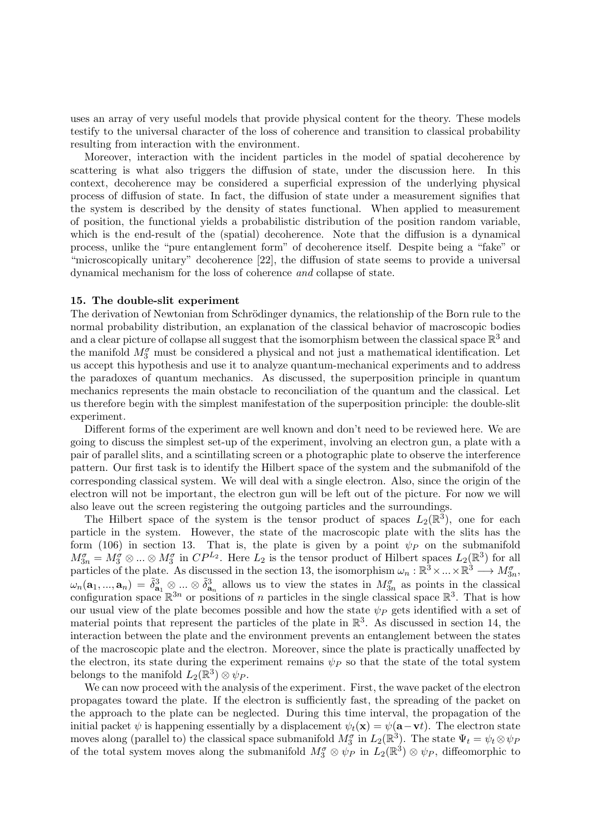uses an array of very useful models that provide physical content for the theory. These models testify to the universal character of the loss of coherence and transition to classical probability resulting from interaction with the environment.

Moreover, interaction with the incident particles in the model of spatial decoherence by scattering is what also triggers the diffusion of state, under the discussion here. In this context, decoherence may be considered a superficial expression of the underlying physical process of diffusion of state. In fact, the diffusion of state under a measurement signifies that the system is described by the density of states functional. When applied to measurement of position, the functional yields a probabilistic distribution of the position random variable, which is the end-result of the (spatial) decoherence. Note that the diffusion is a dynamical process, unlike the "pure entanglement form" of decoherence itself. Despite being a "fake" or "microscopically unitary" decoherence [22], the diffusion of state seems to provide a universal dynamical mechanism for the loss of coherence and collapse of state.

# 15. The double-slit experiment

The derivation of Newtonian from Schrödinger dynamics, the relationship of the Born rule to the normal probability distribution, an explanation of the classical behavior of macroscopic bodies and a clear picture of collapse all suggest that the isomorphism between the classical space  $\mathbb{R}^3$  and the manifold  $M_3^{\sigma}$  must be considered a physical and not just a mathematical identification. Let us accept this hypothesis and use it to analyze quantum-mechanical experiments and to address the paradoxes of quantum mechanics. As discussed, the superposition principle in quantum mechanics represents the main obstacle to reconciliation of the quantum and the classical. Let us therefore begin with the simplest manifestation of the superposition principle: the double-slit experiment.

Different forms of the experiment are well known and don't need to be reviewed here. We are going to discuss the simplest set-up of the experiment, involving an electron gun, a plate with a pair of parallel slits, and a scintillating screen or a photographic plate to observe the interference pattern. Our first task is to identify the Hilbert space of the system and the submanifold of the corresponding classical system. We will deal with a single electron. Also, since the origin of the electron will not be important, the electron gun will be left out of the picture. For now we will also leave out the screen registering the outgoing particles and the surroundings.

The Hilbert space of the system is the tensor product of spaces  $L_2(\mathbb{R}^3)$ , one for each particle in the system. However, the state of the macroscopic plate with the slits has the form (106) in section 13. That is, the plate is given by a point  $\psi_P$  on the submanifold  $M_{3n}^{\sigma} = M_3^{\sigma} \otimes ... \otimes M_3^{\sigma}$  in  $CP^{L_2}$ . Here  $L_2$  is the tensor product of Hilbert spaces  $L_2(\mathbb{R}^3)$  for all particles of the plate. As discussed in the section 13, the isomorphism  $\omega_n : \mathbb{R}^3 \times ... \times \mathbb{R}^3 \longrightarrow M_{3n}^{\sigma}$ ,  $\omega_n(\mathbf{a}_1, ..., \mathbf{a}_n) = \tilde{\delta}_{\mathbf{a}_1}^3 \otimes ... \otimes \tilde{\delta}_{\mathbf{a}_n}^3$  allows us to view the states in  $M_{3n}^{\sigma}$  as points in the classical configuration space  $\mathbb{R}^{3n}$  or positions of *n* particles in the single classical space  $\mathbb{R}^3$ . That is how our usual view of the plate becomes possible and how the state  $\psi_P$  gets identified with a set of material points that represent the particles of the plate in  $\mathbb{R}^3$ . As discussed in section 14, the interaction between the plate and the environment prevents an entanglement between the states of the macroscopic plate and the electron. Moreover, since the plate is practically unaffected by the electron, its state during the experiment remains  $\psi_P$  so that the state of the total system belongs to the manifold  $L_2(\mathbb{R}^3) \otimes \psi_P$ .

We can now proceed with the analysis of the experiment. First, the wave packet of the electron propagates toward the plate. If the electron is sufficiently fast, the spreading of the packet on the approach to the plate can be neglected. During this time interval, the propagation of the initial packet  $\psi$  is happening essentially by a displacement  $\psi_t(\mathbf{x}) = \psi(\mathbf{a} - \mathbf{v}t)$ . The electron state moves along (parallel to) the classical space submanifold  $M_3^{\sigma}$  in  $L_2(\mathbb{R}^3)$ . The state  $\Psi_t = \psi_t \otimes \psi_t$ of the total system moves along the submanifold  $M_3^{\sigma} \otimes \psi_P$  in  $L_2(\mathbb{R}^3) \otimes \psi_P$ , diffeomorphic to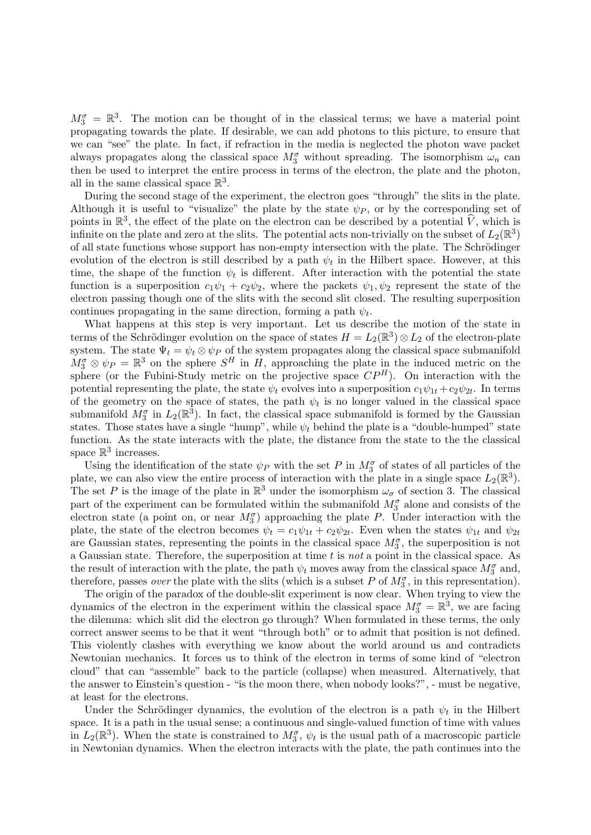$M_3^{\sigma} = \mathbb{R}^3$ . The motion can be thought of in the classical terms; we have a material point propagating towards the plate. If desirable, we can add photons to this picture, to ensure that we can "see" the plate. In fact, if refraction in the media is neglected the photon wave packet always propagates along the classical space  $M_3^{\sigma}$  without spreading. The isomorphism  $\omega_n$  can then be used to interpret the entire process in terms of the electron, the plate and the photon, all in the same classical space  $\mathbb{R}^3$ .

During the second stage of the experiment, the electron goes "through" the slits in the plate. Although it is useful to "visualize" the plate by the state  $\psi_P$ , or by the corresponding set of points in  $\mathbb{R}^3$ , the effect of the plate on the electron can be described by a potential  $\hat{V}$ , which is infinite on the plate and zero at the slits. The potential acts non-trivially on the subset of  $L_2(\mathbb{R}^3)$ of all state functions whose support has non-empty intersection with the plate. The Schrödinger evolution of the electron is still described by a path  $\psi_t$  in the Hilbert space. However, at this time, the shape of the function  $\psi_t$  is different. After interaction with the potential the state function is a superposition  $c_1\psi_1 + c_2\psi_2$ , where the packets  $\psi_1, \psi_2$  represent the state of the electron passing though one of the slits with the second slit closed. The resulting superposition continues propagating in the same direction, forming a path  $\psi_t$ .

What happens at this step is very important. Let us describe the motion of the state in terms of the Schrödinger evolution on the space of states  $H = L_2(\mathbb{R}^3) \otimes L_2$  of the electron-plate system. The state  $\Psi_t = \psi_t \otimes \psi_P$  of the system propagates along the classical space submanifold  $M_3^{\sigma} \otimes \psi_P = \mathbb{R}^3$  on the sphere  $S^H$  in H, approaching the plate in the induced metric on the sphere (or the Fubini-Study metric on the projective space  $CP<sup>H</sup>$ ). On interaction with the potential representing the plate, the state  $\psi_t$  evolves into a superposition  $c_1\psi_{1t} + c_2\psi_{2t}$ . In terms of the geometry on the space of states, the path  $\psi_t$  is no longer valued in the classical space submanifold  $M_3^{\sigma}$  in  $L_2(\mathbb{R}^3)$ . In fact, the classical space submanifold is formed by the Gaussian states. Those states have a single "hump", while  $\psi_t$  behind the plate is a "double-humped" state function. As the state interacts with the plate, the distance from the state to the the classical space  $\mathbb{R}^3$  increases.

Using the identification of the state  $\psi_P$  with the set P in  $M_3^{\sigma}$  of states of all particles of the plate, we can also view the entire process of interaction with the plate in a single space  $L_2(\mathbb{R}^3)$ . The set P is the image of the plate in  $\mathbb{R}^3$  under the isomorphism  $\omega_{\sigma}$  of section 3. The classical part of the experiment can be formulated within the submanifold  $M_3^{\sigma}$  alone and consists of the electron state (a point on, or near  $M_3^{\sigma}$ ) approaching the plate P. Under interaction with the plate, the state of the electron becomes  $\psi_t = c_1 \psi_{1t} + c_2 \psi_{2t}$ . Even when the states  $\psi_{1t}$  and  $\psi_{2t}$ are Gaussian states, representing the points in the classical space  $M_3^{\sigma}$ , the superposition is not a Gaussian state. Therefore, the superposition at time  $t$  is not a point in the classical space. As the result of interaction with the plate, the path  $\psi_t$  moves away from the classical space  $M_3^{\sigma}$  and, therefore, passes *over* the plate with the slits (which is a subset P of  $M_3^{\sigma}$ , in this representation).

The origin of the paradox of the double-slit experiment is now clear. When trying to view the dynamics of the electron in the experiment within the classical space  $M_3^{\sigma} = \mathbb{R}^3$ , we are facing the dilemma: which slit did the electron go through? When formulated in these terms, the only correct answer seems to be that it went "through both" or to admit that position is not defined. This violently clashes with everything we know about the world around us and contradicts Newtonian mechanics. It forces us to think of the electron in terms of some kind of "electron cloud" that can "assemble" back to the particle (collapse) when measured. Alternatively, that the answer to Einstein's question - "is the moon there, when nobody looks?", - must be negative, at least for the electrons.

Under the Schrödinger dynamics, the evolution of the electron is a path  $\psi_t$  in the Hilbert space. It is a path in the usual sense; a continuous and single-valued function of time with values in  $L_2(\mathbb{R}^3)$ . When the state is constrained to  $M_3^{\sigma}$ ,  $\psi_t$  is the usual path of a macroscopic particle in Newtonian dynamics. When the electron interacts with the plate, the path continues into the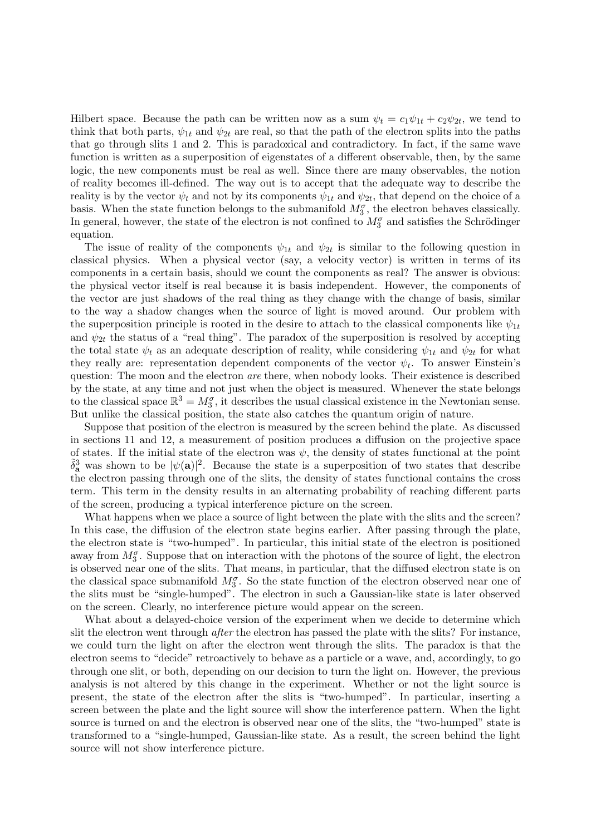Hilbert space. Because the path can be written now as a sum  $\psi_t = c_1 \psi_{1t} + c_2 \psi_{2t}$ , we tend to think that both parts,  $\psi_{1t}$  and  $\psi_{2t}$  are real, so that the path of the electron splits into the paths that go through slits 1 and 2. This is paradoxical and contradictory. In fact, if the same wave function is written as a superposition of eigenstates of a different observable, then, by the same logic, the new components must be real as well. Since there are many observables, the notion of reality becomes ill-defined. The way out is to accept that the adequate way to describe the reality is by the vector  $\psi_t$  and not by its components  $\psi_{1t}$  and  $\psi_{2t}$ , that depend on the choice of a basis. When the state function belongs to the submanifold  $M_3^{\sigma}$ , the electron behaves classically. In general, however, the state of the electron is not confined to  $M_3^{\sigma}$  and satisfies the Schrödinger equation.

The issue of reality of the components  $\psi_{1t}$  and  $\psi_{2t}$  is similar to the following question in classical physics. When a physical vector (say, a velocity vector) is written in terms of its components in a certain basis, should we count the components as real? The answer is obvious: the physical vector itself is real because it is basis independent. However, the components of the vector are just shadows of the real thing as they change with the change of basis, similar to the way a shadow changes when the source of light is moved around. Our problem with the superposition principle is rooted in the desire to attach to the classical components like  $\psi_{1t}$ and  $\psi_{2t}$  the status of a "real thing". The paradox of the superposition is resolved by accepting the total state  $\psi_t$  as an adequate description of reality, while considering  $\psi_{1t}$  and  $\psi_{2t}$  for what they really are: representation dependent components of the vector  $\psi_t$ . To answer Einstein's question: The moon and the electron are there, when nobody looks. Their existence is described by the state, at any time and not just when the object is measured. Whenever the state belongs to the classical space  $\mathbb{R}^3 = M_3^{\sigma}$ , it describes the usual classical existence in the Newtonian sense. But unlike the classical position, the state also catches the quantum origin of nature.

Suppose that position of the electron is measured by the screen behind the plate. As discussed in sections 11 and 12, a measurement of position produces a diffusion on the projective space of states. If the initial state of the electron was  $\psi$ , the density of states functional at the point  $\tilde{\delta}_{\mathbf{a}}^3$  was shown to be  $|\psi(\mathbf{a})|^2$ . Because the state is a superposition of two states that describe the electron passing through one of the slits, the density of states functional contains the cross term. This term in the density results in an alternating probability of reaching different parts of the screen, producing a typical interference picture on the screen.

What happens when we place a source of light between the plate with the slits and the screen? In this case, the diffusion of the electron state begins earlier. After passing through the plate, the electron state is "two-humped". In particular, this initial state of the electron is positioned away from  $M_3^{\sigma}$ . Suppose that on interaction with the photons of the source of light, the electron is observed near one of the slits. That means, in particular, that the diffused electron state is on the classical space submanifold  $M_3^{\sigma}$ . So the state function of the electron observed near one of the slits must be "single-humped". The electron in such a Gaussian-like state is later observed on the screen. Clearly, no interference picture would appear on the screen.

What about a delayed-choice version of the experiment when we decide to determine which slit the electron went through after the electron has passed the plate with the slits? For instance, we could turn the light on after the electron went through the slits. The paradox is that the electron seems to "decide" retroactively to behave as a particle or a wave, and, accordingly, to go through one slit, or both, depending on our decision to turn the light on. However, the previous analysis is not altered by this change in the experiment. Whether or not the light source is present, the state of the electron after the slits is "two-humped". In particular, inserting a screen between the plate and the light source will show the interference pattern. When the light source is turned on and the electron is observed near one of the slits, the "two-humped" state is transformed to a "single-humped, Gaussian-like state. As a result, the screen behind the light source will not show interference picture.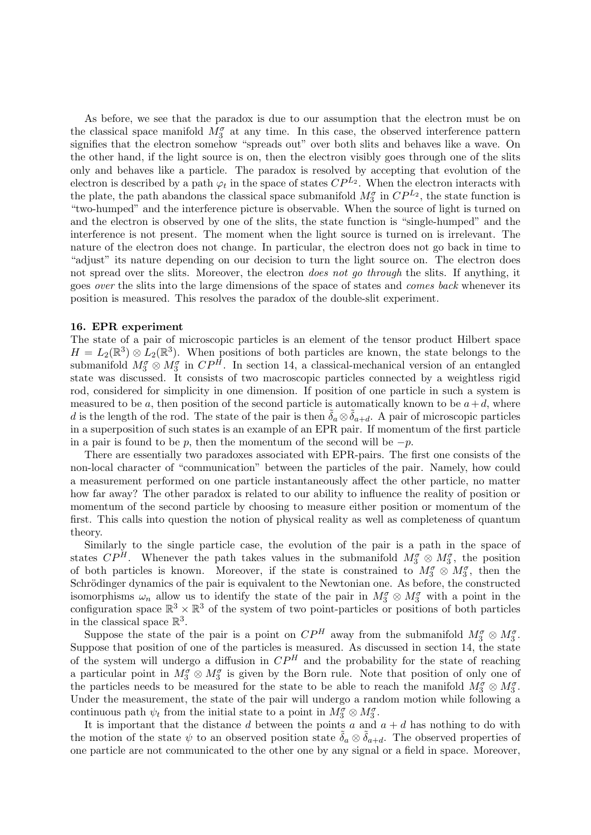As before, we see that the paradox is due to our assumption that the electron must be on the classical space manifold  $M_3^{\sigma}$  at any time. In this case, the observed interference pattern signifies that the electron somehow "spreads out" over both slits and behaves like a wave. On the other hand, if the light source is on, then the electron visibly goes through one of the slits only and behaves like a particle. The paradox is resolved by accepting that evolution of the electron is described by a path  $\varphi_t$  in the space of states  $CP^{L_2}$ . When the electron interacts with the plate, the path abandons the classical space submanifold  $M_3^{\sigma}$  in  $CP^{L_2}$ , the state function is "two-humped" and the interference picture is observable. When the source of light is turned on and the electron is observed by one of the slits, the state function is "single-humped" and the interference is not present. The moment when the light source is turned on is irrelevant. The nature of the electron does not change. In particular, the electron does not go back in time to "adjust" its nature depending on our decision to turn the light source on. The electron does not spread over the slits. Moreover, the electron *does not go through* the slits. If anything, it goes *over* the slits into the large dimensions of the space of states and *comes back* whenever its position is measured. This resolves the paradox of the double-slit experiment.

## 16. EPR experiment

The state of a pair of microscopic particles is an element of the tensor product Hilbert space  $H = L_2(\mathbb{R}^3) \otimes L_2(\mathbb{R}^3)$ . When positions of both particles are known, the state belongs to the submanifold  $M_3^{\sigma} \otimes M_3^{\sigma}$  in  $\mathbb{CP}^H$ . In section 14, a classical-mechanical version of an entangled state was discussed. It consists of two macroscopic particles connected by a weightless rigid rod, considered for simplicity in one dimension. If position of one particle in such a system is measured to be a, then position of the second particle is automatically known to be  $a+d$ , where d is the length of the rod. The state of the pair is then  $\delta_a \otimes \delta_{a+d}$ . A pair of microscopic particles in a superposition of such states is an example of an EPR pair. If momentum of the first particle in a pair is found to be p, then the momentum of the second will be  $-p$ .

There are essentially two paradoxes associated with EPR-pairs. The first one consists of the non-local character of "communication" between the particles of the pair. Namely, how could a measurement performed on one particle instantaneously affect the other particle, no matter how far away? The other paradox is related to our ability to influence the reality of position or momentum of the second particle by choosing to measure either position or momentum of the first. This calls into question the notion of physical reality as well as completeness of quantum theory.

Similarly to the single particle case, the evolution of the pair is a path in the space of states  $\mathbb{CP}^H$ . Whenever the path takes values in the submanifold  $M_3^{\sigma} \otimes M_3^{\sigma}$ , the position of both particles is known. Moreover, if the state is constrained to  $M_3^{\sigma} \otimes M_3^{\sigma}$ , then the Schrödinger dynamics of the pair is equivalent to the Newtonian one. As before, the constructed isomorphisms  $\omega_n$  allow us to identify the state of the pair in  $M_3^{\sigma} \otimes M_3^{\sigma}$  with a point in the configuration space  $\mathbb{R}^3 \times \mathbb{R}^3$  of the system of two point-particles or positions of both particles in the classical space  $\mathbb{R}^3$ .

Suppose the state of the pair is a point on  $\mathbb{CP}^H$  away from the submanifold  $M_3^{\sigma} \otimes M_3^{\sigma}$ . Suppose that position of one of the particles is measured. As discussed in section 14, the state of the system will undergo a diffusion in  $\mathbb{CP}^H$  and the probability for the state of reaching a particular point in  $M_3^{\sigma} \otimes M_3^{\sigma}$  is given by the Born rule. Note that position of only one of the particles needs to be measured for the state to be able to reach the manifold  $M_3^{\sigma} \otimes M_3^{\sigma}$ . Under the measurement, the state of the pair will undergo a random motion while following a continuous path  $\psi_t$  from the initial state to a point in  $M_3^{\sigma} \otimes M_3^{\sigma}$ .

It is important that the distance d between the points a and  $a + d$  has nothing to do with the motion of the state  $\psi$  to an observed position state  $\delta_a \otimes \delta_{a+d}$ . The observed properties of one particle are not communicated to the other one by any signal or a field in space. Moreover,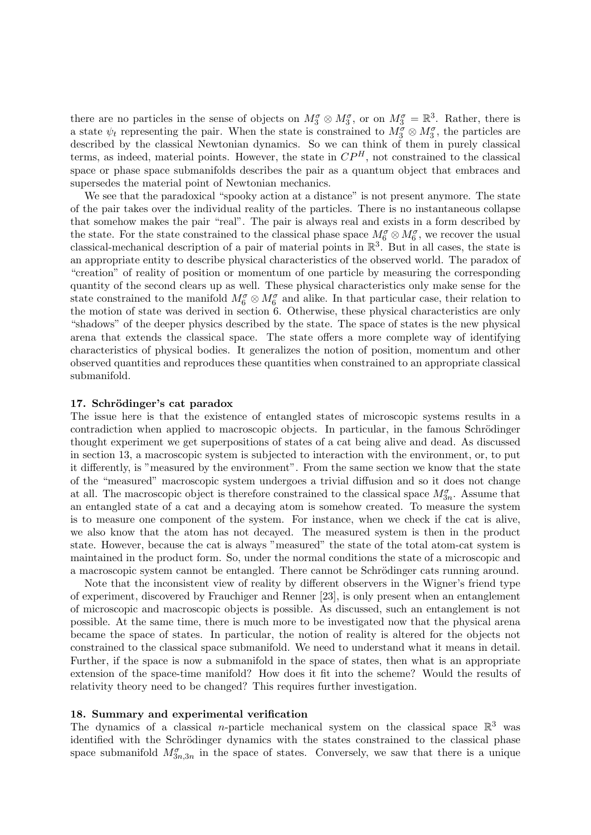there are no particles in the sense of objects on  $M_3^{\sigma} \otimes M_3^{\sigma}$ , or on  $M_3^{\sigma} = \mathbb{R}^3$ . Rather, there is a state  $\psi_t$  representing the pair. When the state is constrained to  $M_3^{\sigma} \otimes M_3^{\sigma}$ , the particles are described by the classical Newtonian dynamics. So we can think of them in purely classical terms, as indeed, material points. However, the state in  $\mathbb{CP}^H$ , not constrained to the classical space or phase space submanifolds describes the pair as a quantum object that embraces and supersedes the material point of Newtonian mechanics.

We see that the paradoxical "spooky action at a distance" is not present anymore. The state of the pair takes over the individual reality of the particles. There is no instantaneous collapse that somehow makes the pair "real". The pair is always real and exists in a form described by the state. For the state constrained to the classical phase space  $M_6^{\sigma} \otimes M_6^{\sigma}$ , we recover the usual classical-mechanical description of a pair of material points in  $\mathbb{R}^3$ . But in all cases, the state is an appropriate entity to describe physical characteristics of the observed world. The paradox of "creation" of reality of position or momentum of one particle by measuring the corresponding quantity of the second clears up as well. These physical characteristics only make sense for the state constrained to the manifold  $M_6^{\sigma} \otimes M_6^{\sigma}$  and alike. In that particular case, their relation to the motion of state was derived in section 6. Otherwise, these physical characteristics are only "shadows" of the deeper physics described by the state. The space of states is the new physical arena that extends the classical space. The state offers a more complete way of identifying characteristics of physical bodies. It generalizes the notion of position, momentum and other observed quantities and reproduces these quantities when constrained to an appropriate classical submanifold.

## 17. Schrödinger's cat paradox

The issue here is that the existence of entangled states of microscopic systems results in a contradiction when applied to macroscopic objects. In particular, in the famous Schrödinger thought experiment we get superpositions of states of a cat being alive and dead. As discussed in section 13, a macroscopic system is subjected to interaction with the environment, or, to put it differently, is "measured by the environment". From the same section we know that the state of the "measured" macroscopic system undergoes a trivial diffusion and so it does not change at all. The macroscopic object is therefore constrained to the classical space  $M_{3n}^{\sigma}$ . Assume that an entangled state of a cat and a decaying atom is somehow created. To measure the system is to measure one component of the system. For instance, when we check if the cat is alive, we also know that the atom has not decayed. The measured system is then in the product state. However, because the cat is always "measured" the state of the total atom-cat system is maintained in the product form. So, under the normal conditions the state of a microscopic and a macroscopic system cannot be entangled. There cannot be Schrödinger cats running around.

Note that the inconsistent view of reality by different observers in the Wigner's friend type of experiment, discovered by Frauchiger and Renner [23], is only present when an entanglement of microscopic and macroscopic objects is possible. As discussed, such an entanglement is not possible. At the same time, there is much more to be investigated now that the physical arena became the space of states. In particular, the notion of reality is altered for the objects not constrained to the classical space submanifold. We need to understand what it means in detail. Further, if the space is now a submanifold in the space of states, then what is an appropriate extension of the space-time manifold? How does it fit into the scheme? Would the results of relativity theory need to be changed? This requires further investigation.

## 18. Summary and experimental verification

The dynamics of a classical *n*-particle mechanical system on the classical space  $\mathbb{R}^3$  was identified with the Schrödinger dynamics with the states constrained to the classical phase space submanifold  $M_{3n,3n}^{\sigma}$  in the space of states. Conversely, we saw that there is a unique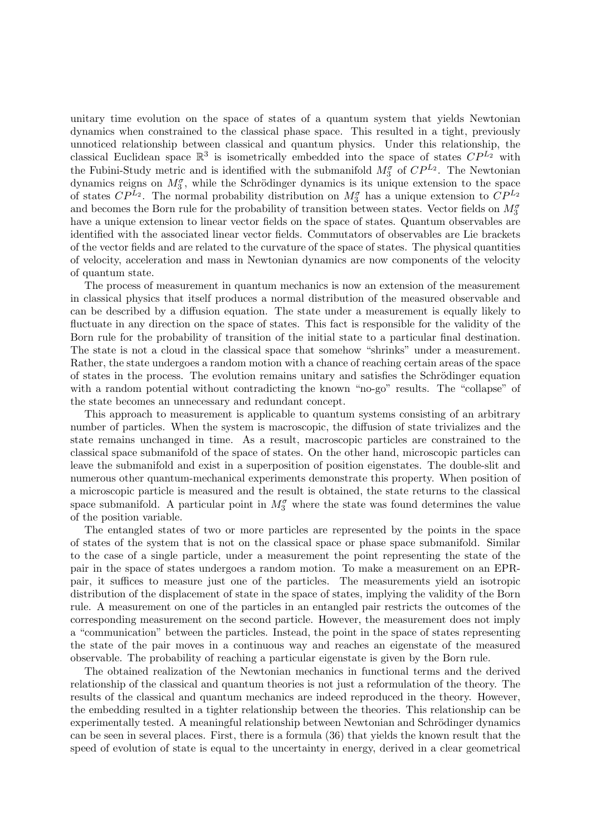unitary time evolution on the space of states of a quantum system that yields Newtonian dynamics when constrained to the classical phase space. This resulted in a tight, previously unnoticed relationship between classical and quantum physics. Under this relationship, the classical Euclidean space  $\mathbb{R}^3$  is isometrically embedded into the space of states  $\mathbb{CP}^{L_2}$  with the Fubini-Study metric and is identified with the submanifold  $M_3^{\sigma}$  of  $CP^{L_2}$ . The Newtonian dynamics reigns on  $M_3^{\sigma}$ , while the Schrödinger dynamics is its unique extension to the space of states  $CP^{L_2}$ . The normal probability distribution on  $M_3^{\sigma}$  has a unique extension to  $CP^{L_2}$ and becomes the Born rule for the probability of transition between states. Vector fields on  $M_3^{\sigma}$ have a unique extension to linear vector fields on the space of states. Quantum observables are identified with the associated linear vector fields. Commutators of observables are Lie brackets of the vector fields and are related to the curvature of the space of states. The physical quantities of velocity, acceleration and mass in Newtonian dynamics are now components of the velocity of quantum state.

The process of measurement in quantum mechanics is now an extension of the measurement in classical physics that itself produces a normal distribution of the measured observable and can be described by a diffusion equation. The state under a measurement is equally likely to fluctuate in any direction on the space of states. This fact is responsible for the validity of the Born rule for the probability of transition of the initial state to a particular final destination. The state is not a cloud in the classical space that somehow "shrinks" under a measurement. Rather, the state undergoes a random motion with a chance of reaching certain areas of the space of states in the process. The evolution remains unitary and satisfies the Schrödinger equation with a random potential without contradicting the known "no-go" results. The "collapse" of the state becomes an unnecessary and redundant concept.

This approach to measurement is applicable to quantum systems consisting of an arbitrary number of particles. When the system is macroscopic, the diffusion of state trivializes and the state remains unchanged in time. As a result, macroscopic particles are constrained to the classical space submanifold of the space of states. On the other hand, microscopic particles can leave the submanifold and exist in a superposition of position eigenstates. The double-slit and numerous other quantum-mechanical experiments demonstrate this property. When position of a microscopic particle is measured and the result is obtained, the state returns to the classical space submanifold. A particular point in  $M_3^{\sigma}$  where the state was found determines the value of the position variable.

The entangled states of two or more particles are represented by the points in the space of states of the system that is not on the classical space or phase space submanifold. Similar to the case of a single particle, under a measurement the point representing the state of the pair in the space of states undergoes a random motion. To make a measurement on an EPRpair, it suffices to measure just one of the particles. The measurements yield an isotropic distribution of the displacement of state in the space of states, implying the validity of the Born rule. A measurement on one of the particles in an entangled pair restricts the outcomes of the corresponding measurement on the second particle. However, the measurement does not imply a "communication" between the particles. Instead, the point in the space of states representing the state of the pair moves in a continuous way and reaches an eigenstate of the measured observable. The probability of reaching a particular eigenstate is given by the Born rule.

The obtained realization of the Newtonian mechanics in functional terms and the derived relationship of the classical and quantum theories is not just a reformulation of the theory. The results of the classical and quantum mechanics are indeed reproduced in the theory. However, the embedding resulted in a tighter relationship between the theories. This relationship can be experimentally tested. A meaningful relationship between Newtonian and Schrödinger dynamics can be seen in several places. First, there is a formula (36) that yields the known result that the speed of evolution of state is equal to the uncertainty in energy, derived in a clear geometrical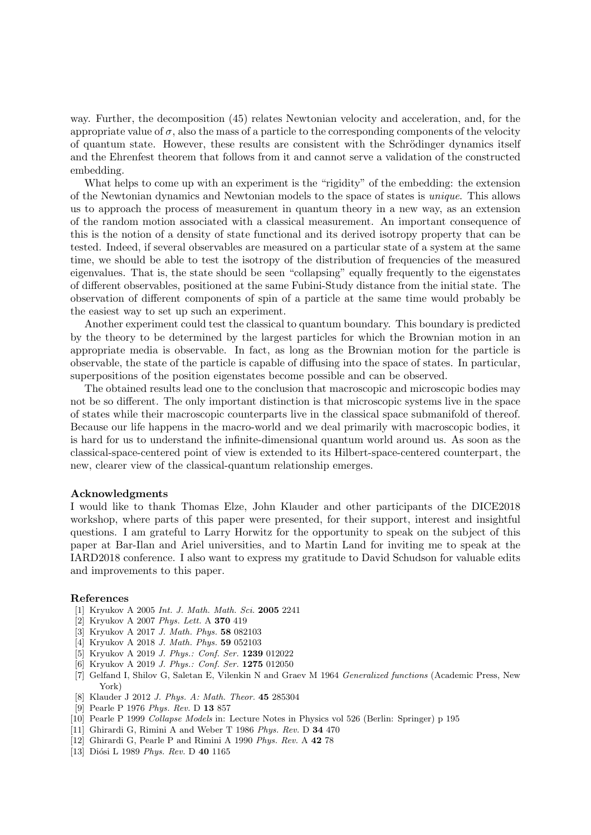way. Further, the decomposition (45) relates Newtonian velocity and acceleration, and, for the appropriate value of  $\sigma$ , also the mass of a particle to the corresponding components of the velocity of quantum state. However, these results are consistent with the Schrödinger dynamics itself and the Ehrenfest theorem that follows from it and cannot serve a validation of the constructed embedding.

What helps to come up with an experiment is the "rigidity" of the embedding: the extension of the Newtonian dynamics and Newtonian models to the space of states is unique. This allows us to approach the process of measurement in quantum theory in a new way, as an extension of the random motion associated with a classical measurement. An important consequence of this is the notion of a density of state functional and its derived isotropy property that can be tested. Indeed, if several observables are measured on a particular state of a system at the same time, we should be able to test the isotropy of the distribution of frequencies of the measured eigenvalues. That is, the state should be seen "collapsing" equally frequently to the eigenstates of different observables, positioned at the same Fubini-Study distance from the initial state. The observation of different components of spin of a particle at the same time would probably be the easiest way to set up such an experiment.

Another experiment could test the classical to quantum boundary. This boundary is predicted by the theory to be determined by the largest particles for which the Brownian motion in an appropriate media is observable. In fact, as long as the Brownian motion for the particle is observable, the state of the particle is capable of diffusing into the space of states. In particular, superpositions of the position eigenstates become possible and can be observed.

The obtained results lead one to the conclusion that macroscopic and microscopic bodies may not be so different. The only important distinction is that microscopic systems live in the space of states while their macroscopic counterparts live in the classical space submanifold of thereof. Because our life happens in the macro-world and we deal primarily with macroscopic bodies, it is hard for us to understand the infinite-dimensional quantum world around us. As soon as the classical-space-centered point of view is extended to its Hilbert-space-centered counterpart, the new, clearer view of the classical-quantum relationship emerges.

#### Acknowledgments

I would like to thank Thomas Elze, John Klauder and other participants of the DICE2018 workshop, where parts of this paper were presented, for their support, interest and insightful questions. I am grateful to Larry Horwitz for the opportunity to speak on the subject of this paper at Bar-Ilan and Ariel universities, and to Martin Land for inviting me to speak at the IARD2018 conference. I also want to express my gratitude to David Schudson for valuable edits and improvements to this paper.

#### References

- [1] Kryukov A 2005 Int. J. Math. Math. Sci. 2005 2241
- [2] Kryukov A 2007 Phys. Lett. A 370 419
- [3] Kryukov A 2017 J. Math. Phys. 58 082103
- [4] Kryukov A 2018 J. Math. Phys. 59 052103
- [5] Kryukov A 2019 J. Phys.: Conf. Ser. 1239 012022
- [6] Kryukov A 2019 J. Phys.: Conf. Ser. 1275 012050
- [7] Gelfand I, Shilov G, Saletan E, Vilenkin N and Graev M 1964 Generalized functions (Academic Press, New York)
- [8] Klauder J 2012 J. Phys. A: Math. Theor. 45 285304
- [9] Pearle P 1976 Phys. Rev. D 13 857
- [10] Pearle P 1999 Collapse Models in: Lecture Notes in Physics vol 526 (Berlin: Springer) p 195
- [11] Ghirardi G, Rimini A and Weber T 1986 Phys. Rev. D 34 470
- [12] Ghirardi G, Pearle P and Rimini A 1990 Phys. Rev. A 42 78
- [13] Diósi L 1989 Phys. Rev. D 40 1165